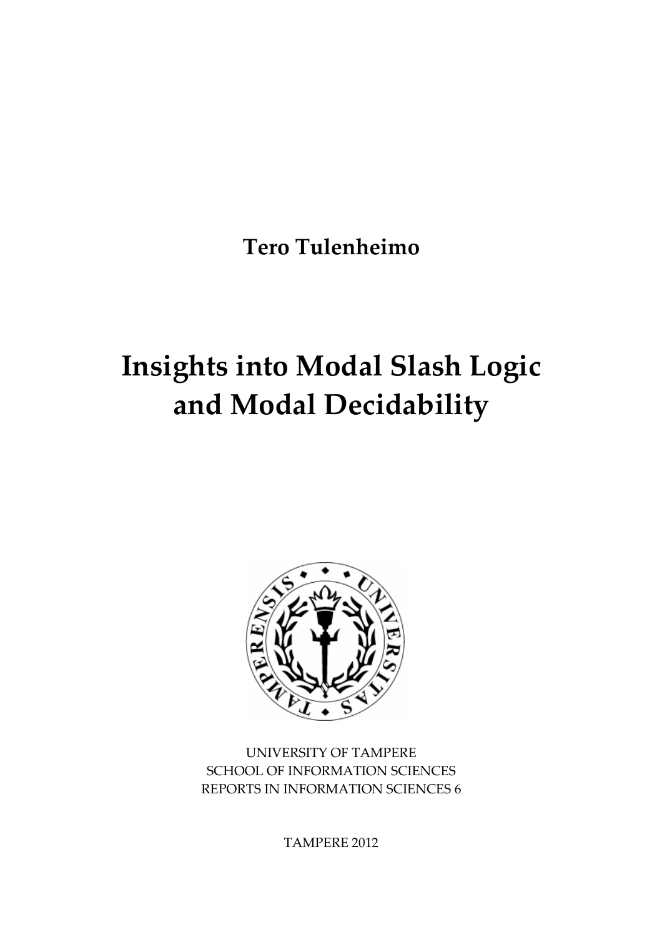**Tero Tulenheimo** 

# **Insights into Modal Slash Logic and Modal Decidability**



UNIVERSITY OF TAMPERE SCHOOL OF INFORMATION SCIENCES REPORTS IN INFORMATION SCIENCES 6

TAMPERE 2012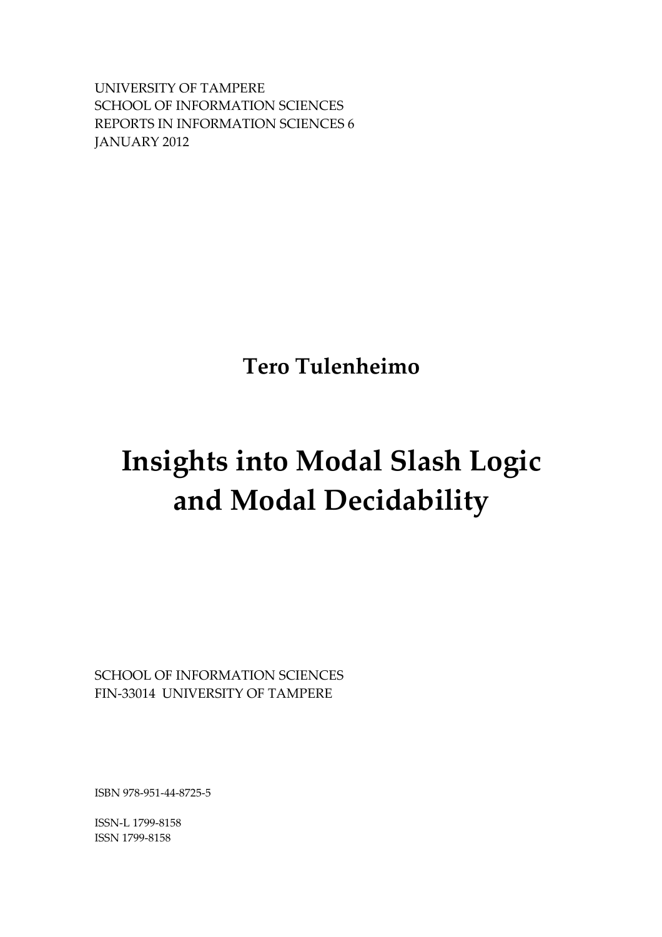UNIVERSITY OF TAMPERE SCHOOL OF INFORMATION SCIENCES REPORTS IN INFORMATION SCIENCES 6 JANUARY 2012

**Tero Tulenheimo** 

## **Insights into Modal Slash Logic and Modal Decidability**

SCHOOL OF INFORMATION SCIENCES FIN‐33014 UNIVERSITY OF TAMPERE

ISBN 978‐951‐44‐8725‐5

ISSN‐L 1799‐8158 ISSN 1799‐8158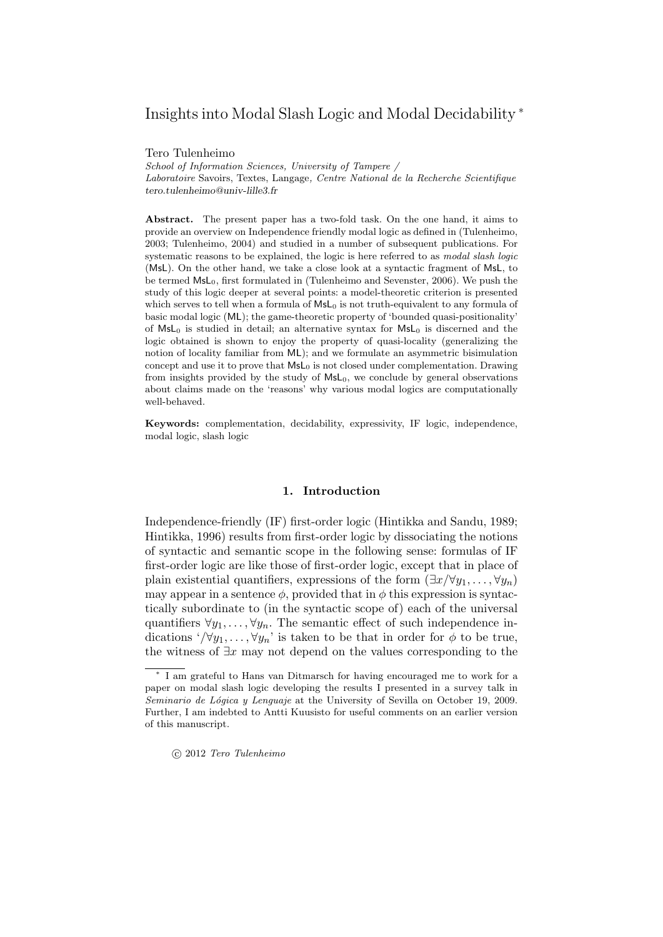## Insights into Modal Slash Logic and Modal Decidability <sup>∗</sup>

Tero Tulenheimo

School of Information Sciences, University of Tampere / Laboratoire Savoirs, Textes, Langage, Centre National de la Recherche Scientifique tero.tulenheimo@univ-lille3.fr

Abstract. The present paper has a two-fold task. On the one hand, it aims to provide an overview on Independence friendly modal logic as defined in (Tulenheimo, 2003; Tulenheimo, 2004) and studied in a number of subsequent publications. For systematic reasons to be explained, the logic is here referred to as *modal slash logic* (MsL). On the other hand, we take a close look at a syntactic fragment of MsL, to be termed MsL0, first formulated in (Tulenheimo and Sevenster, 2006). We push the study of this logic deeper at several points: a model-theoretic criterion is presented which serves to tell when a formula of  $MsL<sub>0</sub>$  is not truth-equivalent to any formula of basic modal logic (ML); the game-theoretic property of 'bounded quasi-positionality' of  $MsL_0$  is studied in detail; an alternative syntax for  $MsL_0$  is discerned and the logic obtained is shown to enjoy the property of quasi-locality (generalizing the notion of locality familiar from ML); and we formulate an asymmetric bisimulation concept and use it to prove that  $MsL<sub>0</sub>$  is not closed under complementation. Drawing from insights provided by the study of  $MsL<sub>0</sub>$ , we conclude by general observations about claims made on the 'reasons' why various modal logics are computationally well-behaved.

Keywords: complementation, decidability, expressivity, IF logic, independence, modal logic, slash logic

#### 1. Introduction

Independence-friendly (IF) first-order logic (Hintikka and Sandu, 1989; Hintikka, 1996) results from first-order logic by dissociating the notions of syntactic and semantic scope in the following sense: formulas of IF first-order logic are like those of first-order logic, except that in place of plain existential quantifiers, expressions of the form  $(\exists x/\forall y_1, \ldots, \forall y_n)$ may appear in a sentence  $\phi$ , provided that in  $\phi$  this expression is syntactically subordinate to (in the syntactic scope of) each of the universal quantifiers  $\forall y_1, \ldots, \forall y_n$ . The semantic effect of such independence indications '/ $\forall y_1, \ldots, \forall y_n$ ' is taken to be that in order for  $\phi$  to be true, the witness of  $\exists x$  may not depend on the values corresponding to the

<sup>∗</sup> I am grateful to Hans van Ditmarsch for having encouraged me to work for a paper on modal slash logic developing the results I presented in a survey talk in Seminario de Lógica y Lenguaje at the University of Sevilla on October 19, 2009. Further, I am indebted to Antti Kuusisto for useful comments on an earlier version of this manuscript.

c 2012 Tero Tulenheimo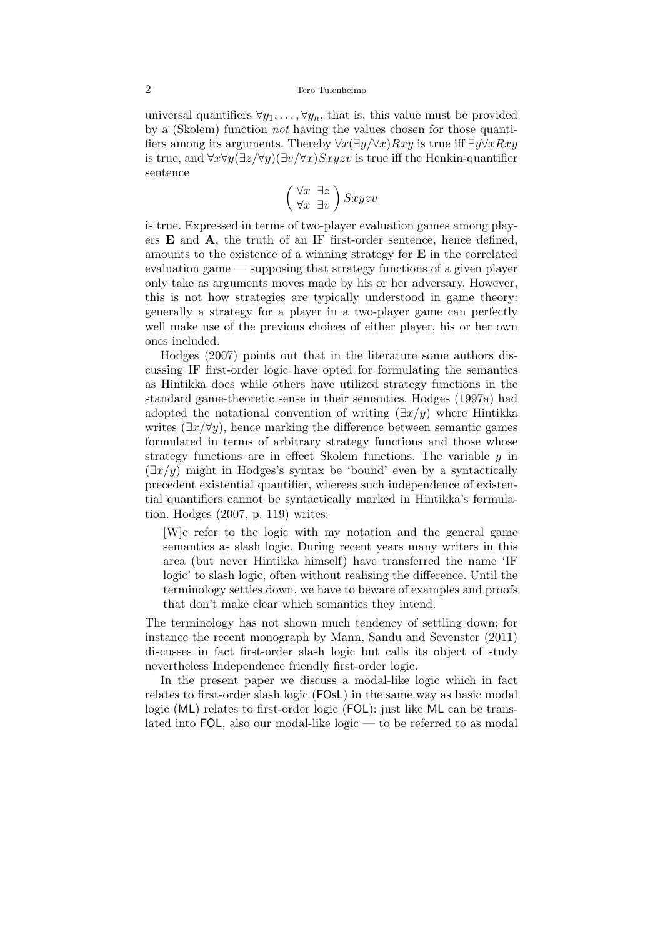universal quantifiers  $\forall y_1, \ldots, \forall y_n$ , that is, this value must be provided by a (Skolem) function not having the values chosen for those quantifiers among its arguments. Thereby  $\forall x(\exists y/\forall x)Rxy$  is true iff  $\exists y\forall xRxy$ is true, and  $\forall x \forall y (\exists z/\forall y)(\exists v/\forall x) Sxyzv$  is true iff the Henkin-quantifier sentence

$$
\left(\begin{smallmatrix} \forall x & \exists z \\ \forall x & \exists v\end{smallmatrix}\right) Sxyzv
$$

is true. Expressed in terms of two-player evaluation games among players  $E$  and  $A$ , the truth of an IF first-order sentence, hence defined, amounts to the existence of a winning strategy for E in the correlated evaluation game — supposing that strategy functions of a given player only take as arguments moves made by his or her adversary. However, this is not how strategies are typically understood in game theory: generally a strategy for a player in a two-player game can perfectly well make use of the previous choices of either player, his or her own ones included.

Hodges (2007) points out that in the literature some authors discussing IF first-order logic have opted for formulating the semantics as Hintikka does while others have utilized strategy functions in the standard game-theoretic sense in their semantics. Hodges (1997a) had adopted the notational convention of writing  $(\exists x/y)$  where Hintikka writes  $(\exists x/\forall y)$ , hence marking the difference between semantic games formulated in terms of arbitrary strategy functions and those whose strategy functions are in effect Skolem functions. The variable  $y$  in  $(\exists x/y)$  might in Hodges's syntax be 'bound' even by a syntactically precedent existential quantifier, whereas such independence of existential quantifiers cannot be syntactically marked in Hintikka's formulation. Hodges (2007, p. 119) writes:

[W]e refer to the logic with my notation and the general game semantics as slash logic. During recent years many writers in this area (but never Hintikka himself) have transferred the name 'IF logic' to slash logic, often without realising the difference. Until the terminology settles down, we have to beware of examples and proofs that don't make clear which semantics they intend.

The terminology has not shown much tendency of settling down; for instance the recent monograph by Mann, Sandu and Sevenster (2011) discusses in fact first-order slash logic but calls its object of study nevertheless Independence friendly first-order logic.

In the present paper we discuss a modal-like logic which in fact relates to first-order slash logic (FOsL) in the same way as basic modal logic (ML) relates to first-order logic (FOL): just like ML can be translated into FOL, also our modal-like logic — to be referred to as modal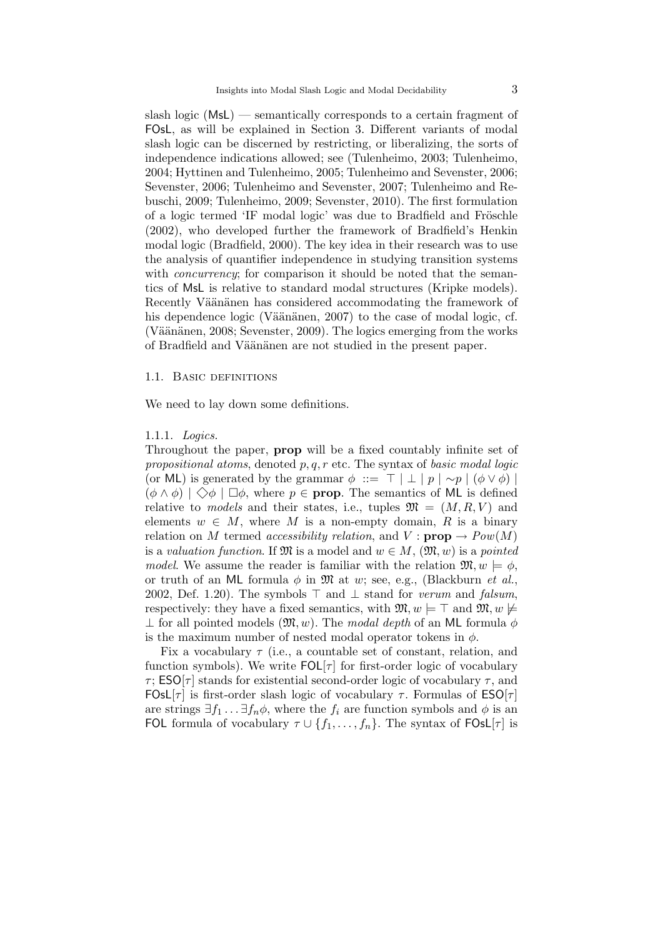slash logic (MsL) — semantically corresponds to a certain fragment of FOsL, as will be explained in Section 3. Different variants of modal slash logic can be discerned by restricting, or liberalizing, the sorts of independence indications allowed; see (Tulenheimo, 2003; Tulenheimo, 2004; Hyttinen and Tulenheimo, 2005; Tulenheimo and Sevenster, 2006; Sevenster, 2006; Tulenheimo and Sevenster, 2007; Tulenheimo and Rebuschi, 2009; Tulenheimo, 2009; Sevenster, 2010). The first formulation of a logic termed 'IF modal logic' was due to Bradfield and Fröschle (2002), who developed further the framework of Bradfield's Henkin modal logic (Bradfield, 2000). The key idea in their research was to use the analysis of quantifier independence in studying transition systems with *concurrency*; for comparison it should be noted that the semantics of MsL is relative to standard modal structures (Kripke models). Recently Väänänen has considered accommodating the framework of his dependence logic (Väänänen, 2007) to the case of modal logic, cf. (Väänänen, 2008; Sevenster, 2009). The logics emerging from the works of Bradfield and Väänänen are not studied in the present paper.

#### 1.1. Basic definitions

We need to lay down some definitions.

## 1.1.1. Logics.

Throughout the paper, prop will be a fixed countably infinite set of propositional atoms, denoted  $p, q, r$  etc. The syntax of basic modal logic (or ML) is generated by the grammar  $\phi$  ::=  $\top | \perp | p | \sim p | (\phi \vee \phi) |$  $(\phi \wedge \phi) \mid \diamondsuit \phi \mid \Box \phi$ , where  $p \in \text{prop}$ . The semantics of ML is defined relative to models and their states, i.e., tuples  $\mathfrak{M} = (M, R, V)$  and elements  $w \in M$ , where M is a non-empty domain, R is a binary relation on M termed accessibility relation, and  $V : \textbf{prop} \rightarrow Pow(M)$ is a valuation function. If  $\mathfrak{M}$  is a model and  $w \in M$ ,  $(\mathfrak{M}, w)$  is a pointed model. We assume the reader is familiar with the relation  $\mathfrak{M}, w \models \phi$ , or truth of an ML formula  $\phi$  in M at w; see, e.g., (Blackburn *et al.*, 2002, Def. 1.20). The symbols  $\top$  and  $\bot$  stand for verum and falsum, respectively: they have a fixed semantics, with  $\mathfrak{M}, w \models \top$  and  $\mathfrak{M}, w \not\models$  $\perp$  for all pointed models  $(\mathfrak{M}, w)$ . The modal depth of an ML formula  $\phi$ is the maximum number of nested modal operator tokens in  $\phi$ .

Fix a vocabulary  $\tau$  (i.e., a countable set of constant, relation, and function symbols). We write  $FOL[\tau]$  for first-order logic of vocabulary  $\tau$ ; ESO[ $\tau$ ] stands for existential second-order logic of vocabulary  $\tau$ , and FOsL[ $\tau$ ] is first-order slash logic of vocabulary  $\tau$ . Formulas of ESO[ $\tau$ ] are strings  $\exists f_1 \dots \exists f_n \phi$ , where the  $f_i$  are function symbols and  $\phi$  is an FOL formula of vocabulary  $\tau \cup \{f_1, \ldots, f_n\}$ . The syntax of FOsL[ $\tau$ ] is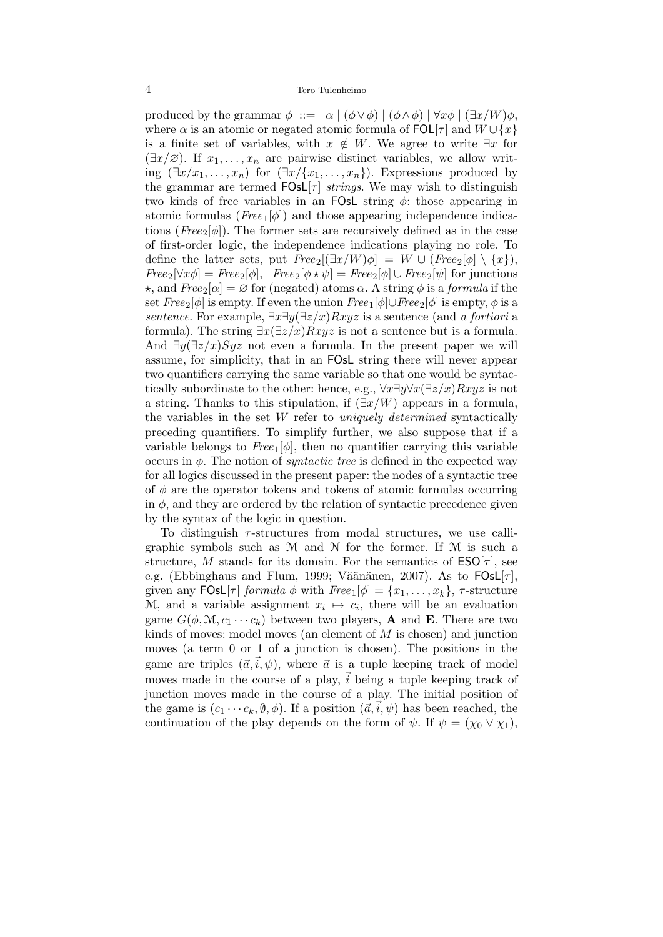produced by the grammar  $\phi$  ::=  $\alpha \mid (\phi \vee \phi) \mid (\phi \wedge \phi) \mid \forall x \phi \mid (\exists x/W) \phi$ , where  $\alpha$  is an atomic or negated atomic formula of  $\textsf{FOL}[\tau]$  and  $W \cup \{x\}$ is a finite set of variables, with  $x \notin W$ . We agree to write  $\exists x$  for  $(\exists x/\emptyset)$ . If  $x_1, \ldots, x_n$  are pairwise distinct variables, we allow writing  $(\exists x/x_1, \ldots, x_n)$  for  $(\exists x/\{x_1, \ldots, x_n\})$ . Expressions produced by the grammar are termed  $FOsL[\tau]$  strings. We may wish to distinguish two kinds of free variables in an FOsL string  $\phi$ : those appearing in atomic formulas ( $Free_1[\phi]$ ) and those appearing independence indications ( $Free_2[\phi]$ ). The former sets are recursively defined as in the case of first-order logic, the independence indications playing no role. To define the latter sets, put  $Free_2[(\exists x/W)\phi] = W \cup (Free_2[\phi] \setminus \{x\}),$  $Free_2[\forall x\phi] = Free_2[\phi], \ \ \ Free_2[\phi \star \psi] = Free_2[\phi] \cup Free_2[\psi] \ \ \text{for junctions}$  $\star$ , and  $Free_2[\alpha] = \varnothing$  for (negated) atoms  $\alpha$ . A string  $\phi$  is a formula if the set  $Free_2[\phi]$  is empty. If even the union  $Free_1[\phi] \cup Free_2[\phi]$  is empty,  $\phi$  is a sentence. For example,  $\exists x \exists y (\exists z/x) Rxyz$  is a sentence (and a fortiori a formula). The string  $\exists x(\exists z/x)Rxyz$  is not a sentence but is a formula. And  $\exists y(\exists z/x)Syz$  not even a formula. In the present paper we will assume, for simplicity, that in an FOsL string there will never appear two quantifiers carrying the same variable so that one would be syntactically subordinate to the other: hence, e.g.,  $\forall x \exists y \forall x (\exists z/x) Rxyz$  is not a string. Thanks to this stipulation, if  $(\exists x/W)$  appears in a formula, the variables in the set  $W$  refer to *uniquely determined* syntactically preceding quantifiers. To simplify further, we also suppose that if a variable belongs to  $Free_1[\phi]$ , then no quantifier carrying this variable occurs in  $\phi$ . The notion of *syntactic tree* is defined in the expected way for all logics discussed in the present paper: the nodes of a syntactic tree of  $\phi$  are the operator tokens and tokens of atomic formulas occurring in  $\phi$ , and they are ordered by the relation of syntactic precedence given by the syntax of the logic in question.

To distinguish  $\tau$ -structures from modal structures, we use calligraphic symbols such as M and N for the former. If M is such a structure, M stands for its domain. For the semantics of  $ESO[\tau]$ , see e.g. (Ebbinghaus and Flum, 1999; Väänänen, 2007). As to  $FOsL[\tau]$ , given any  $FOsL[\tau]$  formula  $\phi$  with  $Free_1[\phi] = \{x_1, \ldots, x_k\}, \tau$ -structure M, and a variable assignment  $x_i \mapsto c_i$ , there will be an evaluation game  $G(\phi, M, c_1 \cdots c_k)$  between two players, **A** and **E**. There are two kinds of moves: model moves (an element of  $M$  is chosen) and junction moves (a term 0 or 1 of a junction is chosen). The positions in the game are triples  $(\vec{a}, \vec{i}, \psi)$ , where  $\vec{a}$  is a tuple keeping track of model moves made in the course of a play,  $\vec{i}$  being a tuple keeping track of junction moves made in the course of a play. The initial position of the game is  $(c_1 \cdots c_k, \emptyset, \phi)$ . If a position  $(\vec{a}, \vec{i}, \psi)$  has been reached, the continuation of the play depends on the form of  $\psi$ . If  $\psi = (\chi_0 \vee \chi_1),$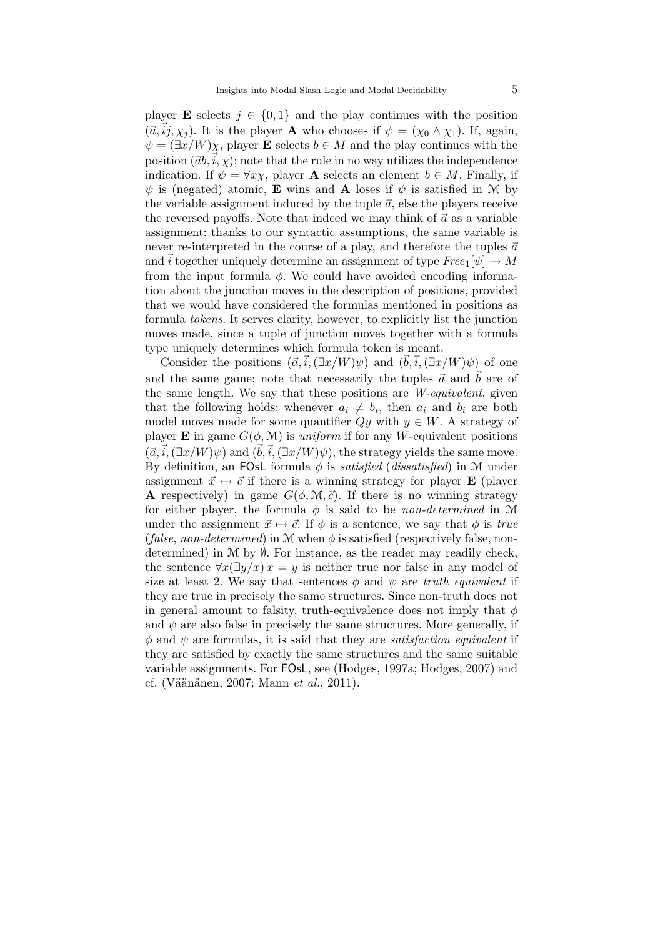player **E** selects  $j \in \{0,1\}$  and the play continues with the position  $({\vec a},{\vec i}j, {\chi}_i)$ . It is the player **A** who chooses if  $\psi = ({\chi}_0 \wedge {\chi}_1)$ . If, again,  $\psi = (\exists x/W)\chi$ , player **E** selects  $b \in M$  and the play continues with the position  $(\vec{a}, \vec{i}, \chi)$ ; note that the rule in no way utilizes the independence indication. If  $\psi = \forall x \chi$ , player **A** selects an element  $b \in M$ . Finally, if  $\psi$  is (negated) atomic, **E** wins and **A** loses if  $\psi$  is satisfied in M by the variable assignment induced by the tuple  $\vec{a}$ , else the players receive the reversed payoffs. Note that indeed we may think of  $\vec{a}$  as a variable assignment: thanks to our syntactic assumptions, the same variable is never re-interpreted in the course of a play, and therefore the tuples  $\vec{a}$ and  $\vec{i}$  together uniquely determine an assignment of type  $Free_1[\psi] \to M$ from the input formula  $\phi$ . We could have avoided encoding information about the junction moves in the description of positions, provided that we would have considered the formulas mentioned in positions as formula tokens. It serves clarity, however, to explicitly list the junction moves made, since a tuple of junction moves together with a formula type uniquely determines which formula token is meant.

Consider the positions  $(\vec{a}, \vec{i}, (\exists x/W)\psi)$  and  $(\vec{b}, \vec{i}, (\exists x/W)\psi)$  of one and the same game; note that necessarily the tuples  $\vec{a}$  and  $\vec{b}$  are of the same length. We say that these positions are *W-equivalent*, given that the following holds: whenever  $a_i \neq b_i$ , then  $a_i$  and  $b_i$  are both model moves made for some quantifier  $Qy$  with  $y \in W$ . A strategy of player **E** in game  $G(\phi, \mathcal{M})$  is *uniform* if for any W-equivalent positions  $({\vec a},{\vec i},(\exists x/W)\psi)$  and  $({\vec b},{\vec i},(\exists x/W)\psi)$ , the strategy yields the same move. By definition, an FOsL formula  $\phi$  is *satisfied* (*dissatisfied*) in M under assignment  $\vec{x} \mapsto \vec{c}$  if there is a winning strategy for player **E** (player **A** respectively) in game  $G(\phi, \mathcal{M}, \vec{c})$ . If there is no winning strategy for either player, the formula  $\phi$  is said to be *non-determined* in M under the assignment  $\vec{x} \mapsto \vec{c}$ . If  $\phi$  is a sentence, we say that  $\phi$  is true (false, non-determined) in M when  $\phi$  is satisfied (respectively false, nondetermined) in  $M$  by  $\emptyset$ . For instance, as the reader may readily check, the sentence  $\forall x(\exists y/x) x = y$  is neither true nor false in any model of size at least 2. We say that sentences  $\phi$  and  $\psi$  are truth equivalent if they are true in precisely the same structures. Since non-truth does not in general amount to falsity, truth-equivalence does not imply that  $\phi$ and  $\psi$  are also false in precisely the same structures. More generally, if  $\phi$  and  $\psi$  are formulas, it is said that they are *satisfaction equivalent* if they are satisfied by exactly the same structures and the same suitable variable assignments. For FOsL, see (Hodges, 1997a; Hodges, 2007) and cf. (Väänänen, 2007; Mann  $et \ al., 2011$ ).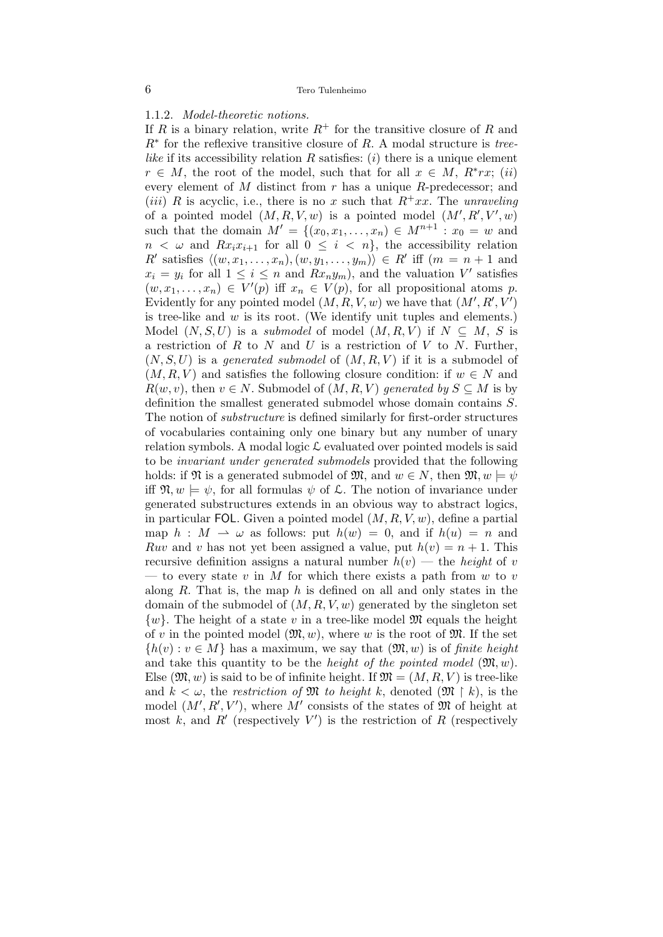1.1.2. Model-theoretic notions.

If R is a binary relation, write  $R^+$  for the transitive closure of R and  $R^*$  for the reflexive transitive closure of R. A modal structure is treelike if its accessibility relation R satisfies:  $(i)$  there is a unique element  $r \in M$ , the root of the model, such that for all  $x \in M$ ,  $R^*rx$ ; (ii) every element of  $M$  distinct from  $r$  has a unique  $R$ -predecessor; and (*iii*) R is acyclic, i.e., there is no x such that  $R^+xx$ . The unraveling of a pointed model  $(M, R, V, w)$  is a pointed model  $(M', R', V', w)$ such that the domain  $M' = \{(x_0, x_1, \ldots, x_n) \in M^{n+1} : x_0 = w \text{ and }$  $n < \omega$  and  $Rx_i x_{i+1}$  for all  $0 \leq i < n$ , the accessibility relation R' satisfies  $\langle (w, x_1, \ldots, x_n), (w, y_1, \ldots, y_m) \rangle \in R'$  iff  $(m = n + 1)$  and  $x_i = y_i$  for all  $1 \leq i \leq n$  and  $Rx_ny_m$ , and the valuation V' satisfies  $(w, x_1, \ldots, x_n) \in V'(p)$  iff  $x_n \in V(p)$ , for all propositional atoms p. Evidently for any pointed model  $(M, R, V, w)$  we have that  $(M', R', V')$ is tree-like and  $w$  is its root. (We identify unit tuples and elements.) Model  $(N, S, U)$  is a *submodel* of model  $(M, R, V)$  if  $N \subseteq M$ , S is a restriction of  $R$  to  $N$  and  $U$  is a restriction of  $V$  to  $N$ . Further,  $(N, S, U)$  is a generated submodel of  $(M, R, V)$  if it is a submodel of  $(M, R, V)$  and satisfies the following closure condition: if  $w \in N$  and  $R(w, v)$ , then  $v \in N$ . Submodel of  $(M, R, V)$  generated by  $S \subseteq M$  is by definition the smallest generated submodel whose domain contains S. The notion of substructure is defined similarly for first-order structures of vocabularies containing only one binary but any number of unary relation symbols. A modal logic  $\mathcal L$  evaluated over pointed models is said to be invariant under generated submodels provided that the following holds: if  $\mathfrak{N}$  is a generated submodel of  $\mathfrak{M}$ , and  $w \in N$ , then  $\mathfrak{M}, w \models \psi$ iff  $\mathfrak{N}, w \models \psi$ , for all formulas  $\psi$  of  $\mathcal{L}$ . The notion of invariance under generated substructures extends in an obvious way to abstract logics, in particular FOL. Given a pointed model  $(M, R, V, w)$ , define a partial map  $h : M \rightharpoonup \omega$  as follows: put  $h(w) = 0$ , and if  $h(u) = n$  and Ruv and v has not yet been assigned a value, put  $h(v) = n + 1$ . This recursive definition assigns a natural number  $h(v)$  — the *height* of v — to every state v in M for which there exists a path from w to v along R. That is, the map  $h$  is defined on all and only states in the domain of the submodel of  $(M, R, V, w)$  generated by the singleton set  $\{w\}$ . The height of a state v in a tree-like model  $\mathfrak{M}$  equals the height of v in the pointed model  $(\mathfrak{M}, w)$ , where w is the root of  $\mathfrak{M}$ . If the set  ${h(v): v \in M}$  has a maximum, we say that  $(\mathfrak{M}, w)$  is of finite height and take this quantity to be the *height of the pointed model*  $(\mathfrak{M}, w)$ . Else  $(\mathfrak{M}, w)$  is said to be of infinite height. If  $\mathfrak{M} = (M, R, V)$  is tree-like and  $k < \omega$ , the restriction of M to height k, denoted  $(\mathfrak{M} \restriction k)$ , is the model  $(M', R', V')$ , where M' consists of the states of M of height at most k, and R' (respectively  $V'$ ) is the restriction of R (respectively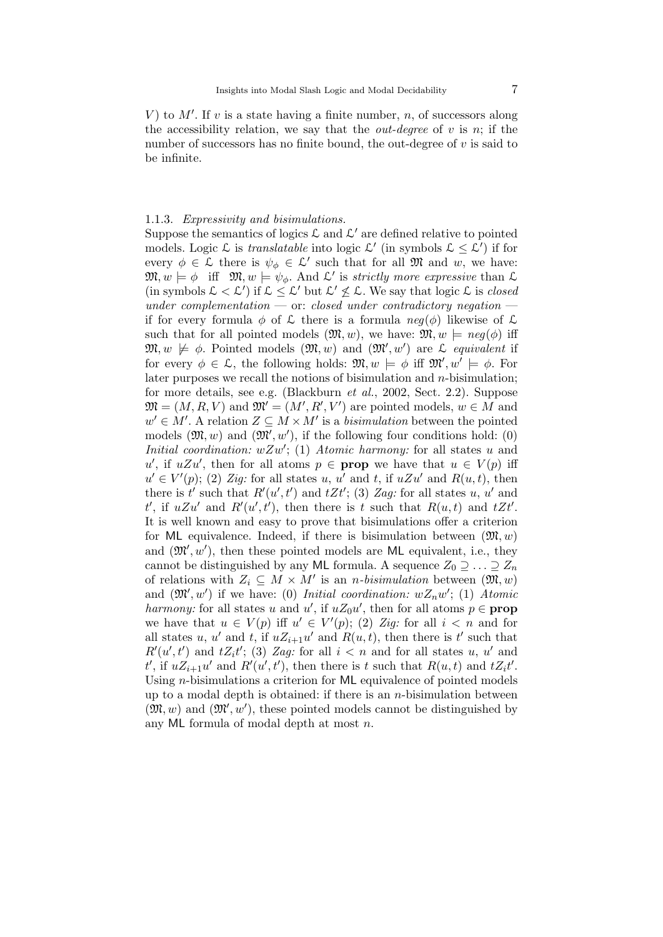V) to  $M'$ . If v is a state having a finite number, n, of successors along the accessibility relation, we say that the *out-degree* of v is n; if the number of successors has no finite bound, the out-degree of  $v$  is said to be infinite.

### 1.1.3. Expressivity and bisimulations.

Suppose the semantics of logics  $\mathcal L$  and  $\mathcal L'$  are defined relative to pointed models. Logic  $\mathcal L$  is *translatable* into logic  $\mathcal L'$  (in symbols  $\mathcal L \leq \mathcal L'$ ) if for every  $\phi \in \mathcal{L}$  there is  $\psi_{\phi} \in \mathcal{L}'$  such that for all  $\mathfrak{M}$  and w, we have:  $\mathfrak{M}, w \models \phi \text{ iff } \mathfrak{M}, w \models \psi_{\phi}. \text{ And } \mathcal{L}' \text{ is strictly more expressive than } \mathcal{L}$ (in symbols  $\mathcal{L} < \mathcal{L}'$ ) if  $\mathcal{L} \leq \mathcal{L}'$  but  $\mathcal{L}' \nleq \mathcal{L}$ . We say that logic  $\mathcal{L}$  is *closed* under complementation  $\sim$  or: closed under contradictory negation  $\sim$ if for every formula  $\phi$  of  $\mathcal L$  there is a formula  $neg(\phi)$  likewise of  $\mathcal L$ such that for all pointed models  $(\mathfrak{M}, w)$ , we have:  $\mathfrak{M}, w \models neg(\phi)$  iff  $\mathfrak{M}, w \not\models \phi$ . Pointed models  $(\mathfrak{M}, w)$  and  $(\mathfrak{M}', w')$  are  $\mathcal L$  equivalent if for every  $\phi \in \mathcal{L}$ , the following holds:  $\mathfrak{M}, w \models \phi$  iff  $\mathfrak{M}', w' \models \phi$ . For later purposes we recall the notions of bisimulation and  $n$ -bisimulation; for more details, see e.g. (Blackburn et al., 2002, Sect. 2.2). Suppose  $\mathfrak{M} = (M, R, V)$  and  $\mathfrak{M}' = (M', R', V')$  are pointed models,  $w \in M$  and  $w' \in M'$ . A relation  $Z \subseteq M \times M'$  is a *bisimulation* between the pointed models  $(\mathfrak{M}, w)$  and  $(\mathfrak{M}', w')$ , if the following four conditions hold: (0) Initial coordination:  $wZw'$ ; (1) Atomic harmony: for all states u and u', if  $uZu'$ , then for all atoms  $p \in \text{prop}$  we have that  $u \in V(p)$  iff  $u' \in V'(p)$ ; (2) Zig: for all states u, u' and t, if  $uZu'$  and  $R(u,t)$ , then there is t' such that  $R'(u', t')$  and  $tZt'$ ; (3) Zag: for all states u, u' and t', if  $uZu'$  and  $R'(u',t')$ , then there is t such that  $R(u,t)$  and  $tZt'$ . It is well known and easy to prove that bisimulations offer a criterion for ML equivalence. Indeed, if there is bisimulation between  $(\mathfrak{M}, w)$ and  $(\mathfrak{M}', w')$ , then these pointed models are ML equivalent, i.e., they cannot be distinguished by any ML formula. A sequence  $Z_0 \supseteq \ldots \supseteq Z_n$ of relations with  $Z_i \subseteq M \times M'$  is an *n-bisimulation* between  $(\mathfrak{M}, w)$ and  $(\mathfrak{M}', w')$  if we have: (0) Initial coordination:  $wZ_nw'$ ; (1) Atomic harmony: for all states u and u', if  $uZ_0u'$ , then for all atoms  $p \in \textbf{prop}$ we have that  $u \in V(p)$  iff  $u' \in V'(p)$ ; (2) Zig: for all  $i < n$  and for all states u, u' and t, if  $uZ_{i+1}u'$  and  $R(u,t)$ , then there is t' such that  $R'(u',t')$  and  $tZ_i t'$ ; (3) Zag: for all  $i < n$  and for all states u, u' and  $t'$ , if  $uZ_{i+1}u'$  and  $R'(u',t')$ , then there is t such that  $R(u,t)$  and  $tZ_i t'$ . Using n-bisimulations a criterion for ML equivalence of pointed models up to a modal depth is obtained: if there is an  $n$ -bisimulation between  $(\mathfrak{M}, w)$  and  $(\mathfrak{M}', w')$ , these pointed models cannot be distinguished by any ML formula of modal depth at most n.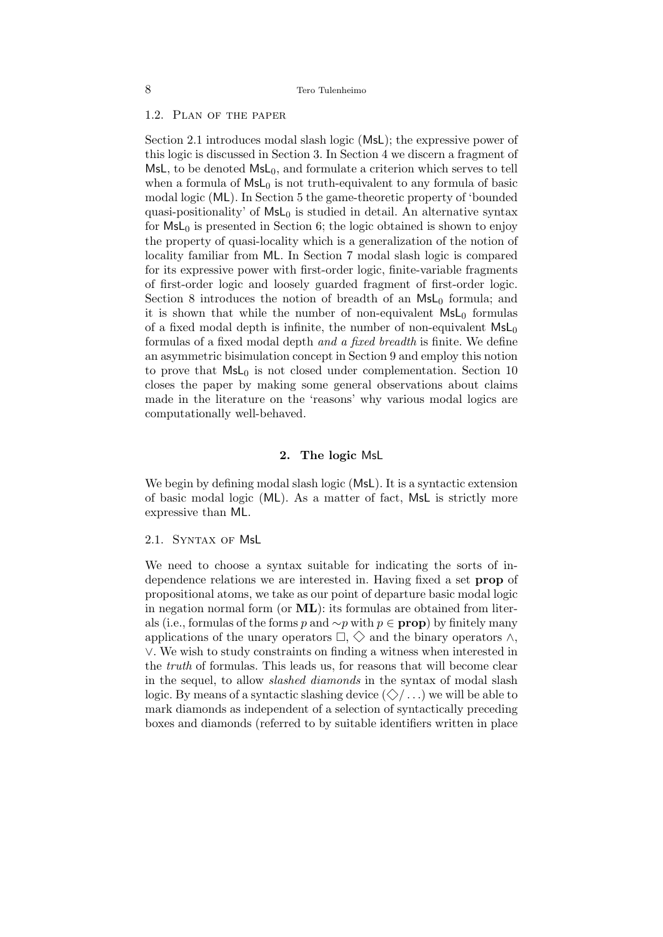## 1.2. Plan of the paper

Section 2.1 introduces modal slash logic (MsL); the expressive power of this logic is discussed in Section 3. In Section 4 we discern a fragment of MsL, to be denoted  $MsL_0$ , and formulate a criterion which serves to tell when a formula of  $MsL_0$  is not truth-equivalent to any formula of basic modal logic (ML). In Section 5 the game-theoretic property of 'bounded quasi-positionality' of  $MsL<sub>0</sub>$  is studied in detail. An alternative syntax for  $MsL_0$  is presented in Section 6; the logic obtained is shown to enjoy the property of quasi-locality which is a generalization of the notion of locality familiar from ML. In Section 7 modal slash logic is compared for its expressive power with first-order logic, finite-variable fragments of first-order logic and loosely guarded fragment of first-order logic. Section 8 introduces the notion of breadth of an  $MsL<sub>0</sub>$  formula; and it is shown that while the number of non-equivalent  $MsL<sub>0</sub>$  formulas of a fixed modal depth is infinite, the number of non-equivalent  $\textsf{MsL}_0$ formulas of a fixed modal depth and a fixed breadth is finite. We define an asymmetric bisimulation concept in Section 9 and employ this notion to prove that  $MsL_0$  is not closed under complementation. Section 10 closes the paper by making some general observations about claims made in the literature on the 'reasons' why various modal logics are computationally well-behaved.

## 2. The logic MsL

We begin by defining modal slash logic (MsL). It is a syntactic extension of basic modal logic (ML). As a matter of fact, MsL is strictly more expressive than ML.

#### 2.1. Syntax of MsL

We need to choose a syntax suitable for indicating the sorts of independence relations we are interested in. Having fixed a set prop of propositional atoms, we take as our point of departure basic modal logic in negation normal form (or  $ML$ ): its formulas are obtained from literals (i.e., formulas of the forms p and  $\sim p$  with p ∈ **prop**) by finitely many applications of the unary operators  $\Box$ ,  $\diamondsuit$  and the binary operators  $\land$ , ∨. We wish to study constraints on finding a witness when interested in the truth of formulas. This leads us, for reasons that will become clear in the sequel, to allow *slashed diamonds* in the syntax of modal slash logic. By means of a syntactic slashing device  $(\diamondsuit/\ldots)$  we will be able to mark diamonds as independent of a selection of syntactically preceding boxes and diamonds (referred to by suitable identifiers written in place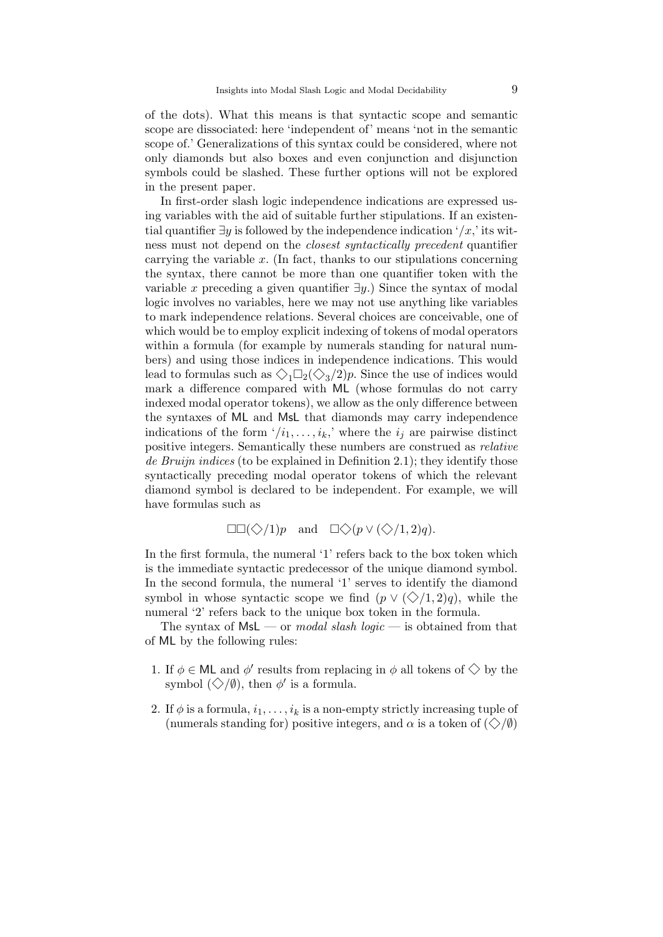of the dots). What this means is that syntactic scope and semantic scope are dissociated: here 'independent of' means 'not in the semantic scope of.' Generalizations of this syntax could be considered, where not only diamonds but also boxes and even conjunction and disjunction symbols could be slashed. These further options will not be explored in the present paper.

In first-order slash logic independence indications are expressed using variables with the aid of suitable further stipulations. If an existential quantifier  $\exists y$  is followed by the independence indication '/x,' its witness must not depend on the closest syntactically precedent quantifier carrying the variable  $x$ . (In fact, thanks to our stipulations concerning the syntax, there cannot be more than one quantifier token with the variable x preceding a given quantifier  $\exists y$ .) Since the syntax of modal logic involves no variables, here we may not use anything like variables to mark independence relations. Several choices are conceivable, one of which would be to employ explicit indexing of tokens of modal operators within a formula (for example by numerals standing for natural numbers) and using those indices in independence indications. This would lead to formulas such as  $\Diamond_1 \Box_2 (\Diamond_3 / 2)p$ . Since the use of indices would mark a difference compared with ML (whose formulas do not carry indexed modal operator tokens), we allow as the only difference between the syntaxes of ML and MsL that diamonds may carry independence indications of the form  $\langle i_1, \ldots, i_k \rangle$  where the  $i_j$  are pairwise distinct positive integers. Semantically these numbers are construed as relative de Bruijn indices (to be explained in Definition 2.1); they identify those syntactically preceding modal operator tokens of which the relevant diamond symbol is declared to be independent. For example, we will have formulas such as

$$
\Box \Box (\Diamond /1)p \quad \text{and} \quad \Box \Diamond (p \vee (\Diamond /1, 2)q).
$$

In the first formula, the numeral '1' refers back to the box token which is the immediate syntactic predecessor of the unique diamond symbol. In the second formula, the numeral '1' serves to identify the diamond symbol in whose syntactic scope we find  $(p \vee (\diamondsuit/1, 2)q)$ , while the numeral '2' refers back to the unique box token in the formula.

The syntax of  $MsL$  — or *modal slash logic* — is obtained from that of ML by the following rules:

- 1. If  $\phi \in \mathsf{ML}$  and  $\phi'$  results from replacing in  $\phi$  all tokens of  $\Diamond$  by the symbol  $(\diamondsuit/\emptyset)$ , then  $\phi'$  is a formula.
- 2. If  $\phi$  is a formula,  $i_1, \ldots, i_k$  is a non-empty strictly increasing tuple of (numerals standing for) positive integers, and  $\alpha$  is a token of  $(\diamondsuit/\emptyset)$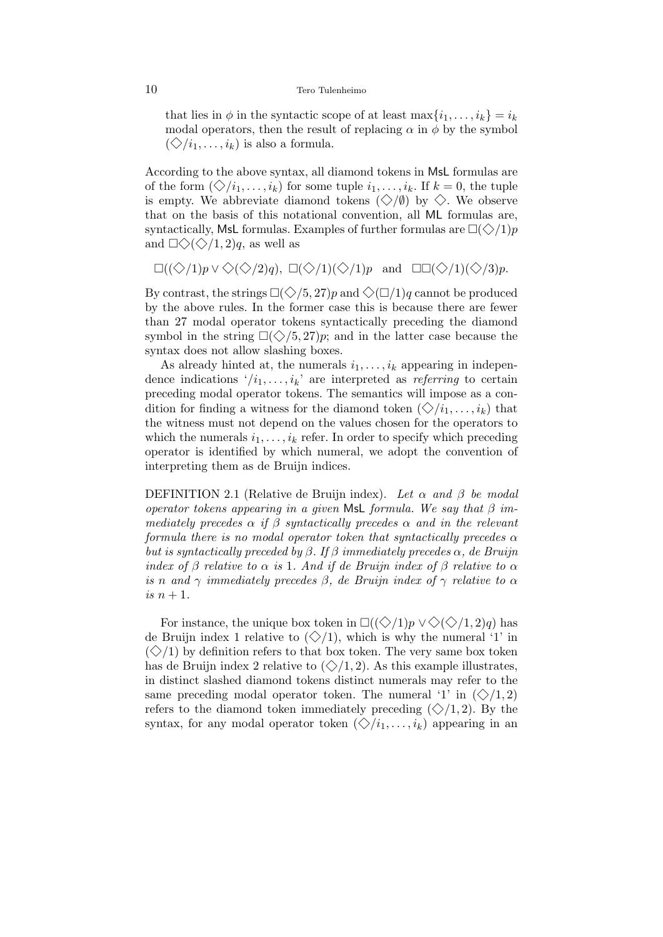#### 10 Tero Tulenheimo

that lies in  $\phi$  in the syntactic scope of at least  $\max\{i_1,\ldots,i_k\} = i_k$ modal operators, then the result of replacing  $\alpha$  in  $\phi$  by the symbol  $(\diamondsuit / i_1, \ldots, i_k)$  is also a formula.

According to the above syntax, all diamond tokens in MsL formulas are of the form  $(\diamondsuit/i_1, \ldots, i_k)$  for some tuple  $i_1, \ldots, i_k$ . If  $k = 0$ , the tuple is empty. We abbreviate diamond tokens  $(\diamondsuit/\emptyset)$  by  $\diamondsuit$ . We observe that on the basis of this notational convention, all ML formulas are, syntactically, MsL formulas. Examples of further formulas are  $\Box(\Diamond/1)p$ and  $\Box \Diamond \Diamond \Diamond /1, 2)q$ , as well as

 $\square((\diamondsuit/1)p \vee \diamondsuit(\diamondsuit/2)q)$ ,  $\square(\diamondsuit/1)(\diamondsuit/1)p$  and  $\square\square(\diamondsuit/1)(\diamondsuit/3)p$ .

By contrast, the strings  $\Box(\Diamond/5, 27)p$  and  $\Diamond(\Box/1)q$  cannot be produced by the above rules. In the former case this is because there are fewer than 27 modal operator tokens syntactically preceding the diamond symbol in the string  $\Box(\Diamond/5, 27)p$ ; and in the latter case because the syntax does not allow slashing boxes.

As already hinted at, the numerals  $i_1, \ldots, i_k$  appearing in independence indications  $\langle i_1, \ldots, i_k \rangle$  are interpreted as *referring* to certain preceding modal operator tokens. The semantics will impose as a condition for finding a witness for the diamond token  $(\diamondsuit/i_1, \ldots, i_k)$  that the witness must not depend on the values chosen for the operators to which the numerals  $i_1, \ldots, i_k$  refer. In order to specify which preceding operator is identified by which numeral, we adopt the convention of interpreting them as de Bruijn indices.

DEFINITION 2.1 (Relative de Bruijn index). Let  $\alpha$  and  $\beta$  be modal operator tokens appearing in a given MsL formula. We say that  $\beta$  immediately precedes  $\alpha$  if  $\beta$  syntactically precedes  $\alpha$  and in the relevant formula there is no modal operator token that syntactically precedes  $\alpha$ but is syntactically preceded by  $\beta$ . If  $\beta$  immediately precedes  $\alpha$ , de Bruijn index of  $\beta$  relative to  $\alpha$  is 1. And if de Bruijn index of  $\beta$  relative to  $\alpha$ is n and  $\gamma$  immediately precedes β, de Bruijn index of  $\gamma$  relative to  $\alpha$ is  $n+1$ .

For instance, the unique box token in  $\square((\diamondsuit/1)p \vee \diamondsuit(\diamondsuit/1, 2)q)$  has de Bruijn index 1 relative to  $(\diamondsuit/1)$ , which is why the numeral '1' in  $(\diamondsuit/1)$  by definition refers to that box token. The very same box token has de Bruijn index 2 relative to  $(\diamondsuit/1, 2)$ . As this example illustrates, in distinct slashed diamond tokens distinct numerals may refer to the same preceding modal operator token. The numeral '1' in  $(\diamondsuit/1, 2)$ refers to the diamond token immediately preceding  $(\diamondsuit/1, 2)$ . By the syntax, for any modal operator token  $(\diamondsuit/i_1, \ldots, i_k)$  appearing in an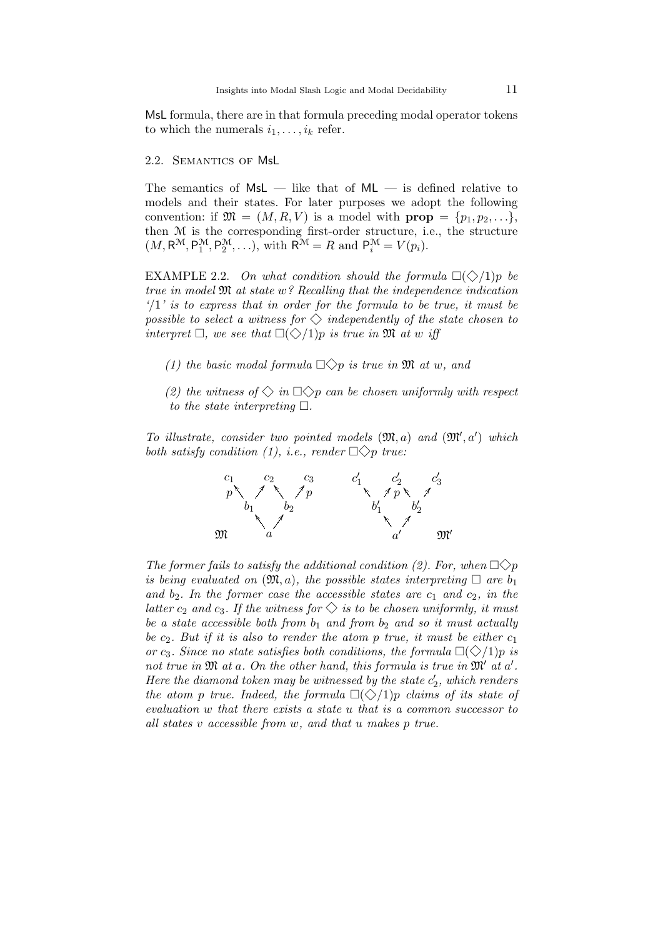MsL formula, there are in that formula preceding modal operator tokens to which the numerals  $i_1, \ldots, i_k$  refer.

#### 2.2. Semantics of MsL

The semantics of  $MsL$  — like that of  $ML$  — is defined relative to models and their states. For later purposes we adopt the following convention: if  $\mathfrak{M} = (M, R, V)$  is a model with  $prop = \{p_1, p_2, \ldots\},\$ then M is the corresponding first-order structure, i.e., the structure  $(M, R^{\mathcal{M}}, P_1^{\mathcal{M}}, P_2^{\mathcal{M}}, \ldots),$  with  $R^{\mathcal{M}} = R$  and  $P_i^{\mathcal{M}} = V(p_i)$ .

EXAMPLE 2.2. On what condition should the formula  $\Box(\Diamond/1)p$  be true in model M at state w? Recalling that the independence indication  $\sqrt{1}$  is to express that in order for the formula to be true, it must be possible to select a witness for  $\Diamond$  independently of the state chosen to interpret  $\Box$ , we see that  $\Box(\Diamond/1)p$  is true in  $\mathfrak{M}$  at w iff

- (1) the basic modal formula  $\Box \Diamond p$  is true in M at w, and
- (2) the witness of  $\Diamond$  in  $\Box \Diamond p$  can be chosen uniformly with respect to the state interpreting  $\Box$ .

To illustrate, consider two pointed models  $(\mathfrak{M},a)$  and  $(\mathfrak{M}',a')$  which both satisfy condition (1), i.e., render  $\Box \Diamond p$  true:



The former fails to satisfy the additional condition (2). For, when  $\Box \Diamond p$ is being evaluated on  $(\mathfrak{M}, a)$ , the possible states interpreting  $\Box$  are  $b_1$ and  $b_2$ . In the former case the accessible states are  $c_1$  and  $c_2$ , in the latter  $c_2$  and  $c_3$ . If the witness for  $\Diamond$  is to be chosen uniformly, it must be a state accessible both from  $b_1$  and from  $b_2$  and so it must actually be  $c_2$ . But if it is also to render the atom p true, it must be either  $c_1$ or c<sub>3</sub>. Since no state satisfies both conditions, the formula  $\Box(\Diamond/1)p$  is not true in  $\mathfrak{M}$  at a. On the other hand, this formula is true in  $\mathfrak{M}'$  at a'. Here the diamond token may be witnessed by the state  $c'_2$ , which renders the atom p true. Indeed, the formula  $\Box(\Diamond/1)p$  claims of its state of evaluation w that there exists a state u that is a common successor to all states v accessible from w, and that u makes p true.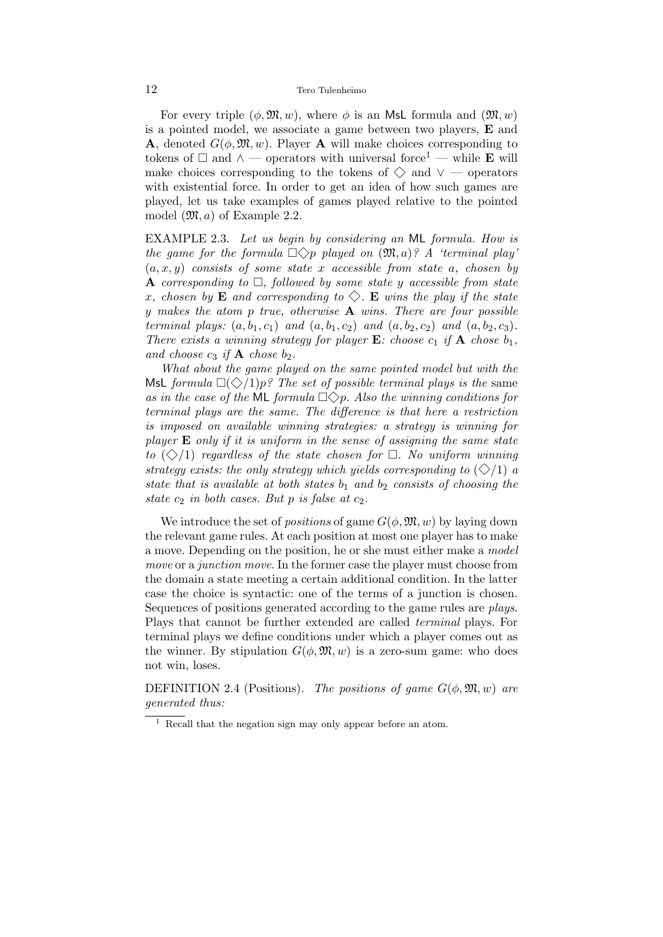#### 12 Tero Tulenheimo

For every triple  $(\phi, \mathfrak{M}, w)$ , where  $\phi$  is an MsL formula and  $(\mathfrak{M}, w)$ is a pointed model, we associate a game between two players, E and **A**, denoted  $G(\phi, \mathfrak{M}, w)$ . Player **A** will make choices corresponding to tokens of  $\Box$  and ∧ — operators with universal force<sup>1</sup> — while **E** will make choices corresponding to the tokens of  $\diamondsuit$  and  $\vee$  — operators with existential force. In order to get an idea of how such games are played, let us take examples of games played relative to the pointed model  $(\mathfrak{M}, a)$  of Example 2.2.

EXAMPLE 2.3. Let us begin by considering an ML formula. How is the game for the formula  $\Box \Diamond p$  played on  $(\mathfrak{M}, a)$ ? A 'terminal play'  $(a, x, y)$  consists of some state x accessible from state a, chosen by **A** corresponding to  $\Box$ , followed by some state y accessible from state x, chosen by **E** and corresponding to  $\Diamond$ . **E** wins the play if the state y makes the atom p true, otherwise  $A$  wins. There are four possible terminal plays:  $(a, b_1, c_1)$  and  $(a, b_1, c_2)$  and  $(a, b_2, c_2)$  and  $(a, b_2, c_3)$ . There exists a winning strategy for player  $E$ : choose  $c_1$  if  $A$  chose  $b_1$ , and choose  $c_3$  if  $\bf{A}$  chose  $b_2$ .

What about the game played on the same pointed model but with the MsL formula  $\Box(\Diamond/1)p$ ? The set of possible terminal plays is the same as in the case of the ML formula  $\Box \Diamond p$ . Also the winning conditions for terminal plays are the same. The difference is that here a restriction is imposed on available winning strategies: a strategy is winning for player  $E$  only if it is uniform in the sense of assigning the same state to  $(\diamondsuit/1)$  regardless of the state chosen for  $\Box$ . No uniform winning strategy exists: the only strategy which yields corresponding to  $(\diamondsuit/1)$  a state that is available at both states  $b_1$  and  $b_2$  consists of choosing the state  $c_2$  in both cases. But p is false at  $c_2$ .

We introduce the set of *positions* of game  $G(\phi, \mathfrak{M}, w)$  by laying down the relevant game rules. At each position at most one player has to make a move. Depending on the position, he or she must either make a model move or a junction move. In the former case the player must choose from the domain a state meeting a certain additional condition. In the latter case the choice is syntactic: one of the terms of a junction is chosen. Sequences of positions generated according to the game rules are plays. Plays that cannot be further extended are called terminal plays. For terminal plays we define conditions under which a player comes out as the winner. By stipulation  $G(\phi, \mathfrak{M}, w)$  is a zero-sum game: who does not win, loses.

DEFINITION 2.4 (Positions). The positions of game  $G(\phi, \mathfrak{M}, w)$  are generated thus:

<sup>1</sup> Recall that the negation sign may only appear before an atom.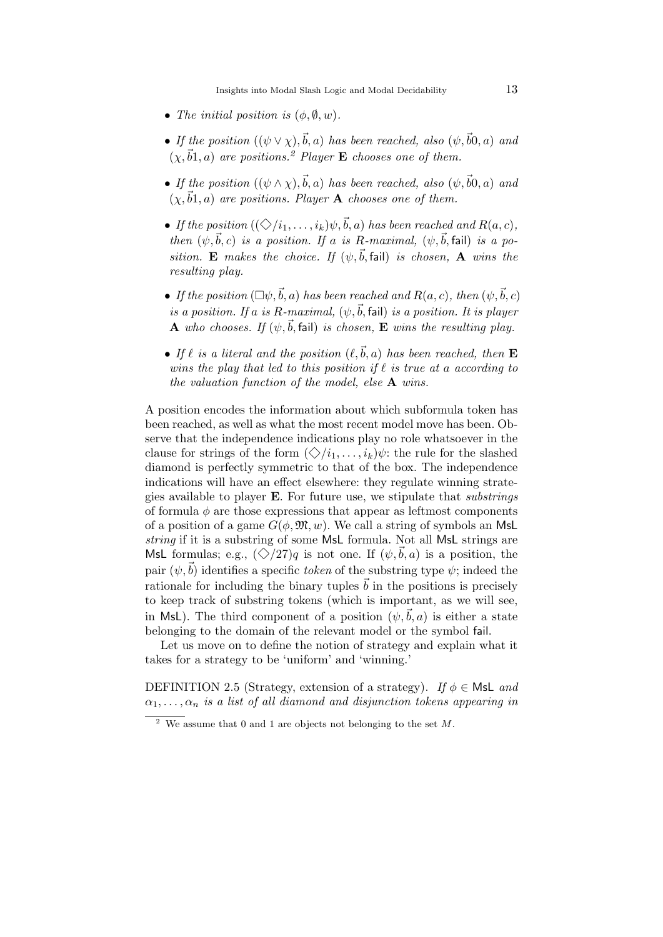Insights into Modal Slash Logic and Modal Decidability 13

- The initial position is  $(\phi, \emptyset, w)$ .
- If the position  $((\psi \vee \chi), \vec{b}, a)$  has been reached, also  $(\psi, \vec{b}0, a)$  and  $(\chi, \vec{b}_1, a)$  are positions.<sup>2</sup> Player **E** chooses one of them.
- If the position  $((\psi \wedge \chi), \vec{b}, a)$  has been reached, also  $(\psi, \vec{b}0, a)$  and  $(\chi, \vec{b}_1, a)$  are positions. Player A chooses one of them.
- If the position  $((\diamondsuit/i_1, \ldots, i_k)\psi, \vec{b}, a)$  has been reached and  $R(a, c)$ , then  $(\psi, \vec{b}, c)$  is a position. If a is R-maximal,  $(\psi, \vec{b}, \text{fail})$  is a position. E makes the choice. If  $(\psi, \vec{b}, \text{fail})$  is chosen, A wins the resulting play.
- If the position  $(\Box \psi, \vec{b}, a)$  has been reached and  $R(a, c)$ , then  $(\psi, \vec{b}, c)$ is a position. If a is R-maximal,  $(\psi, \vec{b}, \text{fail})$  is a position. It is player **A** who chooses. If  $(\psi, \vec{b}, \text{fail})$  is chosen, **E** wins the resulting play.
- If  $\ell$  is a literal and the position  $(\ell, \vec{b}, a)$  has been reached, then **E** wins the play that led to this position if  $\ell$  is true at a according to the valuation function of the model, else A wins.

A position encodes the information about which subformula token has been reached, as well as what the most recent model move has been. Observe that the independence indications play no role whatsoever in the clause for strings of the form  $(\diamondsuit/i_1, \ldots, i_k)\psi$ : the rule for the slashed diamond is perfectly symmetric to that of the box. The independence indications will have an effect elsewhere: they regulate winning strategies available to player E. For future use, we stipulate that substrings of formula  $\phi$  are those expressions that appear as leftmost components of a position of a game  $G(\phi, \mathfrak{M}, w)$ . We call a string of symbols an MsL string if it is a substring of some MsL formula. Not all MsL strings are MsL formulas; e.g.,  $(\diamondsuit/27)q$  is not one. If  $(\psi,\vec{b},a)$  is a position, the pair  $(\psi,\vec{b})$  identifies a specific token of the substring type  $\psi$ ; indeed the rationale for including the binary tuples  $\vec{b}$  in the positions is precisely to keep track of substring tokens (which is important, as we will see, in MsL). The third component of a position  $(\psi,\vec{b},a)$  is either a state belonging to the domain of the relevant model or the symbol fail.

Let us move on to define the notion of strategy and explain what it takes for a strategy to be 'uniform' and 'winning.'

DEFINITION 2.5 (Strategy, extension of a strategy). If  $\phi \in \mathsf{Msl}$  and  $\alpha_1, \ldots, \alpha_n$  is a list of all diamond and disjunction tokens appearing in

<sup>&</sup>lt;sup>2</sup> We assume that 0 and 1 are objects not belonging to the set  $M$ .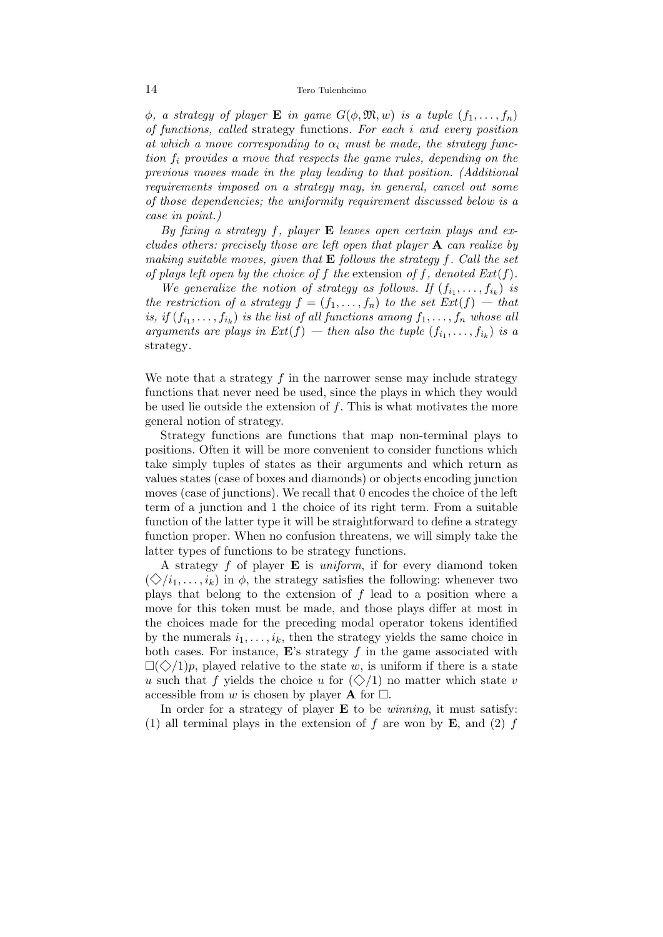#### 14 Tero Tulenheimo

 $\phi$ , a strategy of player **E** in game  $G(\phi, \mathfrak{M}, w)$  is a tuple  $(f_1, \ldots, f_n)$ of functions, called strategy functions. For each i and every position at which a move corresponding to  $\alpha_i$  must be made, the strategy function f<sup>i</sup> provides a move that respects the game rules, depending on the previous moves made in the play leading to that position. (Additional requirements imposed on a strategy may, in general, cancel out some of those dependencies; the uniformity requirement discussed below is a case in point.)

By fixing a strategy f, player **E** leaves open certain plays and excludes others: precisely those are left open that player  $\bf{A}$  can realize by making suitable moves, given that  $E$  follows the strategy f. Call the set of plays left open by the choice of f the extension of f, denoted  $Ext(f)$ .

We generalize the notion of strategy as follows. If  $(f_{i_1},...,f_{i_k})$  is the restriction of a strategy  $f = (f_1, \ldots, f_n)$  to the set  $Ext(f)$  — that is, if  $(f_{i_1},...,f_{i_k})$  is the list of all functions among  $f_1,...,f_n$  whose all arguments are plays in  $Ext(f)$  — then also the tuple  $(f_{i_1},...,f_{i_k})$  is a strategy.

We note that a strategy  $f$  in the narrower sense may include strategy functions that never need be used, since the plays in which they would be used lie outside the extension of  $f$ . This is what motivates the more general notion of strategy.

Strategy functions are functions that map non-terminal plays to positions. Often it will be more convenient to consider functions which take simply tuples of states as their arguments and which return as values states (case of boxes and diamonds) or objects encoding junction moves (case of junctions). We recall that 0 encodes the choice of the left term of a junction and 1 the choice of its right term. From a suitable function of the latter type it will be straightforward to define a strategy function proper. When no confusion threatens, we will simply take the latter types of functions to be strategy functions.

A strategy  $f$  of player **E** is *uniform*, if for every diamond token  $(\diamondsuit/i_1, \ldots, i_k)$  in  $\phi$ , the strategy satisfies the following: whenever two plays that belong to the extension of  $f$  lead to a position where a move for this token must be made, and those plays differ at most in the choices made for the preceding modal operator tokens identified by the numerals  $i_1, \ldots, i_k$ , then the strategy yields the same choice in both cases. For instance,  $\mathbf{E}$ 's strategy f in the game associated with  $\Box(\Diamond/1)p$ , played relative to the state w, is uniform if there is a state u such that f yields the choice u for  $(\diamondsuit/1)$  no matter which state v accessible from w is chosen by player **A** for  $\Box$ .

In order for a strategy of player  $E$  to be *winning*, it must satisfy: (1) all terminal plays in the extension of f are won by  $\bf{E}$ , and (2) f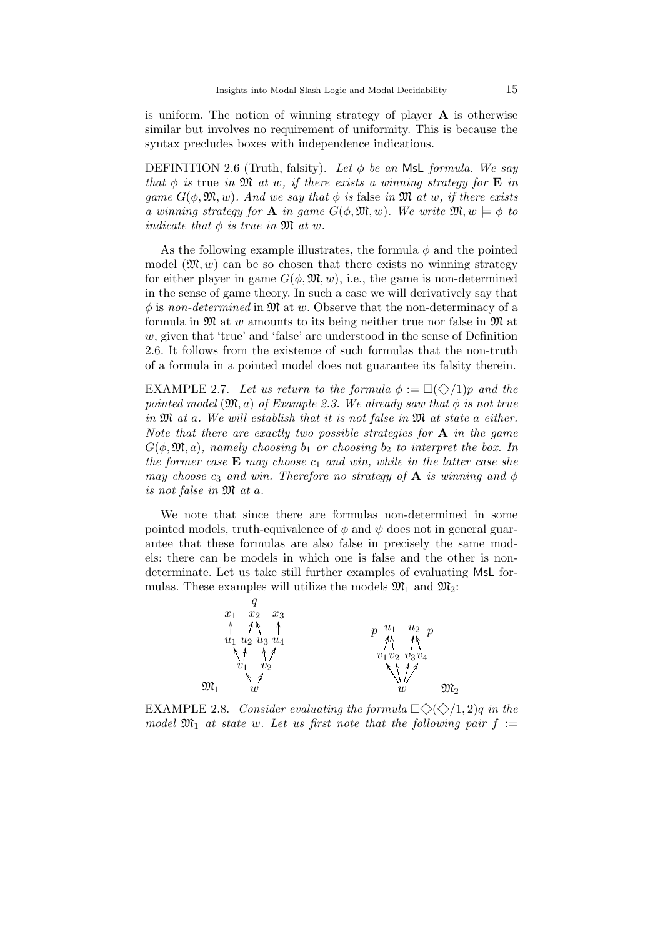is uniform. The notion of winning strategy of player A is otherwise similar but involves no requirement of uniformity. This is because the syntax precludes boxes with independence indications.

DEFINITION 2.6 (Truth, falsity). Let  $\phi$  be an MsL formula. We say that  $\phi$  is true in M at w, if there exists a winning strategy for **E** in game  $G(\phi, \mathfrak{M}, w)$ . And we say that  $\phi$  is false in  $\mathfrak{M}$  at w, if there exists a winning strategy for **A** in game  $G(\phi, \mathfrak{M}, w)$ . We write  $\mathfrak{M}, w \models \phi$  to indicate that  $\phi$  is true in  $\mathfrak{M}$  at w.

As the following example illustrates, the formula  $\phi$  and the pointed model  $(\mathfrak{M}, w)$  can be so chosen that there exists no winning strategy for either player in game  $G(\phi, \mathfrak{M}, w)$ , i.e., the game is non-determined in the sense of game theory. In such a case we will derivatively say that  $\phi$  is non-determined in  $\mathfrak{M}$  at w. Observe that the non-determinacy of a formula in  $\mathfrak{M}$  at w amounts to its being neither true nor false in  $\mathfrak{M}$  at w, given that 'true' and 'false' are understood in the sense of Definition 2.6. It follows from the existence of such formulas that the non-truth of a formula in a pointed model does not guarantee its falsity therein.

EXAMPLE 2.7. Let us return to the formula  $\phi := \Box(\Diamond/1)p$  and the pointed model  $(\mathfrak{M},a)$  of Example 2.3. We already saw that  $\phi$  is not true in  $\mathfrak{M}$  at a. We will establish that it is not false in  $\mathfrak{M}$  at state a either. Note that there are exactly two possible strategies for  $A$  in the game  $G(\phi, \mathfrak{M}, a)$ , namely choosing  $b_1$  or choosing  $b_2$  to interpret the box. In the former case  $E$  may choose  $c_1$  and win, while in the latter case she may choose  $c_3$  and win. Therefore no strategy of  $\bf{A}$  is winning and  $\phi$ is not false in M at a.

We note that since there are formulas non-determined in some pointed models, truth-equivalence of  $\phi$  and  $\psi$  does not in general guarantee that these formulas are also false in precisely the same models: there can be models in which one is false and the other is nondeterminate. Let us take still further examples of evaluating MsL formulas. These examples will utilize the models  $\mathfrak{M}_1$  and  $\mathfrak{M}_2$ :



EXAMPLE 2.8. Consider evaluating the formula  $\Box \Diamond \Diamond /1, 2)$ q in the model  $\mathfrak{M}_1$  at state w. Let us first note that the following pair  $f :=$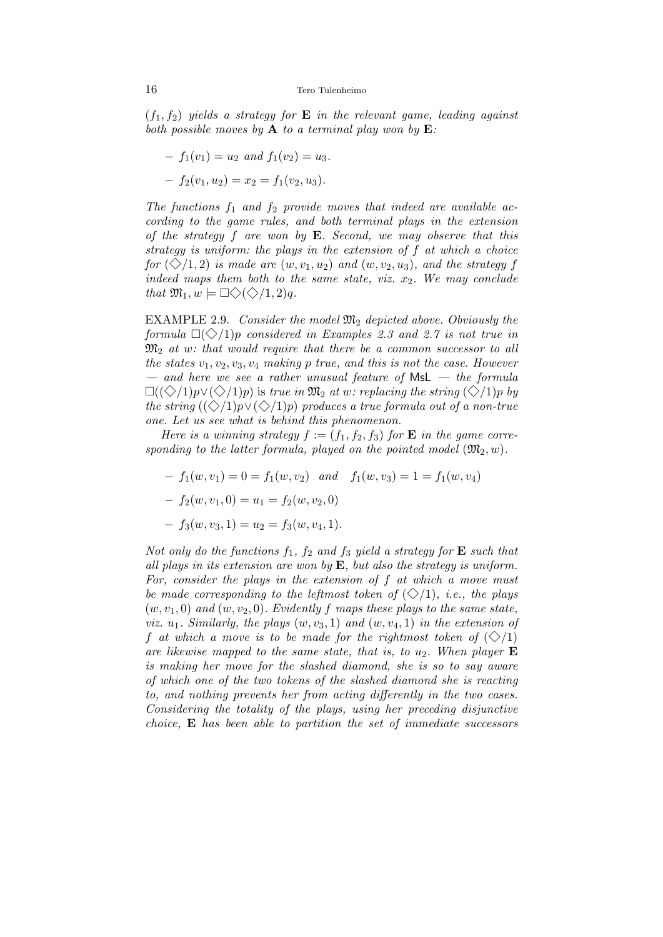$(f_1, f_2)$  yields a strategy for **E** in the relevant game, leading against both possible moves by  $A$  to a terminal play won by  $E$ :

$$
- f_1(v_1) = u_2 \text{ and } f_1(v_2) = u_3.
$$
  

$$
- f_2(v_1, u_2) = x_2 = f_1(v_2, u_3).
$$

The functions  $f_1$  and  $f_2$  provide moves that indeed are available according to the game rules, and both terminal plays in the extension of the strategy  $f$  are won by  $E$ . Second, we may observe that this strategy is uniform: the plays in the extension of f at which a choice for  $(\diamondsuit/1, 2)$  is made are  $(w, v_1, u_2)$  and  $(w, v_2, u_3)$ , and the strategy f indeed maps them both to the same state, viz.  $x_2$ . We may conclude that  $\mathfrak{M}_1, w \models \Box \Diamond \langle \Diamond \rangle 1, 2)q.$ 

EXAMPLE 2.9. Consider the model  $\mathfrak{M}_2$  depicted above. Obviously the formula  $\Box(\Diamond/1)p$  considered in Examples 2.3 and 2.7 is not true in  $\mathfrak{M}_2$  at w: that would require that there be a common successor to all the states  $v_1, v_2, v_3, v_4$  making p true, and this is not the case. However — and here we see a rather unusual feature of  $MSL -$  the formula  $\Box((\Diamond/1)p)(\Diamond/1)p)$  is true in  $\mathfrak{M}_2$  at w: replacing the string  $(\Diamond/1)p$  by the string  $(\langle \diamond \rangle/1)p \vee (\diamondsuit/1)p$  produces a true formula out of a non-true one. Let us see what is behind this phenomenon.

Here is a winning strategy  $f := (f_1, f_2, f_3)$  for **E** in the game corresponding to the latter formula, played on the pointed model  $(\mathfrak{M}_2, w)$ .

- $f_1(w, v_1) = 0 = f_1(w, v_2)$  and  $f_1(w, v_3) = 1 = f_1(w, v_4)$
- $-f_2(w, v_1, 0) = u_1 = f_2(w, v_2, 0)$
- $-f_3(w, v_3, 1) = u_2 = f_3(w, v_4, 1).$

Not only do the functions  $f_1$ ,  $f_2$  and  $f_3$  yield a strategy for **E** such that all plays in its extension are won by  $E$ , but also the strategy is uniform. For, consider the plays in the extension of  $f$  at which a move must be made corresponding to the leftmost token of  $(\diamondsuit/1)$ , i.e., the plays  $(w, v_1, 0)$  and  $(w, v_2, 0)$ . Evidently f maps these plays to the same state, viz.  $u_1$ . Similarly, the plays  $(w, v_3, 1)$  and  $(w, v_4, 1)$  in the extension of f at which a move is to be made for the rightmost token of  $(\diamondsuit/1)$ are likewise mapped to the same state, that is, to  $u_2$ . When player **E** is making her move for the slashed diamond, she is so to say aware of which one of the two tokens of the slashed diamond she is reacting to, and nothing prevents her from acting differently in the two cases. Considering the totality of the plays, using her preceding disjunctive choice,  $\bf{E}$  has been able to partition the set of immediate successors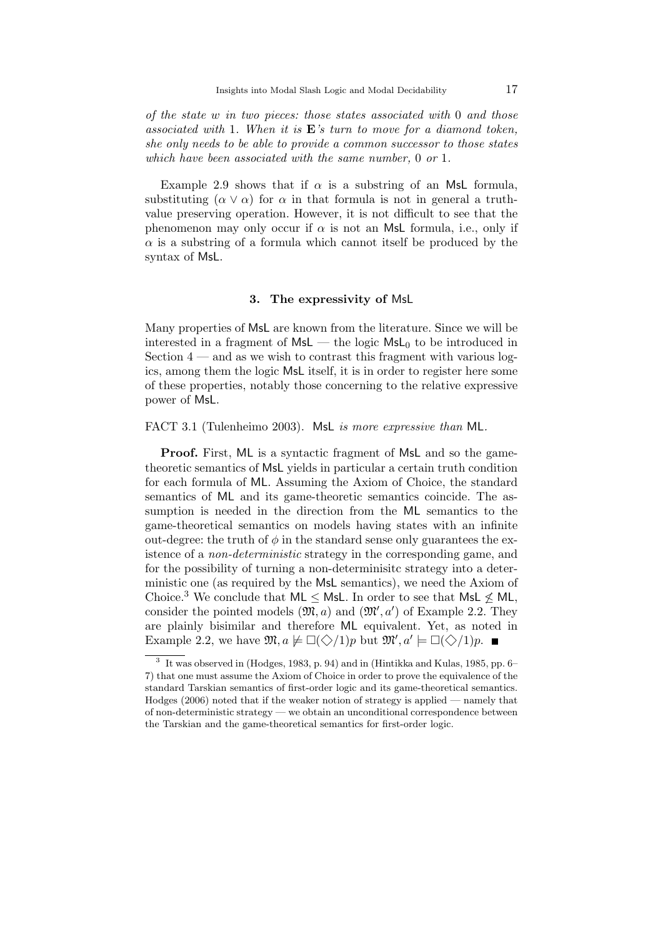of the state w in two pieces: those states associated with 0 and those associated with 1. When it is  $E$ 's turn to move for a diamond token, she only needs to be able to provide a common successor to those states which have been associated with the same number, 0 or 1.

Example 2.9 shows that if  $\alpha$  is a substring of an MsL formula, substituting  $(\alpha \vee \alpha)$  for  $\alpha$  in that formula is not in general a truthvalue preserving operation. However, it is not difficult to see that the phenomenon may only occur if  $\alpha$  is not an MsL formula, i.e., only if  $\alpha$  is a substring of a formula which cannot itself be produced by the syntax of MsL.

#### 3. The expressivity of MsL

Many properties of MsL are known from the literature. Since we will be interested in a fragment of  $MSL$  — the logic  $MSL_0$  to be introduced in Section  $4$  — and as we wish to contrast this fragment with various logics, among them the logic MsL itself, it is in order to register here some of these properties, notably those concerning to the relative expressive power of MsL.

FACT 3.1 (Tulenheimo 2003). MsL is more expressive than ML.

Proof. First, ML is a syntactic fragment of MsL and so the gametheoretic semantics of MsL yields in particular a certain truth condition for each formula of ML. Assuming the Axiom of Choice, the standard semantics of ML and its game-theoretic semantics coincide. The assumption is needed in the direction from the ML semantics to the game-theoretical semantics on models having states with an infinite out-degree: the truth of  $\phi$  in the standard sense only guarantees the existence of a non-deterministic strategy in the corresponding game, and for the possibility of turning a non-determinisitc strategy into a deterministic one (as required by the MsL semantics), we need the Axiom of Choice.<sup>3</sup> We conclude that  $ML \leq MSL$ . In order to see that  $MSL \nleq ML$ , consider the pointed models  $(\mathfrak{M}, a)$  and  $(\mathfrak{M}', a')$  of Example 2.2. They are plainly bisimilar and therefore ML equivalent. Yet, as noted in Example 2.2, we have  $\mathfrak{M}, a \not\models \Box(\Diamond/1)p$  but  $\mathfrak{M}', a' \models \Box(\Diamond/1)p$ .

<sup>3</sup> It was observed in (Hodges, 1983, p. 94) and in (Hintikka and Kulas, 1985, pp. 6– 7) that one must assume the Axiom of Choice in order to prove the equivalence of the standard Tarskian semantics of first-order logic and its game-theoretical semantics. Hodges (2006) noted that if the weaker notion of strategy is applied — namely that of non-deterministic strategy — we obtain an unconditional correspondence between the Tarskian and the game-theoretical semantics for first-order logic.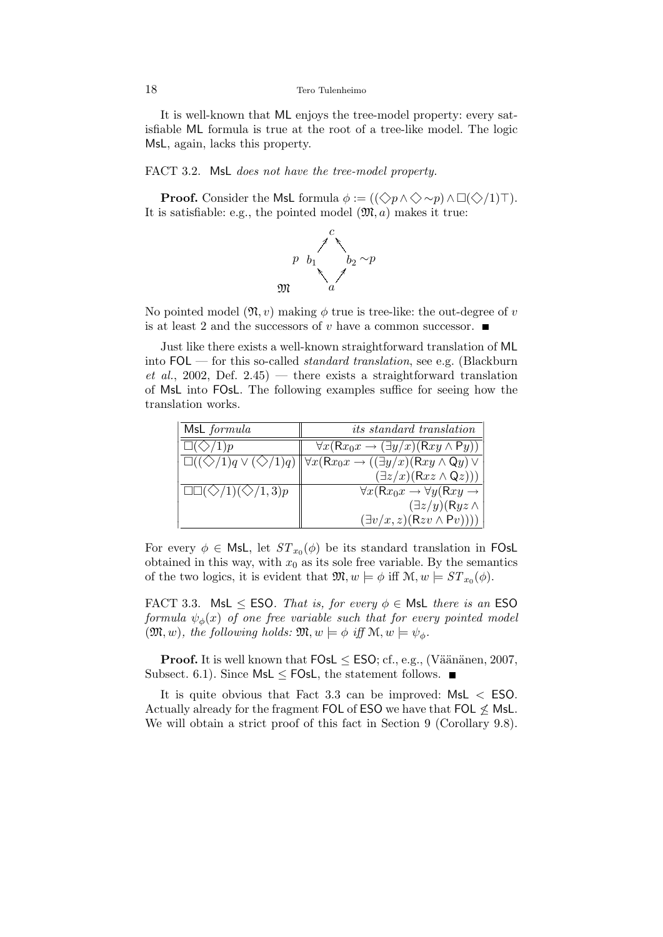It is well-known that ML enjoys the tree-model property: every satisfiable ML formula is true at the root of a tree-like model. The logic MsL, again, lacks this property.

#### FACT 3.2. MsL does not have the tree-model property.

**Proof.** Consider the MsL formula  $\phi := ((\Diamond p \land \Diamond \sim p) \land \Box(\Diamond/1) \top).$ It is satisfiable: e.g., the pointed model  $(\mathfrak{M}, a)$  makes it true:



No pointed model  $(\mathfrak{N}, v)$  making  $\phi$  true is tree-like: the out-degree of v is at least 2 and the successors of v have a common successor.  $\blacksquare$ 

Just like there exists a well-known straightforward translation of ML into  $FOL$  — for this so-called *standard translation*, see e.g. (Blackburn et al., 2002, Def. 2.45) — there exists a straightforward translation of MsL into FOsL. The following examples suffice for seeing how the translation works.

| MsL formula                                         | <i>its standard translation</i>                                                                                                                 |
|-----------------------------------------------------|-------------------------------------------------------------------------------------------------------------------------------------------------|
| $\sqrt{5}/1$ )p                                     | $\forall x (Rx_0x \rightarrow (\exists y/x)(Rxy \land Py))$                                                                                     |
|                                                     | $\Box((\Diamond/1)q \vee (\Diamond/1)q) \bigvee \forall x (Rx_0x \rightarrow ((\exists y/x)(Rxy \wedge Qy) \vee (\exists z/x)(Rxz \wedge Qz)))$ |
|                                                     |                                                                                                                                                 |
| $\square\square(\diamondsuit/1)(\diamondsuit/1,3)p$ | $\forall x (Rx_0x \rightarrow \forall y (Rxy \rightarrow$                                                                                       |
|                                                     | $(\exists z/y)(Ryz \wedge$                                                                                                                      |
|                                                     | $(\exists v/x, z)(Rzv \wedge Pv))))$                                                                                                            |

For every  $\phi \in \mathsf{Msl},$  let  $ST_{x_0}(\phi)$  be its standard translation in FOsL obtained in this way, with  $x_0$  as its sole free variable. By the semantics of the two logics, it is evident that  $\mathfrak{M}, w \models \phi$  iff  $\mathfrak{M}, w \models ST_{x_0}(\phi)$ .

FACT 3.3. MsL  $\leq$  ESO. That is, for every  $\phi \in$  MsL there is an ESO formula  $\psi_{\phi}(x)$  of one free variable such that for every pointed model  $(\mathfrak{M}, w)$ , the following holds:  $\mathfrak{M}, w \models \phi$  iff  $\mathfrak{M}, w \models \psi_{\phi}$ .

**Proof.** It is well known that  $FOSL \leq ESO$ ; cf., e.g., (Väänänen, 2007, Subsect. 6.1). Since  $MsL \leq FOsL$ , the statement follows.

It is quite obvious that Fact 3.3 can be improved: MsL < ESO. Actually already for the fragment FOL of ESO we have that FOL  $\nleq$  MsL. We will obtain a strict proof of this fact in Section 9 (Corollary 9.8).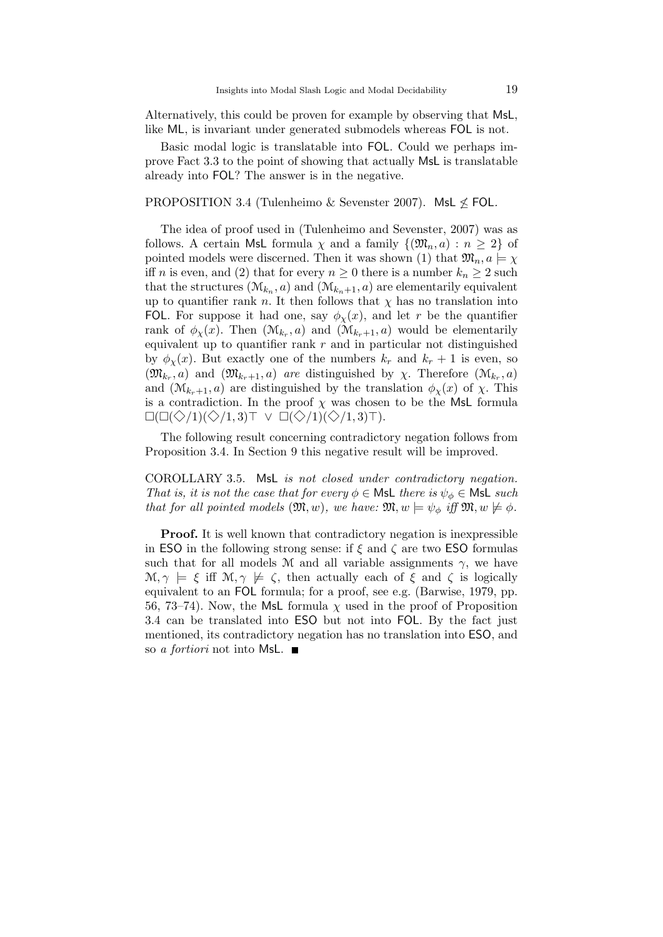Alternatively, this could be proven for example by observing that MsL, like ML, is invariant under generated submodels whereas FOL is not.

Basic modal logic is translatable into FOL. Could we perhaps improve Fact 3.3 to the point of showing that actually MsL is translatable already into FOL? The answer is in the negative.

#### PROPOSITION 3.4 (Tulenheimo & Sevenster 2007). MsL  $\le$  FOL.

The idea of proof used in (Tulenheimo and Sevenster, 2007) was as follows. A certain MsL formula  $\chi$  and a family  $\{(\mathfrak{M}_n, a) : n \geq 2\}$  of pointed models were discerned. Then it was shown (1) that  $\mathfrak{M}_n, a \models \chi$ iff *n* is even, and (2) that for every  $n \geq 0$  there is a number  $k_n \geq 2$  such that the structures  $(\mathcal{M}_{k_n}, a)$  and  $(\mathcal{M}_{k_n+1}, a)$  are elementarily equivalent up to quantifier rank n. It then follows that  $\chi$  has no translation into FOL. For suppose it had one, say  $\phi_{\chi}(x)$ , and let r be the quantifier rank of  $\phi_{\chi}(x)$ . Then  $(\mathcal{M}_{k_r}, a)$  and  $(\mathcal{M}_{k_r+1}, a)$  would be elementarily equivalent up to quantifier rank  $r$  and in particular not distinguished by  $\phi_{\rm y}(x)$ . But exactly one of the numbers  $k_r$  and  $k_r + 1$  is even, so  $(\mathfrak{M}_{k_r}, a)$  and  $(\mathfrak{M}_{k_r+1}, a)$  are distinguished by  $\chi$ . Therefore  $(\mathfrak{M}_{k_r}, a)$ and  $(\mathcal{M}_{k+1}, a)$  are distinguished by the translation  $\phi_{\chi}(x)$  of  $\chi$ . This is a contradiction. In the proof  $\chi$  was chosen to be the MsL formula  $\Box(\Box(\Diamond/1)(\Diamond/1,3)\top \vee \Box(\Diamond/1)(\Diamond/1,3)\top).$ 

The following result concerning contradictory negation follows from Proposition 3.4. In Section 9 this negative result will be improved.

COROLLARY 3.5. MsL is not closed under contradictory negation. That is, it is not the case that for every  $\phi \in \mathsf{Msl}$  there is  $\psi_{\phi} \in \mathsf{Msl}$  such that for all pointed models  $(\mathfrak{M}, w)$ , we have:  $\mathfrak{M}, w \models \psi_{\phi}$  iff  $\mathfrak{M}, w \not\models \phi$ .

Proof. It is well known that contradictory negation is inexpressible in ESO in the following strong sense: if  $\xi$  and  $\zeta$  are two ESO formulas such that for all models M and all variable assignments  $\gamma$ , we have  $\mathcal{M}, \gamma \models \xi$  iff  $\mathcal{M}, \gamma \not\models \zeta$ , then actually each of  $\xi$  and  $\zeta$  is logically equivalent to an FOL formula; for a proof, see e.g. (Barwise, 1979, pp. 56, 73–74). Now, the MsL formula  $\chi$  used in the proof of Proposition 3.4 can be translated into ESO but not into FOL. By the fact just mentioned, its contradictory negation has no translation into ESO, and so a fortiori not into MsL.  $\blacksquare$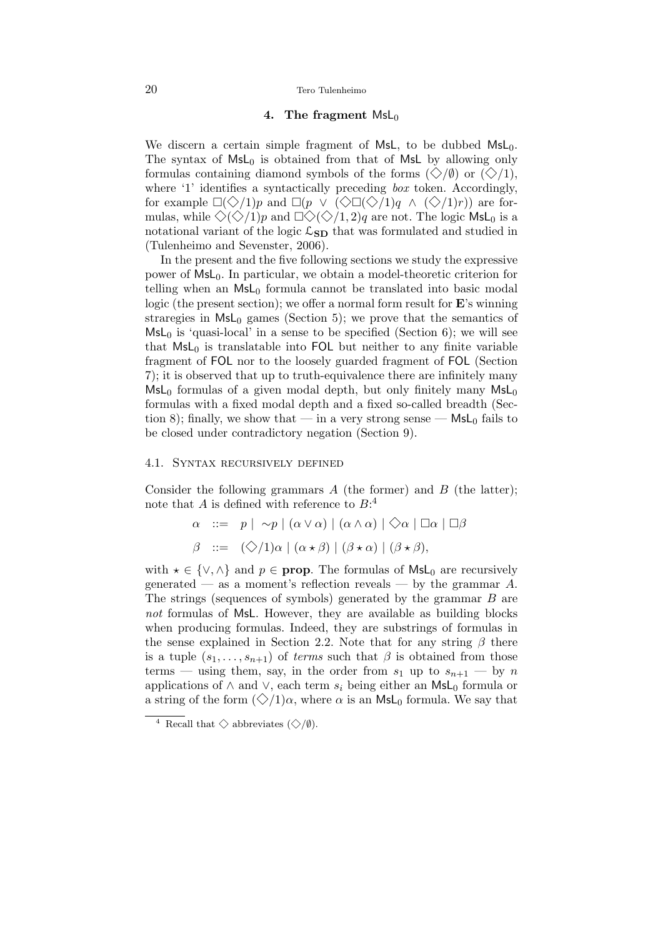## 4. The fragment  $MsL_0$

We discern a certain simple fragment of MsL, to be dubbed  $MsL<sub>0</sub>$ . The syntax of  $MsL_0$  is obtained from that of MsL by allowing only formulas containing diamond symbols of the forms  $(\diamondsuit/\emptyset)$  or  $(\diamondsuit/1)$ , where '1' identifies a syntactically preceding *box* token. Accordingly, for example  $\Box(\Diamond/1)p$  and  $\Box(p \vee (\Diamond \Box(\Diamond/1)q \wedge (\Diamond/1)r))$  are formulas, while  $\Diamond(\Diamond/1)p$  and  $\Box \Diamond(\Diamond/1, 2)q$  are not. The logic MsL<sub>0</sub> is a notational variant of the logic  $\mathcal{L}_{SD}$  that was formulated and studied in (Tulenheimo and Sevenster, 2006).

In the present and the five following sections we study the expressive power of  $MsL_0$ . In particular, we obtain a model-theoretic criterion for telling when an  $MsL_0$  formula cannot be translated into basic modal logic (the present section); we offer a normal form result for E's winning straregies in  $\textsf{MsL}_0$  games (Section 5); we prove that the semantics of  $MsL<sub>0</sub>$  is 'quasi-local' in a sense to be specified (Section 6); we will see that  $MsL_0$  is translatable into FOL but neither to any finite variable fragment of FOL nor to the loosely guarded fragment of FOL (Section 7); it is observed that up to truth-equivalence there are infinitely many  $MsL<sub>0</sub>$  formulas of a given modal depth, but only finitely many  $MsL<sub>0</sub>$ formulas with a fixed modal depth and a fixed so-called breadth (Section 8); finally, we show that — in a very strong sense —  $MsL_0$  fails to be closed under contradictory negation (Section 9).

#### 4.1. Syntax recursively defined

Consider the following grammars  $A$  (the former) and  $B$  (the latter); note that A is defined with reference to  $B$ <sup>4</sup>

$$
\alpha \ ::= p \mid \sim p \mid (\alpha \vee \alpha) \mid (\alpha \wedge \alpha) \mid \diamondsuit \alpha \mid \Box \alpha \mid \Box \beta
$$
  

$$
\beta \ ::= (\diamondsuit/1) \alpha \mid (\alpha \star \beta) \mid (\beta \star \alpha) \mid (\beta \star \beta),
$$

with  $\star \in \{\vee, \wedge\}$  and  $p \in \text{prop}$ . The formulas of MsL<sub>0</sub> are recursively generated — as a moment's reflection reveals — by the grammar  $A$ . The strings (sequences of symbols) generated by the grammar B are not formulas of MsL. However, they are available as building blocks when producing formulas. Indeed, they are substrings of formulas in the sense explained in Section 2.2. Note that for any string  $\beta$  there is a tuple  $(s_1, \ldots, s_{n+1})$  of terms such that  $\beta$  is obtained from those terms — using them, say, in the order from  $s_1$  up to  $s_{n+1}$  — by n applications of  $\wedge$  and  $\vee$ , each term  $s_i$  being either an MsL<sub>0</sub> formula or a string of the form  $(\diamondsuit/1)\alpha$ , where  $\alpha$  is an MsL<sub>0</sub> formula. We say that

 $\overline{4}$  Recall that  $\diamondsuit$  abbreviates  $(\diamondsuit/\emptyset)$ .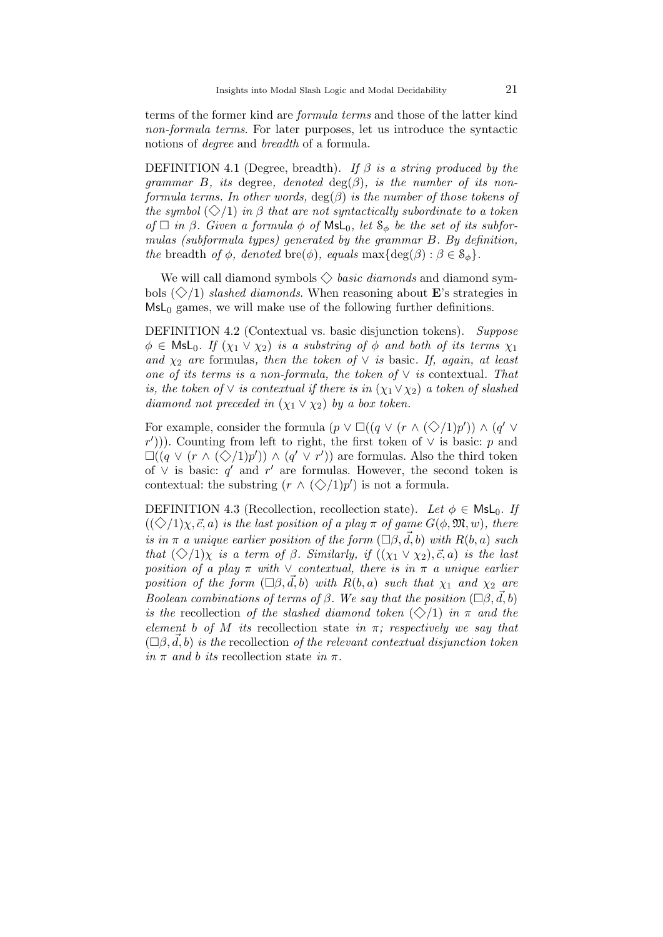terms of the former kind are formula terms and those of the latter kind non-formula terms. For later purposes, let us introduce the syntactic notions of degree and breadth of a formula.

DEFINITION 4.1 (Degree, breadth). If  $\beta$  is a string produced by the grammar B, its degree, denoted  $deg(\beta)$ , is the number of its nonformula terms. In other words,  $deg(\beta)$  is the number of those tokens of the symbol  $(\diamondsuit/1)$  in  $\beta$  that are not syntactically subordinate to a token of  $\Box$  in  $\beta$ . Given a formula  $\phi$  of  $\mathsf{Msl}_0$ , let  $\mathcal{S}_\phi$  be the set of its subformulas (subformula types) generated by the grammar B. By definition, the breadth of  $\phi$ , denoted bre( $\phi$ ), equals max $\{\deg(\beta) : \beta \in \mathcal{S}_{\phi}\}.$ 

We will call diamond symbols  $\Diamond$  basic diamonds and diamond symbols  $(\diamondsuit/1)$  slashed diamonds. When reasoning about **E**'s strategies in  $MsL<sub>0</sub>$  games, we will make use of the following further definitions.

DEFINITION 4.2 (Contextual vs. basic disjunction tokens). Suppose  $\phi \in \mathsf{Msl}_0$ . If  $(\chi_1 \vee \chi_2)$  is a substring of  $\phi$  and both of its terms  $\chi_1$ and  $\chi_2$  are formulas, then the token of  $\vee$  is basic. If, again, at least one of its terms is a non-formula, the token of  $\vee$  is contextual. That is, the token of  $\vee$  is contextual if there is in  $(\chi_1 \vee \chi_2)$  a token of slashed diamond not preceded in  $(\chi_1 \vee \chi_2)$  by a box token.

For example, consider the formula  $(p \vee \Box((q \vee (r \wedge (\Diamond/1)p')) \wedge (q' \vee$  $(r')$ )). Counting from left to right, the first token of  $\vee$  is basic: p and  $\square((q \vee (r \wedge (\diamondsuit/1)p')) \wedge (q' \vee r'))$  are formulas. Also the third token of  $\vee$  is basic: q' and r' are formulas. However, the second token is contextual: the substring  $(r \wedge (\bigotimes /1)p')$  is not a formula.

DEFINITION 4.3 (Recollection, recollection state). Let  $\phi \in \mathsf{Msl}_0$ . If  $((\diamondsuit/1)\chi, \vec{c}, a)$  is the last position of a play  $\pi$  of game  $G(\phi, \mathfrak{M}, w)$ , there is in  $\pi$  a unique earlier position of the form  $(\Box \beta, \vec{d}, b)$  with  $R(b, a)$  such that  $(\diamondsuit/1)_\chi$  is a term of  $\beta$ . Similarly, if  $((\chi_1 \vee \chi_2), \vec{c}, a)$  is the last position of a play  $\pi$  with  $\vee$  contextual, there is in  $\pi$  a unique earlier position of the form  $(\Box \beta, \vec{d}, b)$  with  $R(b, a)$  such that  $\chi_1$  and  $\chi_2$  are Boolean combinations of terms of  $\beta$ . We say that the position  $(\Box \beta, \vec{d}, b)$ is the recollection of the slashed diamond token  $(\diamondsuit/1)$  in  $\pi$  and the element b of M its recollection state in  $\pi$ ; respectively we say that  $(\Box \beta, \vec{d}, b)$  is the recollection of the relevant contextual disjunction token in  $\pi$  and b its recollection state in  $\pi$ .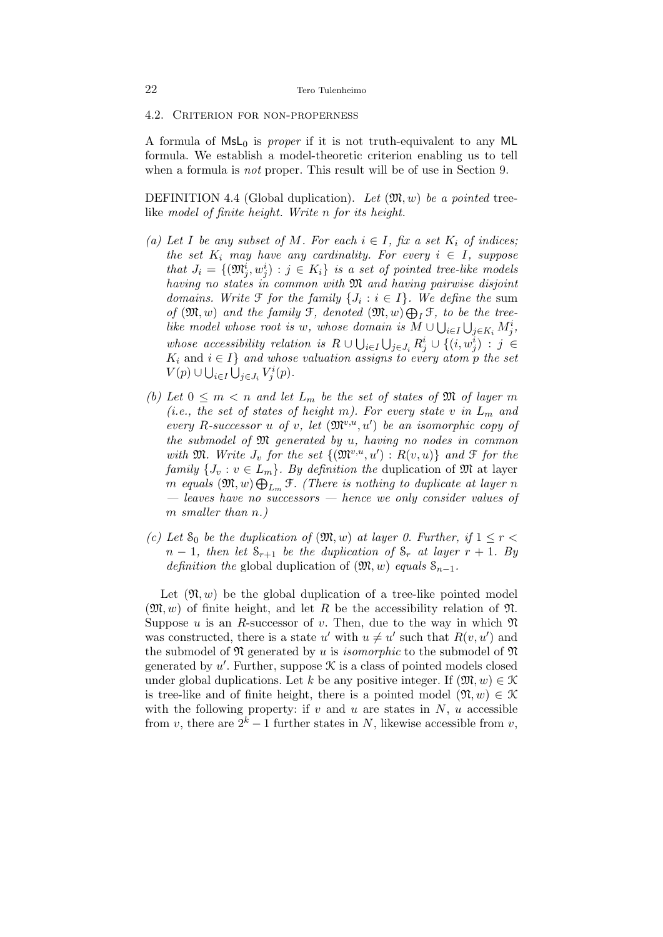4.2. Criterion for non-properness

A formula of  $MSL_0$  is *proper* if it is not truth-equivalent to any ML formula. We establish a model-theoretic criterion enabling us to tell when a formula is *not* proper. This result will be of use in Section 9.

DEFINITION 4.4 (Global duplication). Let  $(\mathfrak{M}, w)$  be a pointed treelike model of finite height. Write n for its height.

- (a) Let I be any subset of M. For each  $i \in I$ , fix a set  $K_i$  of indices; the set  $K_i$  may have any cardinality. For every  $i \in I$ , suppose that  $J_i = \{(\mathfrak{M}_j^i, w_j^i) : j \in K_i\}$  is a set of pointed tree-like models having no states in common with  $\mathfrak{M}$  and having pairwise disjoint domains. Write  $\mathfrak F$  for the family  $\{J_i : i \in I\}$ . We define the sum of  $(\mathfrak{M}, w)$  and the family  $\mathfrak{F}$ , denoted  $(\mathfrak{M}, w) \bigoplus_I \mathfrak{F}$ , to be the treelike model whose root is w, whose domain is  $M \cup \bigcup_{i \in I} \bigcup_{j \in K_i} M_j^i$ , whose accessibility relation is  $R \cup \bigcup_{i \in I} \bigcup_{j \in J_i} R_j^i \cup \{(i, w_j^i) : j \in I_j\}$  $K_i$  and  $i \in I$  and whose valuation assigns to every atom p the set  $V(p) \cup \bigcup_{i \in I} \bigcup_{j \in J_i} V^i_j(p).$
- (b) Let  $0 \leq m < n$  and let  $L_m$  be the set of states of  $\mathfrak{M}$  of layer m (i.e., the set of states of height m). For every state v in  $L_m$  and every R-successor u of v, let  $(\mathfrak{M}^{v,u}, u')$  be an isomorphic copy of the submodel of  $\mathfrak{M}$  generated by  $u$ , having no nodes in common with  $\mathfrak{M}$ . Write  $J_v$  for the set  $\{(\mathfrak{M}^{v,u}, u'): R(v, u)\}\)$  and  $\mathfrak{F}$  for the family  $\{J_v : v \in L_m\}$ . By definition the duplication of M at layer m equals  $(\mathfrak{M}, w) \bigoplus_{L_m} \mathfrak{F}$ . (There is nothing to duplicate at layer n — leaves have no successors — hence we only consider values of m smaller than n.)
- (c) Let  $S_0$  be the duplication of  $(\mathfrak{M}, w)$  at layer 0. Further, if  $1 \leq r <$  $n-1$ , then let  $S_{r+1}$  be the duplication of  $S_r$  at layer  $r+1$ . By definition the global duplication of  $(\mathfrak{M}, w)$  equals  $\mathcal{S}_{n-1}$ .

Let  $(\mathfrak{N}, w)$  be the global duplication of a tree-like pointed model  $(\mathfrak{M}, w)$  of finite height, and let R be the accessibility relation of  $\mathfrak{N}$ . Suppose u is an R-successor of v. Then, due to the way in which  $\mathfrak{N}$ was constructed, there is a state  $u'$  with  $u \neq u'$  such that  $R(v, u')$  and the submodel of  $\mathfrak N$  generated by u is *isomorphic* to the submodel of  $\mathfrak N$ generated by  $u'$ . Further, suppose  $\mathcal K$  is a class of pointed models closed under global duplications. Let k be any positive integer. If  $(\mathfrak{M}, w) \in \mathcal{K}$ is tree-like and of finite height, there is a pointed model  $(\mathfrak{N}, w) \in \mathcal{K}$ with the following property: if v and u are states in  $N$ , u accessible from v, there are  $2^k - 1$  further states in N, likewise accessible from v,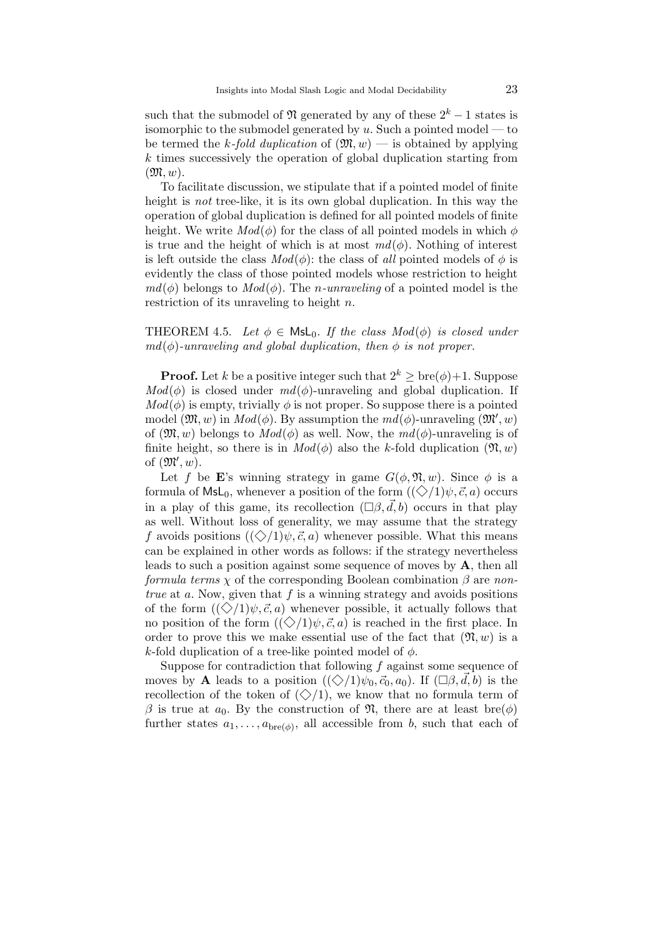such that the submodel of  $\mathfrak{N}$  generated by any of these  $2^k - 1$  states is isomorphic to the submodel generated by u. Such a pointed model — to be termed the k-fold duplication of  $(\mathfrak{M}, w)$  — is obtained by applying k times successively the operation of global duplication starting from  $(\mathfrak{M},w).$ 

To facilitate discussion, we stipulate that if a pointed model of finite height is *not* tree-like, it is its own global duplication. In this way the operation of global duplication is defined for all pointed models of finite height. We write  $Mod(\phi)$  for the class of all pointed models in which  $\phi$ is true and the height of which is at most  $md(\phi)$ . Nothing of interest is left outside the class  $Mod(\phi)$ : the class of all pointed models of  $\phi$  is evidently the class of those pointed models whose restriction to height  $md(\phi)$  belongs to  $Mod(\phi)$ . The *n*-unraveling of a pointed model is the restriction of its unraveling to height n.

THEOREM 4.5. Let  $\phi \in \mathsf{MsL}_0$ . If the class  $Mod(\phi)$  is closed under  $md(\phi)$ -unraveling and global duplication, then  $\phi$  is not proper.

**Proof.** Let k be a positive integer such that  $2^k \geq \text{bre}(\phi) + 1$ . Suppose  $Mod(\phi)$  is closed under  $md(\phi)$ -unraveling and global duplication. If  $Mod(\phi)$  is empty, trivially  $\phi$  is not proper. So suppose there is a pointed model  $(\mathfrak{M}, w)$  in  $Mod(\phi)$ . By assumption the  $md(\phi)$ -unraveling  $(\mathfrak{M}', w)$ of  $(\mathfrak{M}, w)$  belongs to  $Mod(\phi)$  as well. Now, the  $md(\phi)$ -unraveling is of finite height, so there is in  $Mod(\phi)$  also the k-fold duplication  $(\mathfrak{N}, w)$ of  $(\mathfrak{M}', w)$ .

Let f be E's winning strategy in game  $G(\phi, \mathfrak{N}, w)$ . Since  $\phi$  is a formula of  $\textsf{MsL}_0$ , whenever a position of the form  $(\langle \diamondsuit /1 \rangle \psi, \vec{c}, a)$  occurs in a play of this game, its recollection  $(\Box \beta, \vec{d}, b)$  occurs in that play as well. Without loss of generality, we may assume that the strategy f avoids positions  $((\diamondsuit/1)\psi, \vec{c}, a)$  whenever possible. What this means can be explained in other words as follows: if the strategy nevertheless leads to such a position against some sequence of moves by A, then all formula terms  $\chi$  of the corresponding Boolean combination  $\beta$  are nontrue at a. Now, given that  $f$  is a winning strategy and avoids positions of the form  $(\langle \diamondsuit /1 \rangle \psi, \vec{c}, a)$  whenever possible, it actually follows that no position of the form  $((\Diamond/1)\psi, \vec{c}, a)$  is reached in the first place. In order to prove this we make essential use of the fact that  $(\mathfrak{N}, w)$  is a k-fold duplication of a tree-like pointed model of  $\phi$ .

Suppose for contradiction that following  $f$  against some sequence of moves by **A** leads to a position  $((\diamondsuit/1)\psi_0, \vec{c}_0, a_0)$ . If  $(\Box \beta, \vec{d}, b)$  is the recollection of the token of  $(\diamondsuit/1)$ , we know that no formula term of β is true at  $a_0$ . By the construction of  $\mathfrak{N}$ , there are at least bre( $\phi$ ) further states  $a_1, \ldots, a_{\text{bre}(\phi)}$ , all accessible from b, such that each of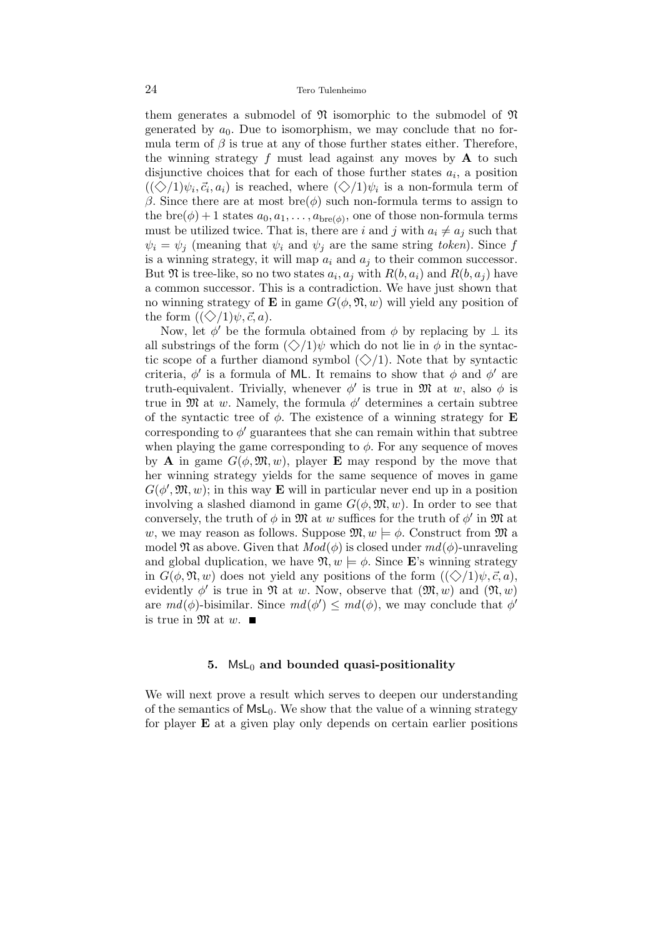them generates a submodel of  $\mathfrak N$  isomorphic to the submodel of  $\mathfrak N$ generated by  $a_0$ . Due to isomorphism, we may conclude that no formula term of  $\beta$  is true at any of those further states either. Therefore, the winning strategy f must lead against any moves by  $\bf{A}$  to such disjunctive choices that for each of those further states  $a_i$ , a position  $((\diamondsuit/1)\psi_i, \vec{c}_i, a_i)$  is reached, where  $(\diamondsuit/1)\psi_i$  is a non-formula term of β. Since there are at most bre( $φ$ ) such non-formula terms to assign to the bre $(\phi)$  + 1 states  $a_0, a_1, \ldots, a_{\text{bre}(\phi)}$ , one of those non-formula terms must be utilized twice. That is, there are i and j with  $a_i \neq a_j$  such that  $\psi_i = \psi_j$  (meaning that  $\psi_i$  and  $\psi_j$  are the same string token). Since f is a winning strategy, it will map  $a_i$  and  $a_j$  to their common successor. But  $\mathfrak N$  is tree-like, so no two states  $a_i, a_j$  with  $R(b, a_i)$  and  $R(b, a_j)$  have a common successor. This is a contradiction. We have just shown that no winning strategy of **E** in game  $G(\phi, \mathfrak{N}, w)$  will yield any position of the form  $((\diamondsuit/1)\psi, \vec{c}, a)$ .

Now, let  $\phi'$  be the formula obtained from  $\phi$  by replacing by  $\perp$  its all substrings of the form  $(\diamondsuit/1)\psi$  which do not lie in  $\phi$  in the syntactic scope of a further diamond symbol  $(\diamondsuit/1)$ . Note that by syntactic criteria,  $\phi'$  is a formula of ML. It remains to show that  $\phi$  and  $\phi'$  are truth-equivalent. Trivially, whenever  $\phi'$  is true in M at w, also  $\phi$  is true in  $\mathfrak{M}$  at w. Namely, the formula  $\phi'$  determines a certain subtree of the syntactic tree of  $\phi$ . The existence of a winning strategy for **E** corresponding to  $\phi'$  guarantees that she can remain within that subtree when playing the game corresponding to  $\phi$ . For any sequence of moves by **A** in game  $G(\phi, \mathfrak{M}, w)$ , player **E** may respond by the move that her winning strategy yields for the same sequence of moves in game  $G(\phi', \mathfrak{M}, w)$ ; in this way **E** will in particular never end up in a position involving a slashed diamond in game  $G(\phi, \mathfrak{M}, w)$ . In order to see that conversely, the truth of  $\phi$  in  $\mathfrak{M}$  at w suffices for the truth of  $\phi'$  in  $\mathfrak{M}$  at w, we may reason as follows. Suppose  $\mathfrak{M}, w \models \phi$ . Construct from  $\mathfrak{M}$  a model  $\mathfrak{N}$  as above. Given that  $Mod(\phi)$  is closed under  $md(\phi)$ -unraveling and global duplication, we have  $\mathfrak{N}, w \models \phi$ . Since **E**'s winning strategy in  $G(\phi, \mathfrak{N}, w)$  does not yield any positions of the form  $((\diamondsuit/1)\psi, \vec{c}, a)$ , evidently  $\phi'$  is true in  $\mathfrak{N}$  at w. Now, observe that  $(\mathfrak{M}, w)$  and  $(\mathfrak{N}, w)$ are  $md(\phi)$ -bisimilar. Since  $md(\phi') \leq md(\phi)$ , we may conclude that  $\phi'$ is true in  $\mathfrak{M}$  at w.

#### 5.  $MsL<sub>0</sub>$  and bounded quasi-positionality

We will next prove a result which serves to deepen our understanding of the semantics of  $MsL_0$ . We show that the value of a winning strategy for player  $E$  at a given play only depends on certain earlier positions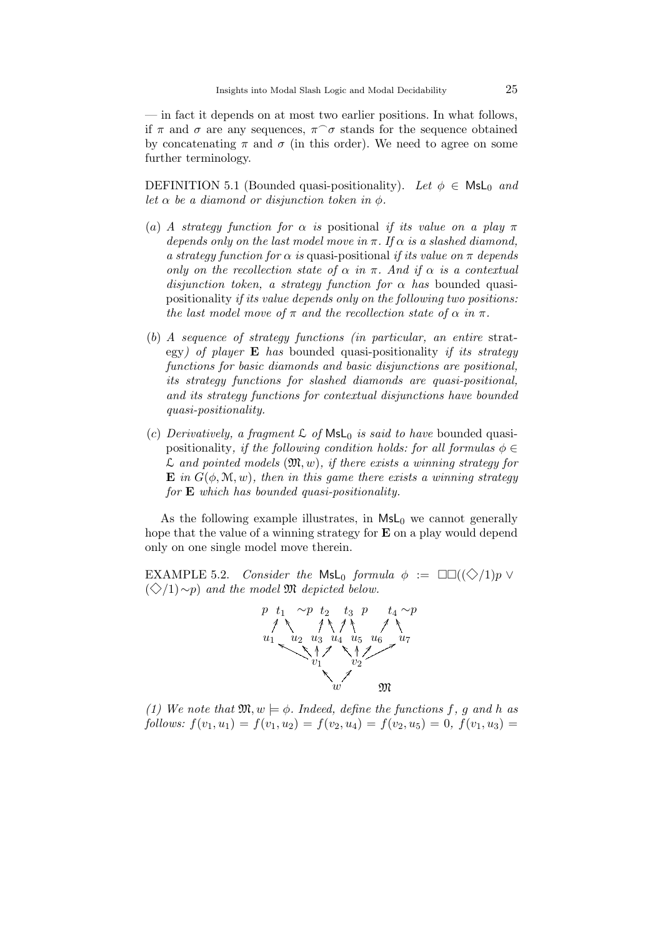— in fact it depends on at most two earlier positions. In what follows, if  $\pi$  and  $\sigma$  are any sequences,  $\pi \hat{\sigma}$  stands for the sequence obtained by concatenating  $\pi$  and  $\sigma$  (in this order). We need to agree on some further terminology.

DEFINITION 5.1 (Bounded quasi-positionality). Let  $\phi \in \mathsf{MsL}_0$  and let  $\alpha$  be a diamond or disjunction token in  $\phi$ .

- (a) A strategy function for  $\alpha$  is positional if its value on a play  $\pi$ depends only on the last model move in  $\pi$ . If  $\alpha$  is a slashed diamond, a strategy function for  $\alpha$  is quasi-positional if its value on  $\pi$  depends only on the recollection state of  $\alpha$  in  $\pi$ . And if  $\alpha$  is a contextual disjunction token, a strategy function for  $\alpha$  has bounded quasipositionality if its value depends only on the following two positions: the last model move of  $\pi$  and the recollection state of  $\alpha$  in  $\pi$ .
- (b) A sequence of strategy functions (in particular, an entire strategy) of player  $\bf{E}$  has bounded quasi-positionality if its strategy functions for basic diamonds and basic disjunctions are positional, its strategy functions for slashed diamonds are quasi-positional, and its strategy functions for contextual disjunctions have bounded quasi-positionality.
- (c) Derivatively, a fragment  $\mathcal L$  of  $\mathsf{Msl}_0$  is said to have bounded quasipositionality, if the following condition holds: for all formulas  $\phi \in$  $\mathcal L$  and pointed models  $(\mathfrak M, w)$ , if there exists a winning strategy for  $\mathbf{E}$  in  $G(\phi, \mathcal{M}, w)$ , then in this game there exists a winning strategy for E which has bounded quasi-positionality.

As the following example illustrates, in  $MsL<sub>0</sub>$  we cannot generally hope that the value of a winning strategy for E on a play would depend only on one single model move therein.

EXAMPLE 5.2. Consider the MsL<sub>0</sub> formula  $\phi := \Box \Box ((\Diamond /1)p \vee$  $(\diamondsuit/1)$ ∼p) and the model M depicted below.



(1) We note that  $\mathfrak{M}, w \models \phi$ . Indeed, define the functions f, g and h as follows:  $f(v_1, u_1) = f(v_1, u_2) = f(v_2, u_4) = f(v_2, u_5) = 0, f(v_1, u_3) =$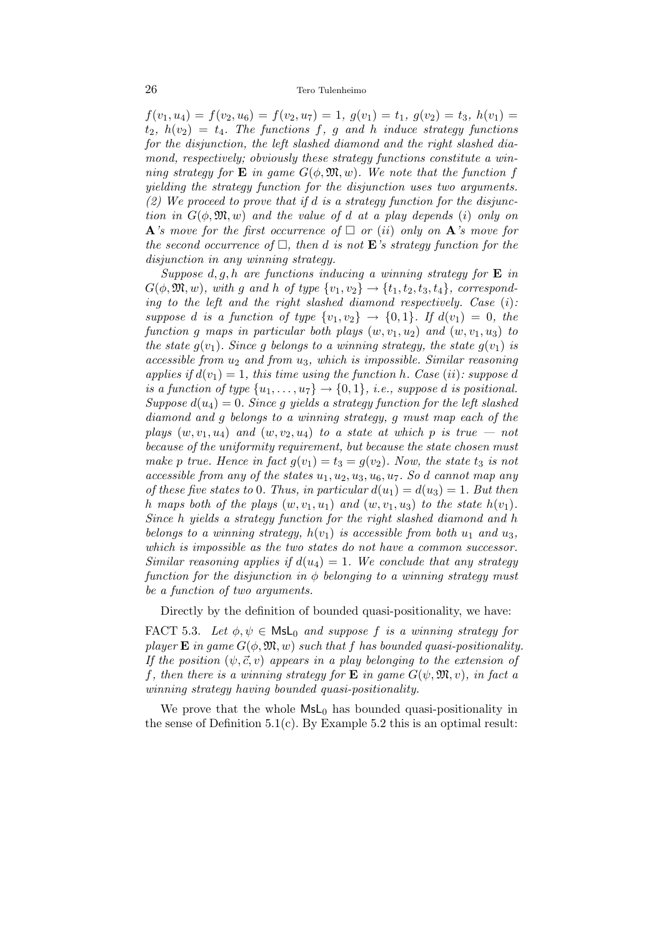#### 26 Tero Tulenheimo

 $f(v_1, u_4) = f(v_2, u_6) = f(v_2, u_7) = 1, g(v_1) = t_1, g(v_2) = t_3, h(v_1) =$  $t_2$ ,  $h(v_2) = t_4$ . The functions f, g and h induce strategy functions for the disjunction, the left slashed diamond and the right slashed diamond, respectively; obviously these strategy functions constitute a winning strategy for **E** in game  $G(\phi, \mathfrak{M}, w)$ . We note that the function f yielding the strategy function for the disjunction uses two arguments. (2) We proceed to prove that if d is a strategy function for the disjunction in  $G(\phi, \mathfrak{M}, w)$  and the value of d at a play depends (i) only on  ${\bf A}$ 's move for the first occurrence of  $\square$  or (ii) only on  ${\bf A}$ 's move for the second occurrence of  $\Box$ , then d is not **E**'s strategy function for the disjunction in any winning strategy.

Suppose  $d, g, h$  are functions inducing a winning strategy for **E** in  $G(\phi, \mathfrak{M}, w)$ , with g and h of type  $\{v_1, v_2\} \rightarrow \{t_1, t_2, t_3, t_4\}$ , corresponding to the left and the right slashed diamond respectively. Case  $(i)$ : suppose d is a function of type  $\{v_1, v_2\} \rightarrow \{0, 1\}$ . If  $d(v_1) = 0$ , the function g maps in particular both plays  $(w, v_1, u_2)$  and  $(w, v_1, u_3)$  to the state  $g(v_1)$ . Since g belongs to a winning strategy, the state  $g(v_1)$  is  $accessible$  from  $u_2$  and from  $u_3$ , which is impossible. Similar reasoning applies if  $d(v_1) = 1$ , this time using the function h. Case (ii): suppose d is a function of type  $\{u_1, \ldots, u_7\} \rightarrow \{0, 1\}$ , i.e., suppose d is positional. Suppose  $d(u_4) = 0$ . Since g yields a strategy function for the left slashed diamond and g belongs to a winning strategy, g must map each of the plays  $(w, v_1, u_4)$  and  $(w, v_2, u_4)$  to a state at which p is true – not because of the uniformity requirement, but because the state chosen must make p true. Hence in fact  $g(v_1) = t_3 = g(v_2)$ . Now, the state  $t_3$  is not accessible from any of the states  $u_1, u_2, u_3, u_6, u_7$ . So d cannot map any of these five states to 0. Thus, in particular  $d(u_1) = d(u_3) = 1$ . But then h maps both of the plays  $(w, v_1, u_1)$  and  $(w, v_1, u_3)$  to the state  $h(v_1)$ . Since h yields a strategy function for the right slashed diamond and h belongs to a winning strategy,  $h(v_1)$  is accessible from both  $u_1$  and  $u_3$ , which is impossible as the two states do not have a common successor. Similar reasoning applies if  $d(u_4) = 1$ . We conclude that any strategy function for the disjunction in  $\phi$  belonging to a winning strategy must be a function of two arguments.

Directly by the definition of bounded quasi-positionality, we have:

FACT 5.3. Let  $\phi, \psi \in \mathsf{Msl}_0$  and suppose f is a winning strategy for player **E** in game  $G(\phi, \mathfrak{M}, w)$  such that f has bounded quasi-positionality. If the position  $(\psi, \vec{c}, v)$  appears in a play belonging to the extension of f, then there is a winning strategy for **E** in game  $G(\psi, \mathfrak{M}, v)$ , in fact a winning strategy having bounded quasi-positionality.

We prove that the whole  $MsL<sub>0</sub>$  has bounded quasi-positionality in the sense of Definition  $5.1(c)$ . By Example  $5.2$  this is an optimal result: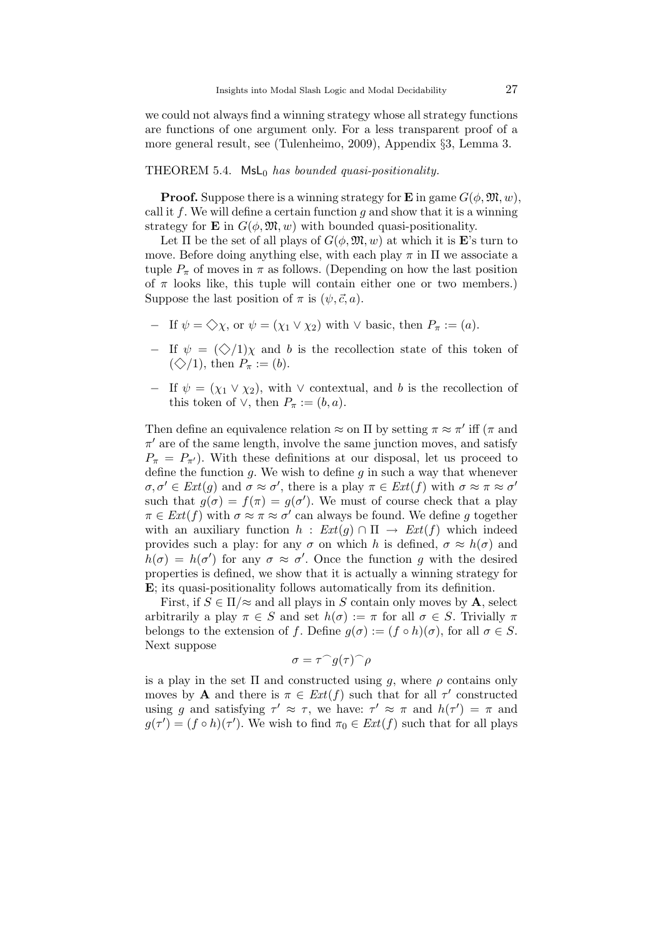we could not always find a winning strategy whose all strategy functions are functions of one argument only. For a less transparent proof of a more general result, see (Tulenheimo, 2009), Appendix §3, Lemma 3.

#### THEOREM 5.4.  $Msl_0$  has bounded quasi-positionality.

**Proof.** Suppose there is a winning strategy for **E** in game  $G(\phi, \mathfrak{M}, w)$ , call it f. We will define a certain function  $g$  and show that it is a winning strategy for **E** in  $G(\phi, \mathfrak{M}, w)$  with bounded quasi-positionality.

Let  $\Pi$  be the set of all plays of  $G(\phi, \mathfrak{M}, w)$  at which it is **E**'s turn to move. Before doing anything else, with each play  $\pi$  in  $\Pi$  we associate a tuple  $P_{\pi}$  of moves in  $\pi$  as follows. (Depending on how the last position of  $\pi$  looks like, this tuple will contain either one or two members.) Suppose the last position of  $\pi$  is  $(\psi, \vec{c}, a)$ .

- $-$  If  $\psi = \diamondsuit \chi$ , or  $\psi = (\chi_1 \vee \chi_2)$  with  $\vee$  basic, then  $P_\pi := (a)$ .
- $-$  If  $ψ = (♦/1)χ$  and b is the recollection state of this token of  $(\diamondsuit/1)$ , then  $P_\pi := (b)$ .
- $-$  If  $\psi = (\chi_1 \vee \chi_2)$ , with  $\vee$  contextual, and b is the recollection of this token of  $\vee$ , then  $P_{\pi} := (b, a)$ .

Then define an equivalence relation  $\approx$  on  $\Pi$  by setting  $\pi \approx \pi'$  iff  $(\pi$  and  $\pi'$  are of the same length, involve the same junction moves, and satisfy  $P_{\pi} = P_{\pi}$ . With these definitions at our disposal, let us proceed to define the function  $g$ . We wish to define  $g$  in such a way that whenever  $\sigma, \sigma' \in Ext(g)$  and  $\sigma \approx \sigma'$ , there is a play  $\pi \in Ext(f)$  with  $\sigma \approx \pi \approx \sigma'$ such that  $g(\sigma) = f(\pi) = g(\sigma')$ . We must of course check that a play  $\pi \in \text{Ext}(f)$  with  $\sigma \approx \pi \approx \sigma'$  can always be found. We define g together with an auxiliary function  $h : Ext(q) \cap \Pi \rightarrow Ext(f)$  which indeed provides such a play: for any  $\sigma$  on which h is defined,  $\sigma \approx h(\sigma)$  and  $h(\sigma) = h(\sigma')$  for any  $\sigma \approx \sigma'$ . Once the function g with the desired properties is defined, we show that it is actually a winning strategy for E; its quasi-positionality follows automatically from its definition.

First, if  $S \in \Pi/\approx$  and all plays in S contain only moves by A, select arbitrarily a play  $\pi \in S$  and set  $h(\sigma) := \pi$  for all  $\sigma \in S$ . Trivially  $\pi$ belongs to the extension of f. Define  $g(\sigma) := (f \circ h)(\sigma)$ , for all  $\sigma \in S$ . Next suppose

$$
\sigma = \tau^\frown g(\tau)^\frown \rho
$$

is a play in the set  $\Pi$  and constructed using g, where  $\rho$  contains only moves by **A** and there is  $\pi \in Ext(f)$  such that for all  $\tau'$  constructed using g and satisfying  $\tau' \approx \tau$ , we have:  $\tau' \approx \pi$  and  $h(\tau') = \pi$  and  $g(\tau') = (f \circ h)(\tau')$ . We wish to find  $\pi_0 \in Ext(f)$  such that for all plays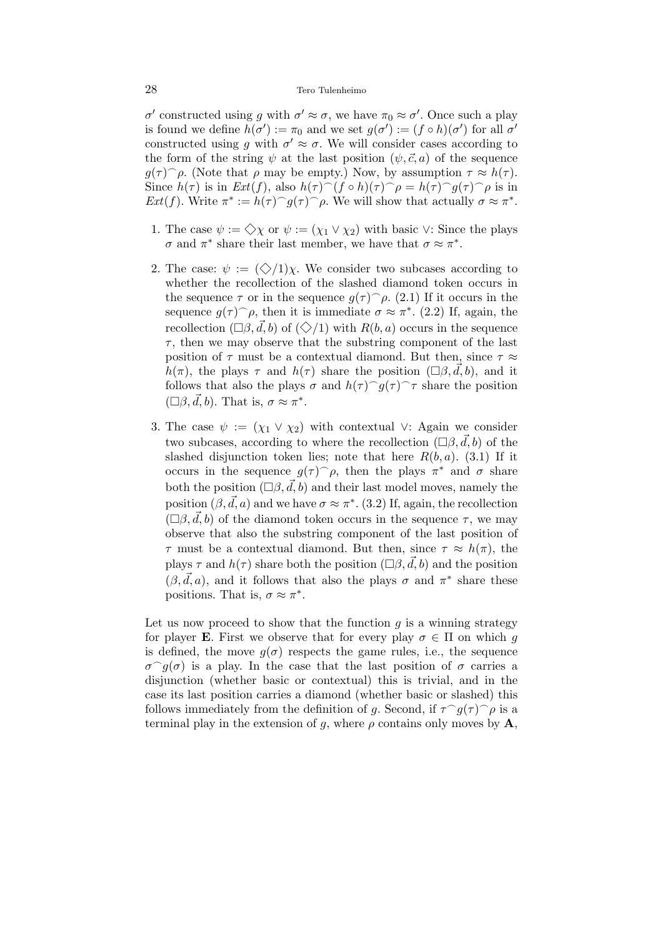#### 28 Tero Tulenheimo

 $\sigma'$  constructed using g with  $\sigma' \approx \sigma$ , we have  $\pi_0 \approx \sigma'$ . Once such a play is found we define  $h(\sigma') := \pi_0$  and we set  $g(\sigma') := (f \circ h)(\sigma')$  for all  $\sigma'$ constructed using g with  $\sigma' \approx \sigma$ . We will consider cases according to the form of the string  $\psi$  at the last position  $(\psi, \vec{c}, a)$  of the sequence  $g(\tau)$   $\rho$ . (Note that  $\rho$  may be empty.) Now, by assumption  $\tau \approx h(\tau)$ . Since  $h(\tau)$  is in  $Ext(f)$ , also  $h(\tau)$ <sup>(f o</sup> h)( $\tau$ )<sup>o</sup> $\rho = h(\tau)$ <sup>o</sup> $g(\tau)$ <sup>o</sup> $\rho$  is in Ext(f). Write  $\pi^* := h(\tau)^\frown g(\tau)^\frown \rho$ . We will show that actually  $\sigma \approx \pi^*$ .

- 1. The case  $\psi := \diamondsuit \chi$  or  $\psi := (\chi_1 \vee \chi_2)$  with basic  $\vee$ : Since the plays  $\sigma$  and  $\pi^*$  share their last member, we have that  $\sigma \approx \pi^*$ .
- 2. The case:  $\psi := (\diamondsuit/1)\chi$ . We consider two subcases according to whether the recollection of the slashed diamond token occurs in the sequence  $\tau$  or in the sequence  $g(\tau)$   $\rho$ . (2.1) If it occurs in the sequence  $g(\tau)$   $\rho$ , then it is immediate  $\sigma \approx \pi^*$ . (2.2) If, again, the recollection  $(\Box \beta, \vec{d}, b)$  of  $(\Diamond /1)$  with  $R(b, a)$  occurs in the sequence  $\tau$ , then we may observe that the substring component of the last position of  $\tau$  must be a contextual diamond. But then, since  $\tau \approx$  $h(\pi)$ , the plays  $\tau$  and  $h(\tau)$  share the position  $(\Box \beta, d, b)$ , and it follows that also the plays  $\sigma$  and  $h(\tau)$   $q(\tau)$   $\tau$  share the position  $(\Box \beta, \vec{d}, b)$ . That is,  $\sigma \approx \pi^*$ .
- 3. The case  $\psi := (\chi_1 \vee \chi_2)$  with contextual ∨: Again we consider two subcases, according to where the recollection  $(\Box \beta, \vec{d}, b)$  of the slashed disjunction token lies; note that here  $R(b, a)$ . (3.1) If it occurs in the sequence  $g(\tau)$   $\rho$ , then the plays  $\pi^*$  and  $\sigma$  share both the position  $(\Box \beta, \vec{d}, b)$  and their last model moves, namely the position  $(\beta, \vec{d}, a)$  and we have  $\sigma \approx \pi^*$ . (3.2) If, again, the recollection  $(\Box \beta, \vec{d}, b)$  of the diamond token occurs in the sequence  $\tau$ , we may observe that also the substring component of the last position of  $\tau$  must be a contextual diamond. But then, since  $\tau \approx h(\pi)$ , the plays  $\tau$  and  $h(\tau)$  share both the position  $(\Box \beta, \vec{d}, b)$  and the position  $(\beta, \vec{d}, a)$ , and it follows that also the plays  $\sigma$  and  $\pi^*$  share these positions. That is,  $\sigma \approx \pi^*$ .

Let us now proceed to show that the function  $g$  is a winning strategy for player **E**. First we observe that for every play  $\sigma \in \Pi$  on which q is defined, the move  $q(\sigma)$  respects the game rules, i.e., the sequence  $\sigma^{\frown}g(\sigma)$  is a play. In the case that the last position of  $\sigma$  carries a disjunction (whether basic or contextual) this is trivial, and in the case its last position carries a diamond (whether basic or slashed) this follows immediately from the definition of g. Second, if  $\tau^{\frown}g(\tau)^{\frown}\rho$  is a terminal play in the extension of g, where  $\rho$  contains only moves by  $\mathbf{A}$ ,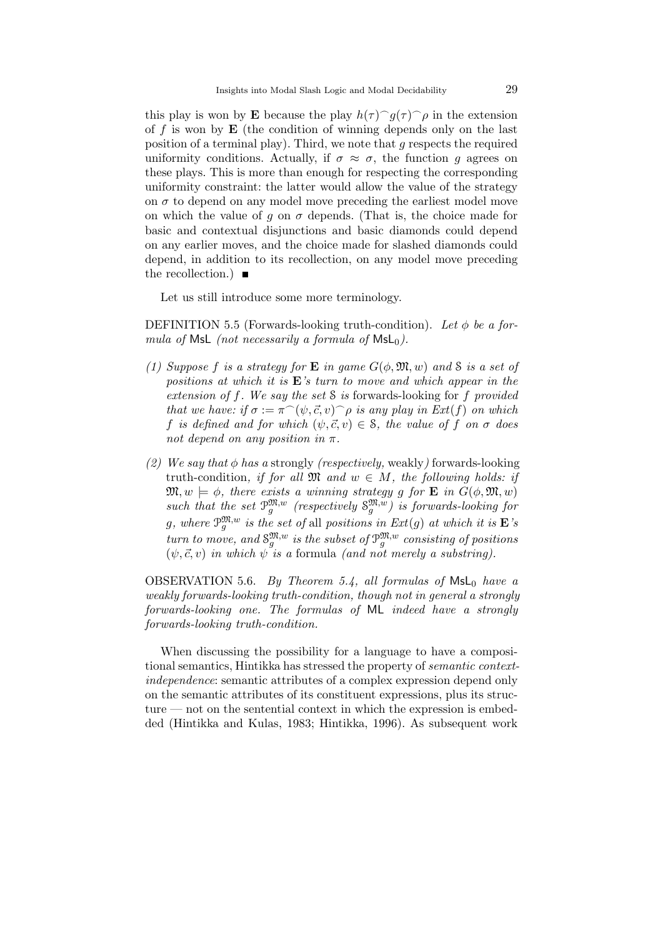this play is won by **E** because the play  $h(\tau) \cap g(\tau) \cap \rho$  in the extension of f is won by  $E$  (the condition of winning depends only on the last position of a terminal play). Third, we note that g respects the required uniformity conditions. Actually, if  $\sigma \approx \sigma$ , the function g agrees on these plays. This is more than enough for respecting the corresponding uniformity constraint: the latter would allow the value of the strategy on  $\sigma$  to depend on any model move preceding the earliest model move on which the value of g on  $\sigma$  depends. (That is, the choice made for basic and contextual disjunctions and basic diamonds could depend on any earlier moves, and the choice made for slashed diamonds could depend, in addition to its recollection, on any model move preceding the recollection.)  $\blacksquare$ 

Let us still introduce some more terminology.

DEFINITION 5.5 (Forwards-looking truth-condition). Let  $\phi$  be a formula of MsL (not necessarily a formula of  $MsL_0$ ).

- (1) Suppose f is a strategy for **E** in game  $G(\phi, \mathfrak{M}, w)$  and S is a set of positions at which it is  $E$ 's turn to move and which appear in the extension of f. We say the set S is forwards-looking for f provided that we have: if  $\sigma := \pi^{\frown}(\psi, \vec{c}, v)$   $\rho$  is any play in Ext(f) on which f is defined and for which  $(\psi, \vec{c}, v) \in \mathcal{S}$ , the value of f on  $\sigma$  does not depend on any position in  $\pi$ .
- (2) We say that  $\phi$  has a strongly (respectively, weakly) forwards-looking truth-condition, if for all  $\mathfrak{M}$  and  $w \in M$ , the following holds: if  $\mathfrak{M}, w \models \phi$ , there exists a winning strategy g for **E** in  $G(\phi, \mathfrak{M}, w)$ such that the set  $\mathcal{P}_{g}^{\mathfrak{M},w}$  (respectively  $\mathcal{S}_{g}^{\mathfrak{M},w}$ ) is forwards-looking for g, where  $\mathcal{P}^{\mathfrak{M},w}_{g}$  is the set of all positions in  $Ext(g)$  at which it is  $\mathbf{E}'s$ turn to move, and  $S_g^{\mathfrak{M},w}$  is the subset of  $\mathcal{P}_g^{\mathfrak{M},w}$  consisting of positions  $(\psi, \vec{c}, v)$  in which  $\psi$  is a formula (and not merely a substring).

OBSERVATION 5.6. By Theorem 5.4, all formulas of  $Msl_0$  have a weakly forwards-looking truth-condition, though not in general a strongly forwards-looking one. The formulas of ML indeed have a strongly forwards-looking truth-condition.

When discussing the possibility for a language to have a compositional semantics, Hintikka has stressed the property of semantic contextindependence: semantic attributes of a complex expression depend only on the semantic attributes of its constituent expressions, plus its structure — not on the sentential context in which the expression is embedded (Hintikka and Kulas, 1983; Hintikka, 1996). As subsequent work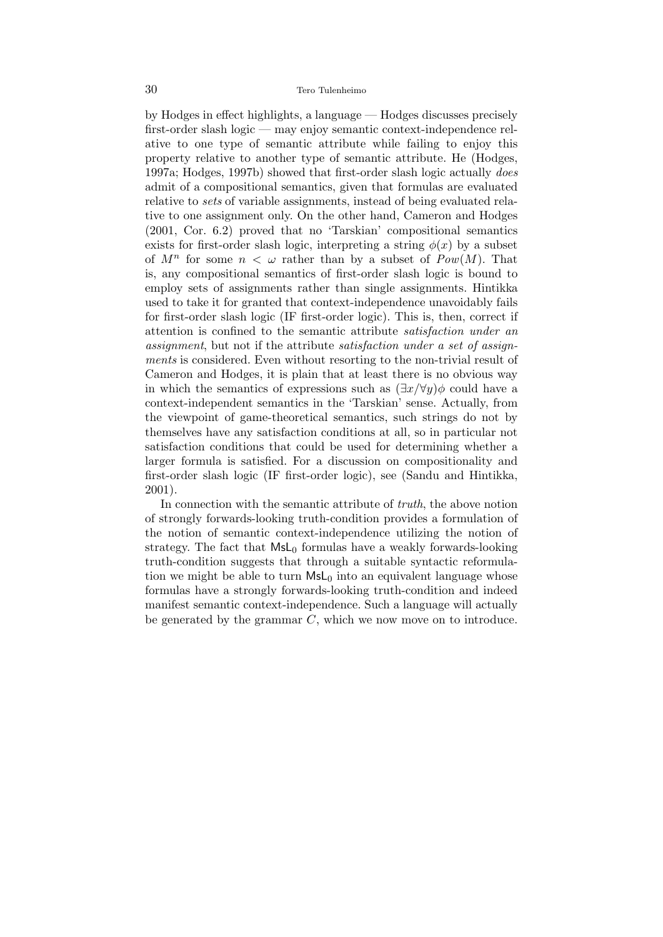by Hodges in effect highlights, a language — Hodges discusses precisely first-order slash logic — may enjoy semantic context-independence relative to one type of semantic attribute while failing to enjoy this property relative to another type of semantic attribute. He (Hodges, 1997a; Hodges, 1997b) showed that first-order slash logic actually does admit of a compositional semantics, given that formulas are evaluated relative to sets of variable assignments, instead of being evaluated relative to one assignment only. On the other hand, Cameron and Hodges (2001, Cor. 6.2) proved that no 'Tarskian' compositional semantics exists for first-order slash logic, interpreting a string  $\phi(x)$  by a subset of  $M^n$  for some  $n < \omega$  rather than by a subset of  $Pow(M)$ . That is, any compositional semantics of first-order slash logic is bound to employ sets of assignments rather than single assignments. Hintikka used to take it for granted that context-independence unavoidably fails for first-order slash logic (IF first-order logic). This is, then, correct if attention is confined to the semantic attribute satisfaction under an assignment, but not if the attribute satisfaction under a set of assignments is considered. Even without resorting to the non-trivial result of Cameron and Hodges, it is plain that at least there is no obvious way in which the semantics of expressions such as  $(\exists x/\forall y)\phi$  could have a context-independent semantics in the 'Tarskian' sense. Actually, from the viewpoint of game-theoretical semantics, such strings do not by themselves have any satisfaction conditions at all, so in particular not satisfaction conditions that could be used for determining whether a larger formula is satisfied. For a discussion on compositionality and first-order slash logic (IF first-order logic), see (Sandu and Hintikka, 2001).

In connection with the semantic attribute of truth, the above notion of strongly forwards-looking truth-condition provides a formulation of the notion of semantic context-independence utilizing the notion of strategy. The fact that  $MsL<sub>0</sub>$  formulas have a weakly forwards-looking truth-condition suggests that through a suitable syntactic reformulation we might be able to turn  $MsL<sub>0</sub>$  into an equivalent language whose formulas have a strongly forwards-looking truth-condition and indeed manifest semantic context-independence. Such a language will actually be generated by the grammar  $C$ , which we now move on to introduce.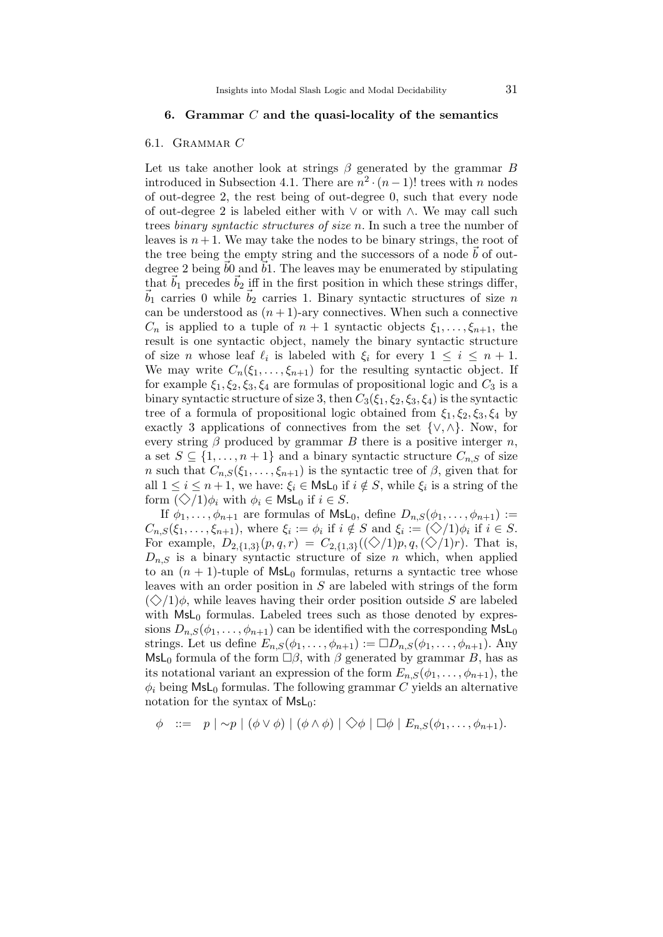## 6. Grammar  $C$  and the quasi-locality of the semantics

#### 6.1. Grammar C

Let us take another look at strings  $\beta$  generated by the grammar B introduced in Subsection 4.1. There are  $n^2 \cdot (n-1)!$  trees with n nodes of out-degree 2, the rest being of out-degree 0, such that every node of out-degree 2 is labeled either with ∨ or with ∧. We may call such trees binary syntactic structures of size n. In such a tree the number of leaves is  $n+1$ . We may take the nodes to be binary strings, the root of the tree being the empty string and the successors of a node  $b$  of outdegree 2 being  $b0$  and  $b1$ . The leaves may be enumerated by stipulating that  $\vec{b}_1$  precedes  $\vec{b}_2$  iff in the first position in which these strings differ,  $\vec{b}_1$  carries 0 while  $\vec{b}_2$  carries 1. Binary syntactic structures of size n can be understood as  $(n+1)$ -ary connectives. When such a connective  $C_n$  is applied to a tuple of  $n+1$  syntactic objects  $\xi_1, \ldots, \xi_{n+1}$ , the result is one syntactic object, namely the binary syntactic structure of size *n* whose leaf  $\ell_i$  is labeled with  $\xi_i$  for every  $1 \leq i \leq n+1$ . We may write  $C_n(\xi_1,\ldots,\xi_{n+1})$  for the resulting syntactic object. If for example  $\xi_1, \xi_2, \xi_3, \xi_4$  are formulas of propositional logic and  $C_3$  is a binary syntactic structure of size 3, then  $C_3(\xi_1, \xi_2, \xi_3, \xi_4)$  is the syntactic tree of a formula of propositional logic obtained from  $\xi_1, \xi_2, \xi_3, \xi_4$  by exactly 3 applications of connectives from the set  $\{\vee,\wedge\}$ . Now, for every string  $\beta$  produced by grammar B there is a positive interger n, a set  $S \subseteq \{1, \ldots, n+1\}$  and a binary syntactic structure  $C_{n,S}$  of size n such that  $C_{n,S}(\xi_1,\ldots,\xi_{n+1})$  is the syntactic tree of  $\beta$ , given that for all  $1 \leq i \leq n+1$ , we have:  $\xi_i \in \mathsf{MsL}_0$  if  $i \notin S$ , while  $\xi_i$  is a string of the form  $(\diamondsuit/1)\phi_i$  with  $\phi_i \in \mathsf{Msl}_0$  if  $i \in S$ .

If  $\phi_1, \ldots, \phi_{n+1}$  are formulas of  $\mathsf{MsL}_0$ , define  $D_{n,S}(\phi_1, \ldots, \phi_{n+1}) :=$  $C_{n,S}(\xi_1,\ldots,\xi_{n+1}),$  where  $\xi_i := \phi_i$  if  $i \notin S$  and  $\xi_i := (\diamondsuit/1)\phi_i$  if  $i \in S$ . For example,  $D_{2,\{1,3\}}(p,q,r) = C_{2,\{1,3\}}((\diamondsuit/1)p,q,(\diamondsuit/1)r)$ . That is,  $D_{n,S}$  is a binary syntactic structure of size n which, when applied to an  $(n + 1)$ -tuple of MsL<sub>0</sub> formulas, returns a syntactic tree whose leaves with an order position in  $S$  are labeled with strings of the form  $(\diamondsuit/1)\phi$ , while leaves having their order position outside S are labeled with  $MsL_0$  formulas. Labeled trees such as those denoted by expressions  $D_{n,S}(\phi_1,\ldots,\phi_{n+1})$  can be identified with the corresponding  $\mathsf{MsL}_0$ strings. Let us define  $E_{n,S}(\phi_1,\ldots,\phi_{n+1}) := \Box D_{n,S}(\phi_1,\ldots,\phi_{n+1})$ . Any MsL<sub>0</sub> formula of the form  $\Box \beta$ , with  $\beta$  generated by grammar B, has as its notational variant an expression of the form  $E_{n,S}(\phi_1,\ldots,\phi_{n+1}),$  the  $\phi_i$  being MsL<sub>0</sub> formulas. The following grammar C yields an alternative notation for the syntax of MsL0:

$$
\phi \ ::= \ p \mid \sim p \mid (\phi \lor \phi) \mid (\phi \land \phi) \mid \Diamond \phi \mid \Box \phi \mid E_{n,S}(\phi_1,\ldots,\phi_{n+1}).
$$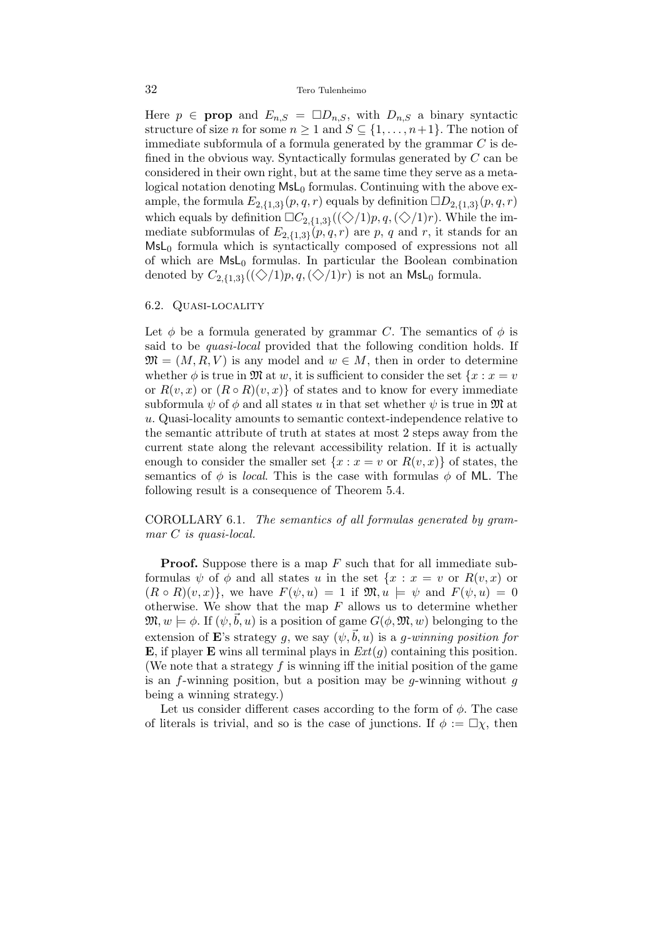#### 32 Tero Tulenheimo

Here  $p \in \text{prop}$  and  $E_{n,S} = \Box D_{n,S}$ , with  $D_{n,S}$  a binary syntactic structure of size *n* for some  $n \geq 1$  and  $S \subseteq \{1, \ldots, n+1\}$ . The notion of immediate subformula of a formula generated by the grammar  $C$  is defined in the obvious way. Syntactically formulas generated by C can be considered in their own right, but at the same time they serve as a metalogical notation denoting  $MsL<sub>0</sub>$  formulas. Continuing with the above example, the formula  $E_{2,\{1,3\}}(p,q,r)$  equals by definition  $\Box D_{2,\{1,3\}}(p,q,r)$ which equals by definition  $\Box C_{2,\{1,3\}}((\diamondsuit/1)p,q,(\diamondsuit/1)r)$ . While the immediate subformulas of  $E_{2,\lbrace 1,3\rbrace}(p,q,r)$  are p, q and r, it stands for an  $MsL<sub>0</sub>$  formula which is syntactically composed of expressions not all of which are  $MsL<sub>0</sub>$  formulas. In particular the Boolean combination denoted by  $C_{2,\{1,3\}}((\diamondsuit/1)p,q,(\diamondsuit/1)r)$  is not an MsL<sub>0</sub> formula.

#### 6.2. Quasi-locality

Let  $\phi$  be a formula generated by grammar C. The semantics of  $\phi$  is said to be *quasi-local* provided that the following condition holds. If  $\mathfrak{M} = (M, R, V)$  is any model and  $w \in M$ , then in order to determine whether  $\phi$  is true in M at w, it is sufficient to consider the set  $\{x : x = v\}$ or  $R(v, x)$  or  $(R \circ R)(v, x)$  of states and to know for every immediate subformula  $\psi$  of  $\phi$  and all states u in that set whether  $\psi$  is true in M at u. Quasi-locality amounts to semantic context-independence relative to the semantic attribute of truth at states at most 2 steps away from the current state along the relevant accessibility relation. If it is actually enough to consider the smaller set  $\{x : x = v \text{ or } R(v, x)\}\$  of states, the semantics of  $\phi$  is *local*. This is the case with formulas  $\phi$  of ML. The following result is a consequence of Theorem 5.4.

## COROLLARY 6.1. The semantics of all formulas generated by grammar C is quasi-local.

**Proof.** Suppose there is a map  $F$  such that for all immediate subformulas  $\psi$  of  $\phi$  and all states u in the set  $\{x : x = v \text{ or } R(v, x) \text{ or }$  $(R \circ R)(v, x)$ , we have  $F(\psi, u) = 1$  if  $\mathfrak{M}, u \models \psi$  and  $F(\psi, u) = 0$ otherwise. We show that the map  $F$  allows us to determine whether  $\mathfrak{M}, w \models \phi$ . If  $(\psi, b, u)$  is a position of game  $G(\phi, \mathfrak{M}, w)$  belonging to the extension of E's strategy q, we say  $(\psi, \vec{b}, u)$  is a q-winning position for **E**, if player **E** wins all terminal plays in  $Ext(q)$  containing this position. (We note that a strategy  $f$  is winning iff the initial position of the game is an f-winning position, but a position may be g-winning without  $q$ being a winning strategy.)

Let us consider different cases according to the form of  $\phi$ . The case of literals is trivial, and so is the case of junctions. If  $\phi := \Box \chi$ , then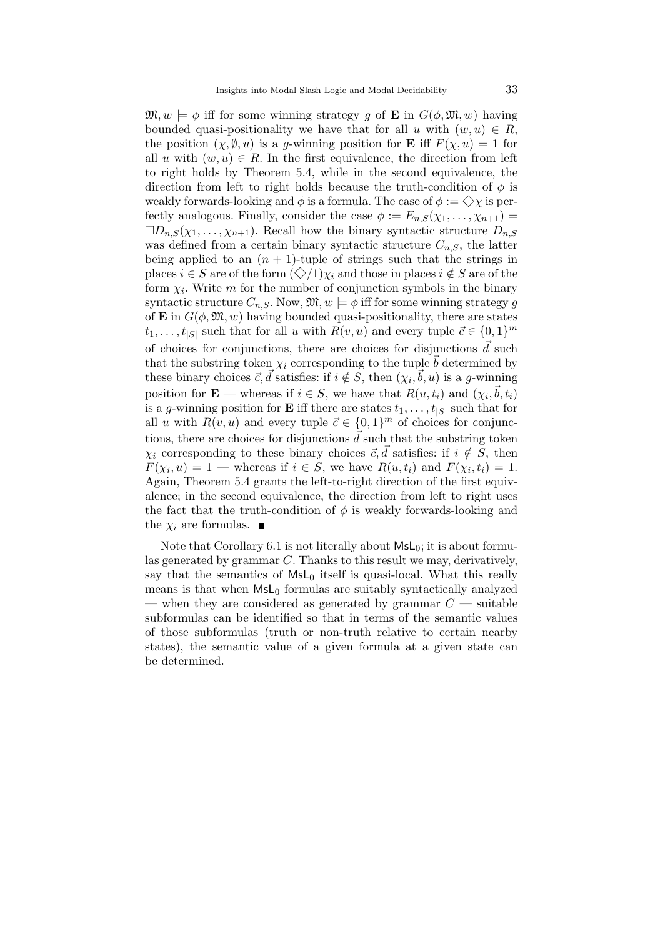$\mathfrak{M}, w \models \phi$  iff for some winning strategy g of **E** in  $G(\phi, \mathfrak{M}, w)$  having bounded quasi-positionality we have that for all u with  $(w, u) \in R$ , the position  $(\chi, \emptyset, u)$  is a g-winning position for **E** iff  $F(\chi, u) = 1$  for all u with  $(w, u) \in R$ . In the first equivalence, the direction from left to right holds by Theorem 5.4, while in the second equivalence, the direction from left to right holds because the truth-condition of  $\phi$  is weakly forwards-looking and  $\phi$  is a formula. The case of  $\phi := \bigcirc \chi$  is perfectly analogous. Finally, consider the case  $\phi := E_{n,S}(\chi_1, \ldots, \chi_{n+1}) =$  $\square D_{n,S}(\chi_1,\ldots,\chi_{n+1})$ . Recall how the binary syntactic structure  $D_{n,S}$ was defined from a certain binary syntactic structure  $C_{n,S}$ , the latter being applied to an  $(n + 1)$ -tuple of strings such that the strings in places  $i \in S$  are of the form  $(\diamondsuit/1)\chi_i$  and those in places  $i \notin S$  are of the form  $\chi_i$ . Write m for the number of conjunction symbols in the binary syntactic structure  $C_{n,S}$ . Now,  $\mathfrak{M}, w \models \phi$  iff for some winning strategy g of **E** in  $G(\phi, \mathfrak{M}, w)$  having bounded quasi-positionality, there are states  $t_1, \ldots, t_{|S|}$  such that for all u with  $R(v, u)$  and every tuple  $\vec{c} \in \{0, 1\}^m$ of choices for conjunctions, there are choices for disjunctions  $\vec{d}$  such that the substring token  $\chi_i$  corresponding to the tuple  $\vec{b}$  determined by these binary choices  $\vec{c}, \vec{d}$  satisfies: if  $i \notin S$ , then  $(\chi_i, \vec{b}, u)$  is a g-winning position for **E** — whereas if  $i \in S$ , we have that  $R(u, t_i)$  and  $(\chi_i, \vec{b}, t_i)$ is a g-winning position for **E** iff there are states  $t_1, \ldots, t_{|S|}$  such that for all u with  $R(v, u)$  and every tuple  $\vec{c} \in \{0, 1\}^m$  of choices for conjunctions, there are choices for disjunctions  $\vec{d}$  such that the substring token  $\chi_i$  corresponding to these binary choices  $\vec{c}, \vec{d}$  satisfies: if  $i \notin S$ , then  $F(\chi_i, u) = 1$  — whereas if  $i \in S$ , we have  $R(u, t_i)$  and  $F(\chi_i, t_i) = 1$ . Again, Theorem 5.4 grants the left-to-right direction of the first equivalence; in the second equivalence, the direction from left to right uses the fact that the truth-condition of  $\phi$  is weakly forwards-looking and the  $\chi_i$  are formulas.

Note that Corollary 6.1 is not literally about  $MsL_0$ ; it is about formulas generated by grammar C. Thanks to this result we may, derivatively, say that the semantics of  $MsL<sub>0</sub>$  itself is quasi-local. What this really means is that when  $MsL<sub>0</sub>$  formulas are suitably syntactically analyzed — when they are considered as generated by grammar  $C$  — suitable subformulas can be identified so that in terms of the semantic values of those subformulas (truth or non-truth relative to certain nearby states), the semantic value of a given formula at a given state can be determined.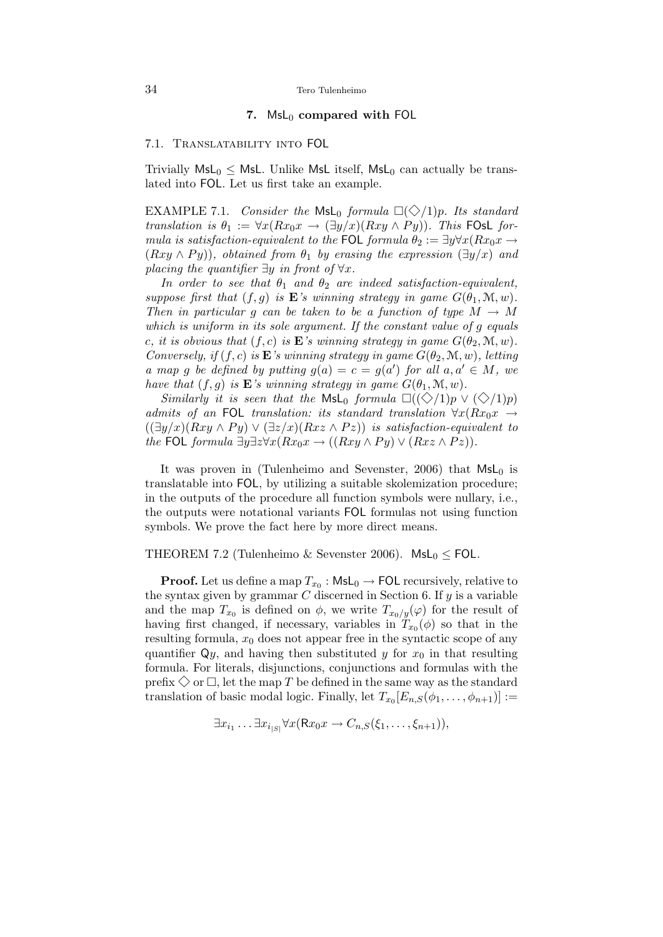## 7.  $MsL_0$  compared with FOL

## 7.1. Translatability into FOL

Trivially  $MsL_0 \leq MsL$ . Unlike MsL itself,  $MsL_0$  can actually be translated into FOL. Let us first take an example.

EXAMPLE 7.1. Consider the MsL<sub>0</sub> formula  $\Box(\Diamond/1)p$ . Its standard translation is  $\theta_1 := \forall x (Rx_0x \to (\exists y/x)(Rxy \land Py))$ . This FOsL formula is satisfaction-equivalent to the FOL formula  $\theta_2 := \exists y \forall x (Rx_0x \rightarrow$  $(Rxy \wedge Py)$ , obtained from  $\theta_1$  by erasing the expression  $(\exists y/x)$  and placing the quantifier  $\exists y$  in front of  $\forall x$ .

In order to see that  $\theta_1$  and  $\theta_2$  are indeed satisfaction-equivalent, suppose first that  $(f, g)$  is **E**'s winning strategy in game  $G(\theta_1, \mathcal{M}, w)$ . Then in particular g can be taken to be a function of type  $M \to M$ which is uniform in its sole argument. If the constant value of g equals c, it is obvious that  $(f, c)$  is **E**'s winning strategy in game  $G(\theta_2, \mathcal{M}, w)$ . Conversely, if  $(f, c)$  is **E**'s winning strategy in game  $G(\theta_2, \mathcal{M}, w)$ , letting a map g be defined by putting  $g(a) = c = g(a')$  for all  $a, a' \in M$ , we have that  $(f, g)$  is **E**'s winning strategy in game  $G(\theta_1, \mathcal{M}, w)$ .

Similarly it is seen that the MsL<sub>0</sub> formula  $\Box((\Diamond/1)p \vee (\Diamond/1)p)$ admits of an FOL translation: its standard translation  $\forall x (Rx_0x \rightarrow$  $((\exists y/x)(Rxy \wedge Py) \vee (\exists z/x)(Rxz \wedge Pz))$  is satisfaction-equivalent to the FOL formula  $\exists y \exists z \forall x (Rx_0x \rightarrow ((Rxy \land Py) \lor (Rxz \land Pz)).$ 

It was proven in (Tulenheimo and Sevenster, 2006) that  $MsL_0$  is translatable into FOL, by utilizing a suitable skolemization procedure; in the outputs of the procedure all function symbols were nullary, i.e., the outputs were notational variants FOL formulas not using function symbols. We prove the fact here by more direct means.

#### THEOREM 7.2 (Tulenheimo & Sevenster 2006). MsL<sub>0</sub>  $\leq$  FOL.

**Proof.** Let us define a map  $T_{x_0}$  :  $\mathsf{Msl}_0 \to \mathsf{FOL}$  recursively, relative to the syntax given by grammar  $C$  discerned in Section 6. If  $y$  is a variable and the map  $T_{x_0}$  is defined on  $\phi$ , we write  $T_{x_0/y}(\varphi)$  for the result of having first changed, if necessary, variables in  $T_{x_0}(\phi)$  so that in the resulting formula,  $x_0$  does not appear free in the syntactic scope of any quantifier  $\mathsf{Q}_y$ , and having then substituted y for  $x_0$  in that resulting formula. For literals, disjunctions, conjunctions and formulas with the prefix  $\Diamond$  or  $\Box$ , let the map T be defined in the same way as the standard translation of basic modal logic. Finally, let  $T_{x_0}[E_{n,S}(\phi_1,\ldots,\phi_{n+1})] :=$ 

$$
\exists x_{i_1} \dots \exists x_{i_{|S|}} \forall x (\mathsf{R} x_0 x \rightarrow C_{n,S}(\xi_1, \dots, \xi_{n+1})),
$$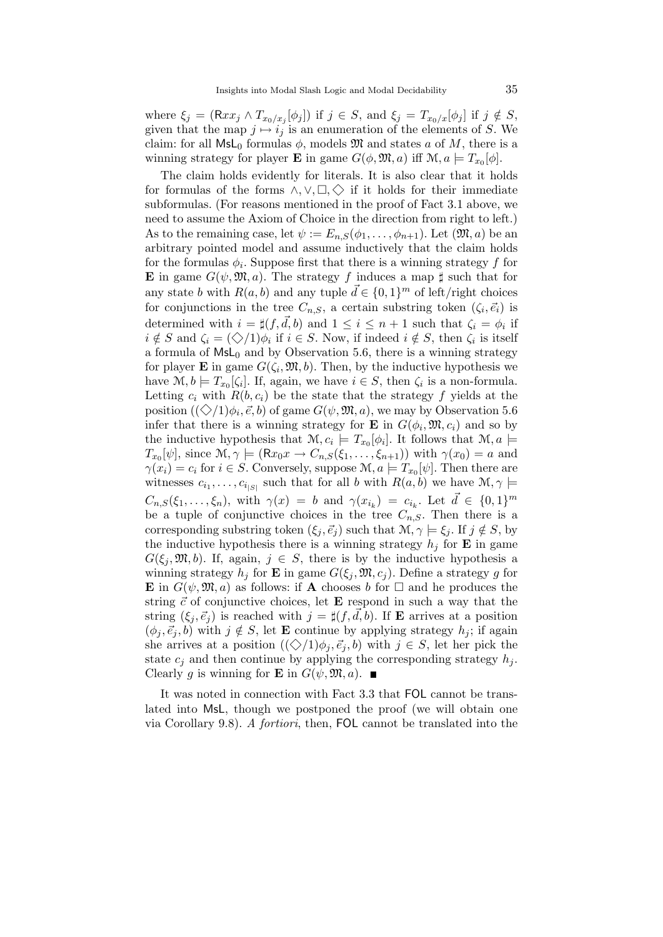where  $\xi_j = (\mathsf{R}xx_j \wedge T_{x_0/x_j}[\phi_j])$  if  $j \in S$ , and  $\xi_j = T_{x_0/x}[\phi_j]$  if  $j \notin S$ , given that the map  $j \mapsto i_j$  is an enumeration of the elements of S. We claim: for all  $Msl_0$  formulas  $\phi$ , models  $\mathfrak{M}$  and states a of M, there is a winning strategy for player **E** in game  $G(\phi, \mathfrak{M}, a)$  iff  $\mathfrak{M}, a \models T_{x_0}[\phi]$ .

The claim holds evidently for literals. It is also clear that it holds for formulas of the forms  $\land, \lor, \Box, \Diamond$  if it holds for their immediate subformulas. (For reasons mentioned in the proof of Fact 3.1 above, we need to assume the Axiom of Choice in the direction from right to left.) As to the remaining case, let  $\psi := E_{n,S}(\phi_1,\ldots,\phi_{n+1})$ . Let  $(\mathfrak{M},a)$  be an arbitrary pointed model and assume inductively that the claim holds for the formulas  $\phi_i$ . Suppose first that there is a winning strategy f for **E** in game  $G(\psi, \mathfrak{M}, a)$ . The strategy f induces a map  $\sharp$  such that for any state b with  $R(a, b)$  and any tuple  $\vec{d} \in \{0, 1\}^m$  of left/right choices for conjunctions in the tree  $C_{n,S}$ , a certain substring token  $(\zeta_i, \vec{e}_i)$  is determined with  $i = \sharp(f, \vec{d}, b)$  and  $1 \leq i \leq n + 1$  such that  $\zeta_i = \phi_i$  if  $i \notin S$  and  $\zeta_i = (\diamondsuit/1)\phi_i$  if  $i \in S$ . Now, if indeed  $i \notin S$ , then  $\zeta_i$  is itself a formula of  $MsL_0$  and by Observation 5.6, there is a winning strategy for player **E** in game  $G(\zeta_i, \mathfrak{M}, b)$ . Then, by the inductive hypothesis we have  $\mathcal{M}, b \models T_{x_0}[\zeta_i]$ . If, again, we have  $i \in S$ , then  $\zeta_i$  is a non-formula. Letting  $c_i$  with  $R(b, c_i)$  be the state that the strategy f yields at the position  $((\diamondsuit/1)\phi_i, \vec{e}, b)$  of game  $G(\psi, \mathfrak{M}, a)$ , we may by Observation 5.6 infer that there is a winning strategy for **E** in  $G(\phi_i, \mathfrak{M}, c_i)$  and so by the inductive hypothesis that  $\mathcal{M}, c_i \models T_{x_0}[\phi_i]$ . It follows that  $\mathcal{M}, a \models$  $T_{x_0}[\psi]$ , since  $\mathcal{M}, \gamma \models (\mathsf{R}x_0x \to C_{n,S}(\xi_1,\ldots,\xi_{n+1}))$  with  $\gamma(x_0) = a$  and  $\gamma(x_i) = c_i$  for  $i \in S$ . Conversely, suppose  $\mathcal{M}, a \models T_{x_0}[\psi]$ . Then there are witnesses  $c_{i_1}, \ldots, c_{i_{|S|}}$  such that for all b with  $R(a, b)$  we have  $\mathcal{M}, \gamma \models$  $C_{n,S}(\xi_1,\ldots,\xi_n)$ , with  $\gamma(x) = b$  and  $\gamma(x_{i_k}) = c_{i_k}$ . Let  $\vec{d} \in \{0,1\}^m$ be a tuple of conjunctive choices in the tree  $C_{n,S}$ . Then there is a corresponding substring token  $(\xi_j, \vec{e}_j)$  such that  $\mathcal{M}, \gamma \models \xi_j$ . If  $j \notin S$ , by the inductive hypothesis there is a winning strategy  $h_i$  for **E** in game  $G(\xi_j, \mathfrak{M}, b)$ . If, again,  $j \in S$ , there is by the inductive hypothesis a winning strategy  $h_j$  for **E** in game  $G(\xi_j, \mathfrak{M}, c_j)$ . Define a strategy g for **E** in  $G(\psi, \mathfrak{M}, a)$  as follows: if **A** chooses b for  $\Box$  and he produces the string  $\vec{c}$  of conjunctive choices, let **E** respond in such a way that the string  $(\xi_i, \vec{e}_i)$  is reached with  $j = \sharp (f, d, b)$ . If **E** arrives at a position  $(\phi_i, \vec{e}_i, b)$  with  $j \notin S$ , let **E** continue by applying strategy  $h_j$ ; if again she arrives at a position  $((\Diamond/1)\phi_i, \vec{e}_i, b)$  with  $j \in S$ , let her pick the state  $c_i$  and then continue by applying the corresponding strategy  $h_i$ . Clearly g is winning for **E** in  $G(\psi, \mathfrak{M}, a)$ .

It was noted in connection with Fact 3.3 that FOL cannot be translated into MsL, though we postponed the proof (we will obtain one via Corollary 9.8). A fortiori, then, FOL cannot be translated into the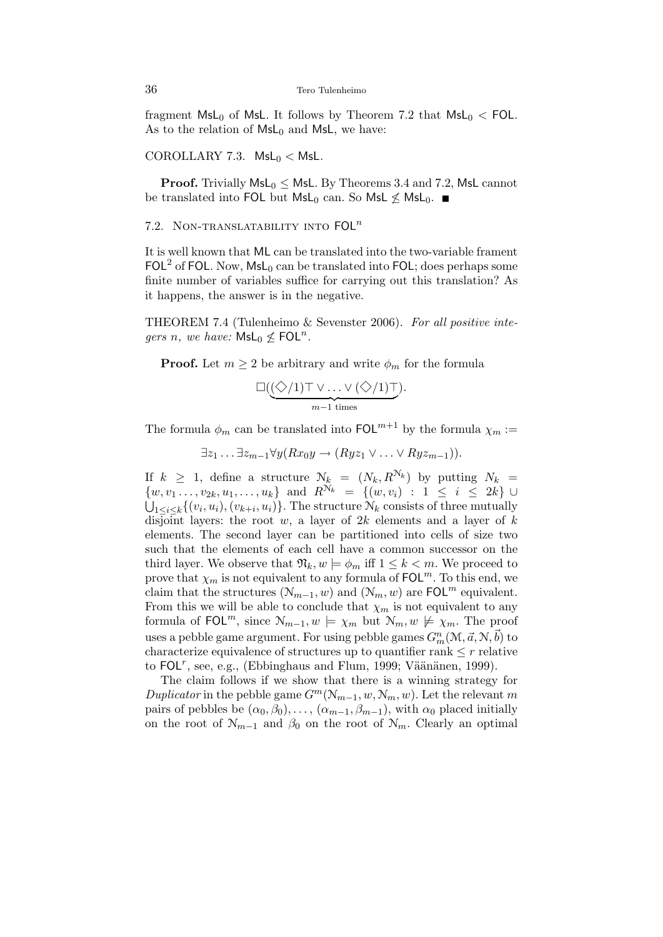fragment  $MsL_0$  of MsL. It follows by Theorem 7.2 that  $MsL_0 < FOL$ . As to the relation of  $MsL_0$  and MsL, we have:

#### COROLLARY 7.3.  $\textsf{MsL}_0 < \textsf{MsL}.$

**Proof.** Trivially  $MsL_0 \leq MsL$ . By Theorems 3.4 and 7.2, MsL cannot be translated into FOL but  $MsL_0$  can. So MsL  $\nleq MsL_0$ .

## 7.2. NON-TRANSLATABILITY INTO  $FOL<sup>n</sup>$

It is well known that ML can be translated into the two-variable frament FOL<sup>2</sup> of FOL. Now,  $\mathsf{MsL}_0$  can be translated into FOL; does perhaps some finite number of variables suffice for carrying out this translation? As it happens, the answer is in the negative.

THEOREM 7.4 (Tulenheimo & Sevenster 2006). For all positive inte*gers n, we have:*  $Msl_0 \nleq FOL<sup>n</sup>$ .

**Proof.** Let  $m \geq 2$  be arbitrary and write  $\phi_m$  for the formula

$$
\Box(\underbrace{(\bigdiamondsuit/1)\top\vee\ldots\vee(\bigdiamondsuit/1)\top}_{m-1\;\mathrm{times}}).
$$

The formula  $\phi_m$  can be translated into  $\text{FOL}^{m+1}$  by the formula  $\chi_m$ :=

$$
\exists z_1 \ldots \exists z_{m-1} \forall y (Rx_0y \rightarrow (Ryz_1 \vee \ldots \vee Ryz_{m-1})).
$$

If  $k \geq 1$ , define a structure  $\mathcal{N}_k = (N_k, R^{\mathcal{N}_k})$  by putting  $N_k =$  $\{w, v_1 \ldots, v_{2k}, u_1, \ldots, u_k\}$  and  $R^{\mathcal{N}_k} = \{(w, v_i) : 1 \leq i \leq 2k\} \cup \{z\}$  $\bigcup_{1\leq i\leq k}\{(v_i,u_i),(v_{k+i},u_i)\}.$  The structure  $\mathcal{N}_k$  consists of three mutually disjoint layers: the root w, a layer of 2k elements and a layer of k elements. The second layer can be partitioned into cells of size two such that the elements of each cell have a common successor on the third layer. We observe that  $\mathfrak{N}_k, w \models \phi_m$  iff  $1 \leq k < m$ . We proceed to prove that  $\chi_m$  is not equivalent to any formula of  $\mathsf{FOL}^m$ . To this end, we claim that the structures  $(\mathcal{N}_{m-1}, w)$  and  $(\mathcal{N}_m, w)$  are FOL<sup>m</sup> equivalent. From this we will be able to conclude that  $\chi_m$  is not equivalent to any formula of FOL<sup>m</sup>, since  $\mathcal{N}_{m-1}, w \models \chi_m$  but  $\mathcal{N}_m, w \not\models \chi_m$ . The proof uses a pebble game argument. For using pebble games  $G_m^n(\mathcal{M}, \vec{a}, \mathcal{N}, \vec{b})$  to characterize equivalence of structures up to quantifier rank  $\leq r$  relative to FOL<sup>r</sup>, see, e.g., (Ebbinghaus and Flum, 1999; Väänänen, 1999).

The claim follows if we show that there is a winning strategy for Duplicator in the pebble game  $G^m(\mathcal{N}_{m-1}, w, \mathcal{N}_m, w)$ . Let the relevant m pairs of pebbles be  $(\alpha_0, \beta_0), \ldots, (\alpha_{m-1}, \beta_{m-1})$ , with  $\alpha_0$  placed initially on the root of  $\mathcal{N}_{m-1}$  and  $\beta_0$  on the root of  $\mathcal{N}_m$ . Clearly an optimal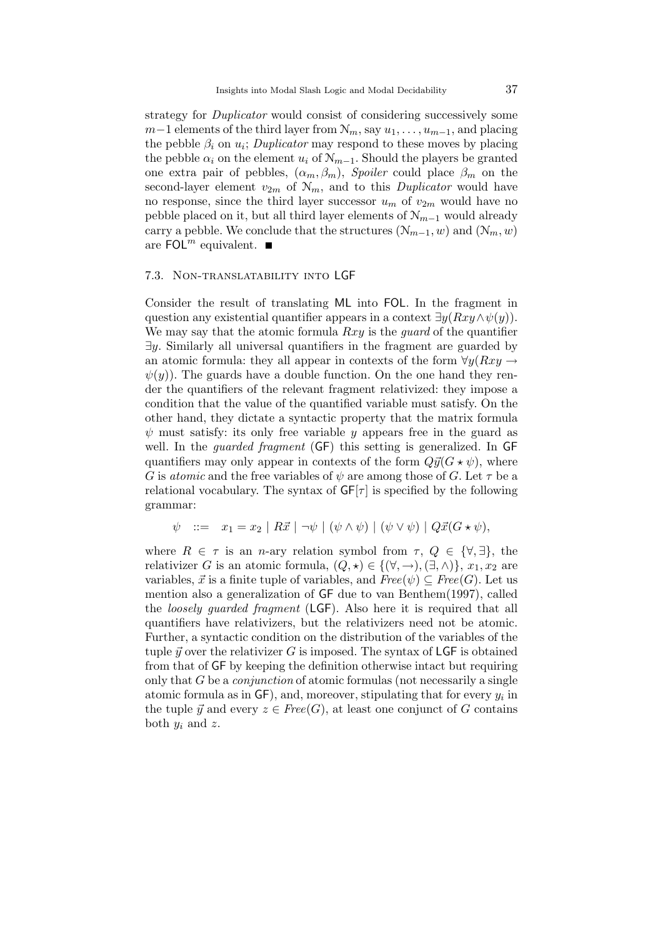strategy for *Duplicator* would consist of considering successively some  $m-1$  elements of the third layer from  $\mathcal{N}_m$ , say  $u_1, \ldots, u_{m-1}$ , and placing the pebble  $\beta_i$  on  $u_i$ ; Duplicator may respond to these moves by placing the pebble  $\alpha_i$  on the element  $u_i$  of  $\mathcal{N}_{m-1}$ . Should the players be granted one extra pair of pebbles,  $(\alpha_m, \beta_m)$ , Spoiler could place  $\beta_m$  on the second-layer element  $v_{2m}$  of  $\mathcal{N}_m$ , and to this *Duplicator* would have no response, since the third layer successor  $u_m$  of  $v_{2m}$  would have no pebble placed on it, but all third layer elements of  $\mathcal{N}_{m-1}$  would already carry a pebble. We conclude that the structures  $(\mathcal{N}_{m-1}, w)$  and  $(\mathcal{N}_m, w)$ are FOL<sup>m</sup> equivalent.  $\blacksquare$ 

#### 7.3. Non-translatability into LGF

Consider the result of translating ML into FOL. In the fragment in question any existential quantifier appears in a context  $\exists y(Rxy \wedge \psi(y))$ . We may say that the atomic formula  $Rxy$  is the *guard* of the quantifier  $\exists y$ . Similarly all universal quantifiers in the fragment are guarded by an atomic formula: they all appear in contexts of the form  $\forall y(Rxy \rightarrow$  $\psi(y)$ ). The guards have a double function. On the one hand they render the quantifiers of the relevant fragment relativized: they impose a condition that the value of the quantified variable must satisfy. On the other hand, they dictate a syntactic property that the matrix formula  $\psi$  must satisfy: its only free variable y appears free in the guard as well. In the *quarded fragment* (GF) this setting is generalized. In GF quantifiers may only appear in contexts of the form  $Q\vec{y}(G\star\psi)$ , where G is *atomic* and the free variables of  $\psi$  are among those of G. Let  $\tau$  be a relational vocabulary. The syntax of  $GF[\tau]$  is specified by the following grammar:

$$
\psi \ ::= \ x_1 = x_2 \mid R\vec{x} \mid \neg \psi \mid (\psi \land \psi) \mid (\psi \lor \psi) \mid Q\vec{x}(\mathbf{G} \star \psi),
$$

where  $R \in \tau$  is an *n*-ary relation symbol from  $\tau$ ,  $Q \in {\forall, \exists}$ , the relativizer G is an atomic formula,  $(Q, \star) \in \{(\forall, \rightarrow), (\exists, \wedge)\}, x_1, x_2$  are variables,  $\vec{x}$  is a finite tuple of variables, and  $Free(\psi) \subseteq Free(G)$ . Let us mention also a generalization of GF due to van Benthem(1997), called the *loosely quarded fragment* (LGF). Also here it is required that all quantifiers have relativizers, but the relativizers need not be atomic. Further, a syntactic condition on the distribution of the variables of the tuple  $\vec{y}$  over the relativizer G is imposed. The syntax of LGF is obtained from that of GF by keeping the definition otherwise intact but requiring only that G be a conjunction of atomic formulas (not necessarily a single atomic formula as in  $GF$ ), and, moreover, stipulating that for every  $y_i$  in the tuple  $\vec{y}$  and every  $z \in Free(G)$ , at least one conjunct of G contains both  $y_i$  and z.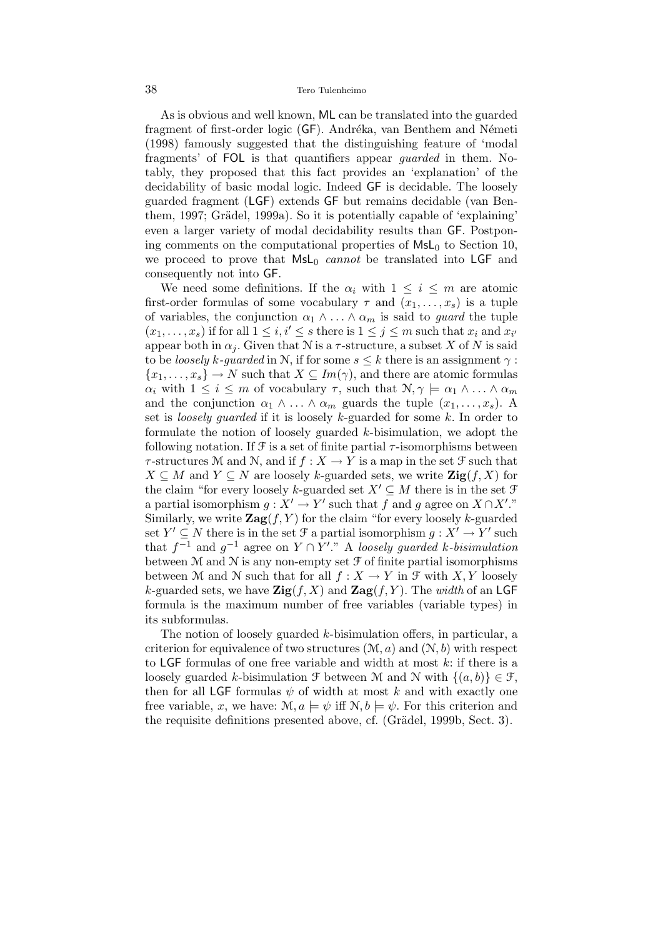As is obvious and well known, ML can be translated into the guarded fragment of first-order logic (GF). Andréka, van Benthem and Németi (1998) famously suggested that the distinguishing feature of 'modal fragments' of FOL is that quantifiers appear *quarded* in them. Notably, they proposed that this fact provides an 'explanation' of the decidability of basic modal logic. Indeed GF is decidable. The loosely guarded fragment (LGF) extends GF but remains decidable (van Benthem, 1997; Grädel, 1999a). So it is potentially capable of 'explaining' even a larger variety of modal decidability results than GF. Postponing comments on the computational properties of  $MsL<sub>0</sub>$  to Section 10. we proceed to prove that  $MsL_0$  cannot be translated into LGF and consequently not into GF.

We need some definitions. If the  $\alpha_i$  with  $1 \leq i \leq m$  are atomic first-order formulas of some vocabulary  $\tau$  and  $(x_1, \ldots, x_s)$  is a tuple of variables, the conjunction  $\alpha_1 \wedge \ldots \wedge \alpha_m$  is said to *guard* the tuple  $(x_1, \ldots, x_s)$  if for all  $1 \leq i, i' \leq s$  there is  $1 \leq j \leq m$  such that  $x_i$  and  $x_{i'}$ appear both in  $\alpha_j$ . Given that N is a  $\tau$ -structure, a subset X of N is said to be loosely k-guarded in N, if for some  $s \leq k$  there is an assignment  $\gamma$ :  ${x_1, \ldots, x_s} \rightarrow N$  such that  $X \subseteq Im(\gamma)$ , and there are atomic formulas  $\alpha_i$  with  $1 \leq i \leq m$  of vocabulary  $\tau$ , such that  $\mathcal{N}, \gamma \models \alpha_1 \land \ldots \land \alpha_m$ and the conjunction  $\alpha_1 \wedge \ldots \wedge \alpha_m$  guards the tuple  $(x_1, \ldots, x_s)$ . A set is *loosely guarded* if it is loosely  $k$ -guarded for some  $k$ . In order to formulate the notion of loosely guarded k-bisimulation, we adopt the following notation. If  $\mathcal F$  is a set of finite partial  $\tau$ -isomorphisms between  $\tau$ -structures M and N, and if  $f: X \to Y$  is a map in the set  $\mathcal F$  such that  $X \subseteq M$  and  $Y \subseteq N$  are loosely k-guarded sets, we write  $\mathbf{Zig}(f, X)$  for the claim "for every loosely k-guarded set  $X' \subseteq M$  there is in the set  $\mathcal{F}$ a partial isomorphism  $g: X' \to Y'$  such that f and g agree on  $X \cap X'$ ." Similarly, we write  $\text{Zag}(f, Y)$  for the claim "for every loosely k-guarded" set  $Y' \subseteq N$  there is in the set  $\mathcal{F}$  a partial isomorphism  $g: X' \to Y'$  such that  $f^{-1}$  and  $g^{-1}$  agree on  $Y \cap Y'$ ." A loosely guarded k-bisimulation between  $M$  and  $N$  is any non-empty set  $\mathcal F$  of finite partial isomorphisms between M and N such that for all  $f : X \to Y$  in  $\mathcal F$  with X, Y loosely k-guarded sets, we have  $\mathbf{Zig}(f, X)$  and  $\mathbf{Zag}(f, Y)$ . The width of an LGF formula is the maximum number of free variables (variable types) in its subformulas.

The notion of loosely guarded k-bisimulation offers, in particular, a criterion for equivalence of two structures  $(M, a)$  and  $(N, b)$  with respect to LGF formulas of one free variable and width at most  $k$ : if there is a loosely guarded k-bisimulation  $\mathcal F$  between M and N with  $\{(a, b)\}\in \mathcal F$ , then for all LGF formulas  $\psi$  of width at most k and with exactly one free variable, x, we have:  $\mathcal{M}, a \models \psi$  iff  $\mathcal{N}, b \models \psi$ . For this criterion and the requisite definitions presented above, cf. (Grädel, 1999b, Sect. 3).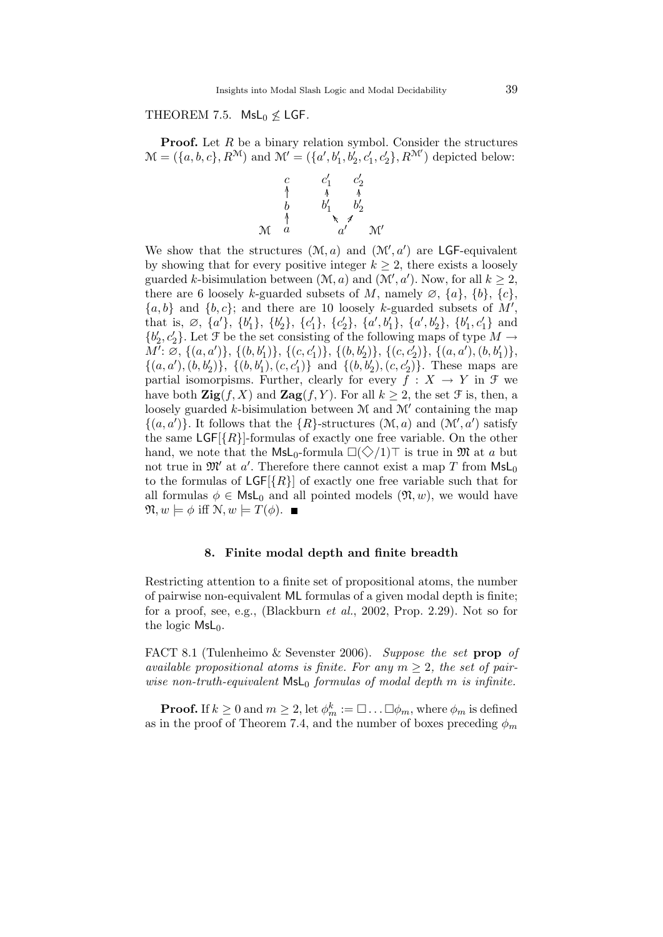## THEOREM 7.5. MsL<sub>0</sub>  $\nleq$  LGF.

**Proof.** Let  $R$  be a binary relation symbol. Consider the structures  $\mathcal{M} = (\{a, b, c\}, R^{\mathcal{M}})$  and  $\mathcal{M}' = (\{a', b'_1, b'_2, c'_1, c'_2\}, R^{\mathcal{M}'})$  depicted below:



We show that the structures  $(M, a)$  and  $(M', a')$  are LGF-equivalent by showing that for every positive integer  $k \geq 2$ , there exists a loosely guarded k-bisimulation between  $(M, a)$  and  $(M', a')$ . Now, for all  $k \geq 2$ , there are 6 loosely k-guarded subsets of M, namely  $\emptyset$ ,  $\{a\}$ ,  $\{b\}$ ,  $\{c\}$ ,  $\{a, b\}$  and  $\{b, c\}$ ; and there are 10 loosely k-guarded subsets of M', that is,  $\emptyset$ ,  $\{a'\}$ ,  $\{b'_1\}$ ,  $\{b'_2\}$ ,  $\{c'_1\}$ ,  $\{c'_2\}$ ,  $\{a', b'_1\}$ ,  $\{a', b'_2\}$ ,  $\{b'_1, c'_1\}$  and  ${b'_2, c'_2}$ . Let F be the set consisting of the following maps of type  $M \to$  $\widetilde{M'}: \widetilde{\varnothing}, \, \{(a,a')\}, \, \{(b,b_1')\}, \, \{(c,c_1')\}, \, \{(b,b_2')\}, \, \{(c,c_2')\}, \, \{(a,a'), (b,b_1')\},$  $\{(a, a'), (b, b'_2)\}, \{(b, b'_1), (c, c'_1)\}\$  and  $\{(b, b'_2), (c, c'_2)\}.$  These maps are partial isomorpisms. Further, clearly for every  $\overline{f}: X \to Y$  in  $\mathcal F$  we have both  $\mathbf{Zig}(f, X)$  and  $\mathbf{Zag}(f, Y)$ . For all  $k \geq 2$ , the set  $\mathcal F$  is, then, a loosely guarded  $k$ -bisimulation between  $M$  and  $M'$  containing the map  $\{(a, a')\}$ . It follows that the  $\{R\}$ -structures  $(\mathcal{M}, a)$  and  $(\mathcal{M}', a')$  satisfy the same  $\textsf{LGF}[\{R\}]$ -formulas of exactly one free variable. On the other hand, we note that the  $\textsf{MsL}_0$ -formula  $\square(\diamondsuit/1)\top$  is true in M at a but not true in  $\mathfrak{M}'$  at  $a'$ . Therefore there cannot exist a map T from  $\mathsf{MsL}_0$ to the formulas of  $LGF[\{R\}]$  of exactly one free variable such that for all formulas  $\phi \in \mathsf{Msl}_0$  and all pointed models  $(\mathfrak{N}, w)$ , we would have  $\mathfrak{N}, w \models \phi \text{ iff } \mathfrak{N}, w \models T(\phi). \blacksquare$ 

## 8. Finite modal depth and finite breadth

Restricting attention to a finite set of propositional atoms, the number of pairwise non-equivalent ML formulas of a given modal depth is finite; for a proof, see, e.g., (Blackburn et al., 2002, Prop. 2.29). Not so for the logic  $MsL_0$ .

FACT 8.1 (Tulenheimo & Sevenster 2006). Suppose the set prop of available propositional atoms is finite. For any  $m > 2$ , the set of pairwise non-truth-equivalent  $\mathsf{MsL}_0$  formulas of modal depth m is infinite.

**Proof.** If  $k \geq 0$  and  $m \geq 2$ , let  $\phi_m^k := \Box \dots \Box \phi_m$ , where  $\phi_m$  is defined as in the proof of Theorem 7.4, and the number of boxes preceding  $\phi_m$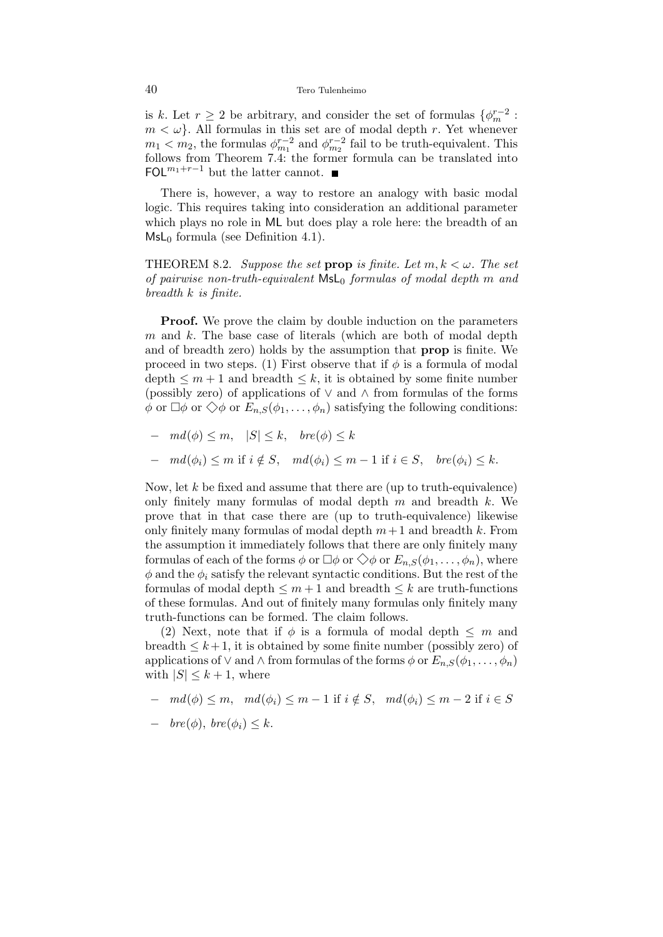is k. Let  $r \geq 2$  be arbitrary, and consider the set of formulas  $\{\phi_m^{r-2}$ :  $m < \omega$ . All formulas in this set are of modal depth r. Yet whenever  $m_1 < m_2$ , the formulas  $\phi_{m_1}^{r-2}$  and  $\phi_{m_2}^{r-2}$  fail to be truth-equivalent. This follows from Theorem 7.4: the former formula can be translated into FOL $^{m_1+r-1}$  but the latter cannot. ■

There is, however, a way to restore an analogy with basic modal logic. This requires taking into consideration an additional parameter which plays no role in ML but does play a role here: the breadth of an  $MsL<sub>0</sub>$  formula (see Definition 4.1).

THEOREM 8.2. Suppose the set prop is finite. Let  $m, k < \omega$ . The set of pairwise non-truth-equivalent  $\mathsf{MsL}_0$  formulas of modal depth m and breadth  $k$  is finite.

**Proof.** We prove the claim by double induction on the parameters  $m$  and  $k$ . The base case of literals (which are both of modal depth and of breadth zero) holds by the assumption that prop is finite. We proceed in two steps. (1) First observe that if  $\phi$  is a formula of modal depth  $\leq m+1$  and breadth  $\leq k$ , it is obtained by some finite number (possibly zero) of applications of ∨ and ∧ from formulas of the forms  $\phi$  or  $\Box \phi$  or  $\Diamond \phi$  or  $E_{n,S}(\phi_1, \ldots, \phi_n)$  satisfying the following conditions:

$$
-\quad md(\phi) \leq m, \quad |S| \leq k, \quad bre(\phi) \leq k
$$

$$
- \quad md(\phi_i) \le m \text{ if } i \notin S, \quad md(\phi_i) \le m-1 \text{ if } i \in S, \quad bre(\phi_i) \le k.
$$

Now, let  $k$  be fixed and assume that there are (up to truth-equivalence) only finitely many formulas of modal depth  $m$  and breadth  $k$ . We prove that in that case there are (up to truth-equivalence) likewise only finitely many formulas of modal depth  $m+1$  and breadth k. From the assumption it immediately follows that there are only finitely many formulas of each of the forms  $\phi$  or  $\Box \phi$  or  $\Diamond \phi$  or  $E_{n,S}(\phi_1,\ldots,\phi_n)$ , where  $\phi$  and the  $\phi_i$  satisfy the relevant syntactic conditions. But the rest of the formulas of modal depth  $\leq m+1$  and breadth  $\leq k$  are truth-functions of these formulas. And out of finitely many formulas only finitely many truth-functions can be formed. The claim follows.

(2) Next, note that if  $\phi$  is a formula of modal depth  $\leq m$  and breadth  $\leq k+1$ , it is obtained by some finite number (possibly zero) of applications of  $\vee$  and  $\wedge$  from formulas of the forms  $\phi$  or  $E_{n,S}(\phi_1,\ldots,\phi_n)$ with  $|S| \leq k+1$ , where

 $- \text{ } md(\phi) \leq m, \text{ } md(\phi_i) \leq m-1 \text{ if } i \notin S, \text{ } md(\phi_i) \leq m-2 \text{ if } i \in S$ 

$$
- \quad bre(\phi), \, bre(\phi_i) \leq k.
$$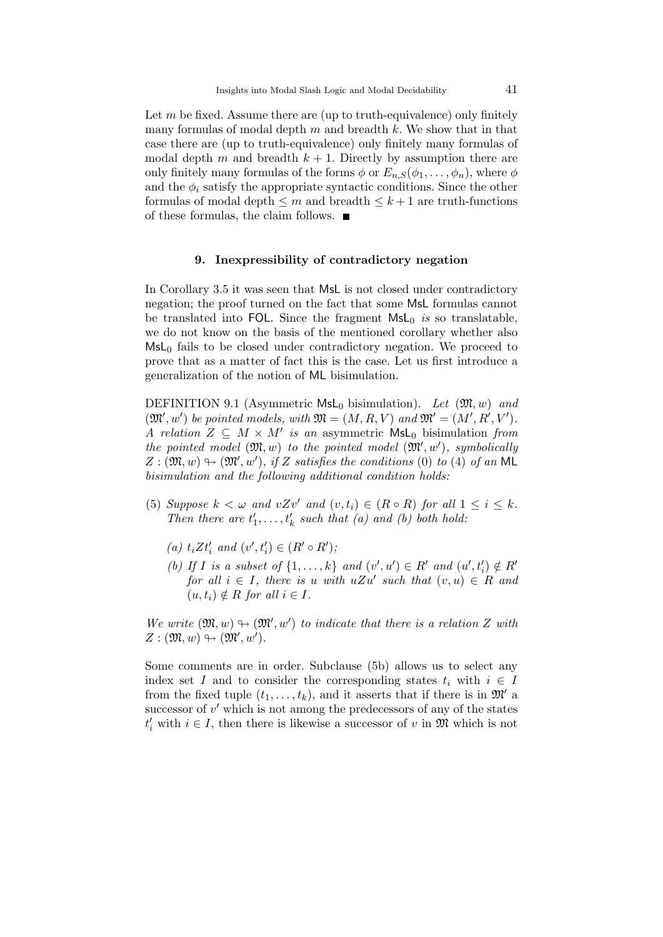Let  $m$  be fixed. Assume there are (up to truth-equivalence) only finitely many formulas of modal depth  $m$  and breadth  $k$ . We show that in that case there are (up to truth-equivalence) only finitely many formulas of modal depth m and breadth  $k + 1$ . Directly by assumption there are only finitely many formulas of the forms  $\phi$  or  $E_{n,S}(\phi_1,\ldots,\phi_n)$ , where  $\phi$ and the  $\phi_i$  satisfy the appropriate syntactic conditions. Since the other formulas of modal depth  $\leq m$  and breadth  $\leq k+1$  are truth-functions of these formulas, the claim follows.  $\blacksquare$ 

#### 9. Inexpressibility of contradictory negation

In Corollary 3.5 it was seen that MsL is not closed under contradictory negation; the proof turned on the fact that some MsL formulas cannot be translated into FOL. Since the fragment  $MSL_0$  is so translatable, we do not know on the basis of the mentioned corollary whether also  $MsL<sub>0</sub>$  fails to be closed under contradictory negation. We proceed to prove that as a matter of fact this is the case. Let us first introduce a generalization of the notion of ML bisimulation.

DEFINITION 9.1 (Asymmetric  $MsL_0$  bisimulation). Let  $(\mathfrak{M}, w)$  and  $(\mathfrak{M}', w')$  be pointed models, with  $\mathfrak{M} = (M, R, V)$  and  $\mathfrak{M}' = (M', R', V').$ A relation  $Z \subseteq M \times M'$  is an asymmetric  $MsL_0$  bisimulation from the pointed model  $(\mathfrak{M}, w)$  to the pointed model  $(\mathfrak{M}', w')$ , symbolically  $Z : (\mathfrak{M}, w) \rightarrow (\mathfrak{M}', w')$ , if Z satisfies the conditions (0) to (4) of an ML bisimulation and the following additional condition holds:

- (5) Suppose  $k < \omega$  and  $vZv'$  and  $(v, t_i) \in (R \circ R)$  for all  $1 \leq i \leq k$ . Then there are  $t'_1, \ldots, t'_k$  such that (a) and (b) both hold:
	- (a)  $t_i Z t'_i$  and  $(v', t'_i) \in (R' \circ R')$ ;
	- (b) If I is a subset of  $\{1, \ldots, k\}$  and  $(v', u') \in R'$  and  $(u', t'_i) \notin R'$ for all  $i \in I$ , there is u with  $uZu'$  such that  $(v, u) \in R$  and  $(u, t_i) \notin R$  for all  $i \in I$ .

We write  $(\mathfrak{M}, w) \rightarrow (\mathfrak{M}', w')$  to indicate that there is a relation Z with  $Z: (\mathfrak{M}, w) \oplus (\mathfrak{M}', w')$ .

Some comments are in order. Subclause (5b) allows us to select any index set I and to consider the corresponding states  $t_i$  with  $i \in I$ from the fixed tuple  $(t_1, \ldots, t_k)$ , and it asserts that if there is in  $\mathfrak{M}'$  a successor of  $v'$  which is not among the predecessors of any of the states  $t'_{i}$  with  $i \in I$ , then there is likewise a successor of v in  $\mathfrak{M}$  which is not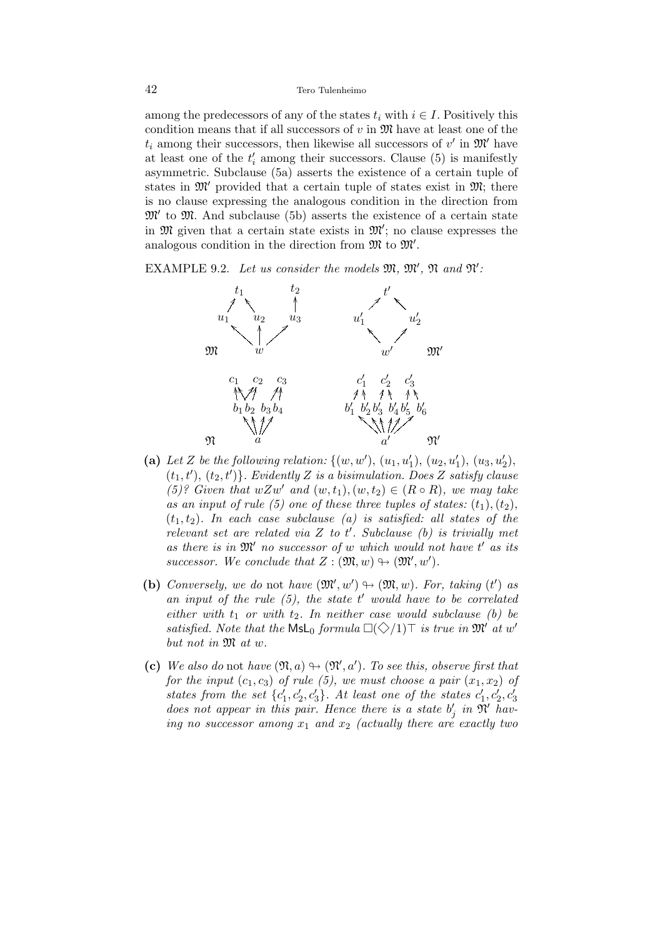#### 42 Tero Tulenheimo

among the predecessors of any of the states  $t_i$  with  $i \in I$ . Positively this condition means that if all successors of  $v$  in  $\mathfrak{M}$  have at least one of the  $t_i$  among their successors, then likewise all successors of  $v'$  in  $\mathfrak{M}'$  have at least one of the  $t_i'$  among their successors. Clause (5) is manifestly asymmetric. Subclause (5a) asserts the existence of a certain tuple of states in  $\mathfrak{M}'$  provided that a certain tuple of states exist in  $\mathfrak{M}$ ; there is no clause expressing the analogous condition in the direction from  $\mathfrak{M}'$  to  $\mathfrak{M}$ . And subclause (5b) asserts the existence of a certain state in  $\mathfrak{M}$  given that a certain state exists in  $\mathfrak{M}'$ ; no clause expresses the analogous condition in the direction from  $\mathfrak{M}$  to  $\mathfrak{M}'$ .

EXAMPLE 9.2. Let us consider the models  $\mathfrak{M}, \mathfrak{M}', \mathfrak{N}$  and  $\mathfrak{N}'$ .



- (a) Let Z be the following relation:  $\{(w, w'), (u_1, u'_1), (u_2, u'_1), (u_3, u'_2),\}$  $(t_1, t')$ ,  $(t_2, t')$ . Evidently Z is a bisimulation. Does Z satisfy clause (5)? Given that  $wZw'$  and  $(w, t_1), (w, t_2) \in (R \circ R)$ , we may take as an input of rule (5) one of these three tuples of states:  $(t_1)$ ,  $(t_2)$ ,  $(t_1, t_2)$ . In each case subclause (a) is satisfied: all states of the relevant set are related via  $Z$  to  $t'$ . Subclause (b) is trivially met as there is in  $\mathfrak{M}'$  no successor of w which would not have  $t'$  as its successor. We conclude that  $Z : (\mathfrak{M}, w) \to (\mathfrak{M}', w')$ .
- (b) Conversely, we do not have  $(\mathfrak{M}', w') \rightarrow (\mathfrak{M}, w)$ . For, taking (t') as an input of the rule  $(5)$ , the state  $t'$  would have to be correlated either with  $t_1$  or with  $t_2$ . In neither case would subclause (b) be satisfied. Note that the  $\textsf{Msl}_0$  formula  $\square(\diamondsuit/1)\top$  is true in  $\mathfrak{M}'$  at w' but not in  $\mathfrak{M}$  at w.
- (c) We also do not have  $(\mathfrak{N}, a) \oplus (\mathfrak{N}', a')$ . To see this, observe first that for the input  $(c_1, c_3)$  of rule (5), we must choose a pair  $(x_1, x_2)$  of states from the set  $\{c_1', c_2', c_3'\}$ . At least one of the states  $c_1', c_2', c_3'$ does not appear in this pair. Hence there is a state  $b'_j$  in  $\mathfrak{N}'$  having no successor among  $x_1$  and  $x_2$  (actually there are exactly two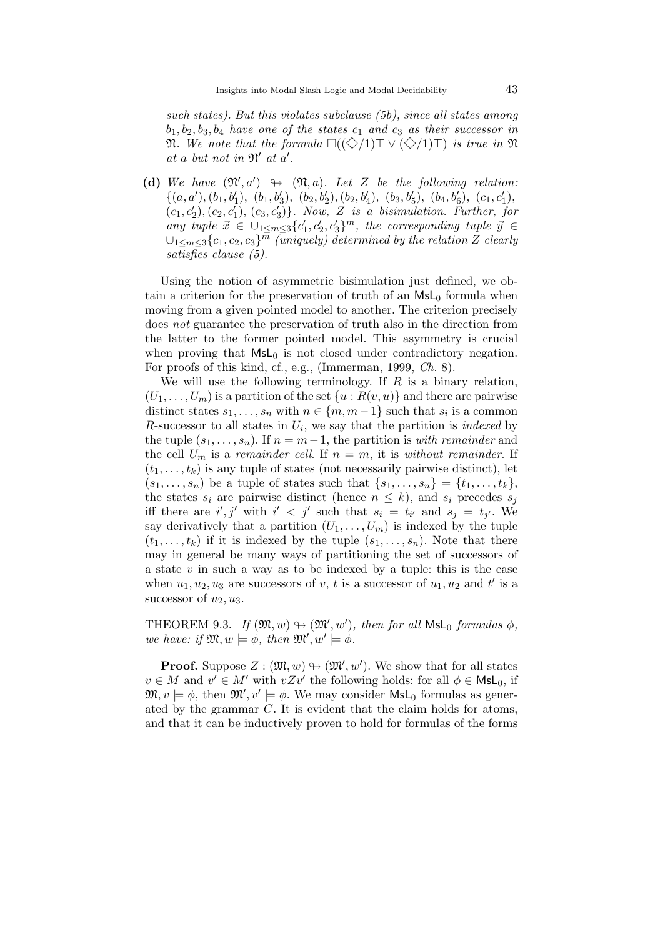such states). But this violates subclause (5b), since all states among  $b_1, b_2, b_3, b_4$  have one of the states  $c_1$  and  $c_3$  as their successor in  $\mathfrak{N}.$  We note that the formula  $\square((\diamondsuit/1)\top \vee (\diamondsuit/1)\top)$  is true in  $\mathfrak{N}$ at a but not in  $\mathfrak{N}'$  at  $a'$ .

(d) We have  $(\mathfrak{N}',a') \rightarrow (\mathfrak{N},a)$ . Let Z be the following relation:  $\{(a, a'), (b_1, b'_1), (b_1, b'_3), (b_2, b'_2), (b_2, b'_4), (b_3, b'_5), (b_4, b'_6), (c_1, c'_1),$  $(c_1, c'_2), (c_2, c'_1), (c_3, c'_3) \}$ . Now, Z is a bisimulation. Further, for any tuple  $\vec{x} \in \bigcup_{1 \leq m \leq 3} \{c'_1, c'_2, c'_3\}^m$ , the corresponding tuple  $\vec{y} \in$  $\cup_{1\leq m\leq 3}\{c_1,c_2,c_3\}^{\bar{m}}$  (uniquely) determined by the relation Z clearly satisfies clause (5).

Using the notion of asymmetric bisimulation just defined, we obtain a criterion for the preservation of truth of an  $MsL<sub>0</sub>$  formula when moving from a given pointed model to another. The criterion precisely does not guarantee the preservation of truth also in the direction from the latter to the former pointed model. This asymmetry is crucial when proving that  $MsL_0$  is not closed under contradictory negation. For proofs of this kind, cf., e.g., (Immerman, 1999, Ch. 8).

We will use the following terminology. If  $R$  is a binary relation,  $(U_1, \ldots, U_m)$  is a partition of the set  $\{u : R(v, u)\}$  and there are pairwise distinct states  $s_1, \ldots, s_n$  with  $n \in \{m, m-1\}$  such that  $s_i$  is a common R-successor to all states in  $U_i$ , we say that the partition is *indexed* by the tuple  $(s_1, \ldots, s_n)$ . If  $n = m-1$ , the partition is with remainder and the cell  $U_m$  is a remainder cell. If  $n = m$ , it is without remainder. If  $(t_1, \ldots, t_k)$  is any tuple of states (not necessarily pairwise distinct), let  $(s_1, ..., s_n)$  be a tuple of states such that  $\{s_1, ..., s_n\} = \{t_1, ..., t_k\},\$ the states  $s_i$  are pairwise distinct (hence  $n \leq k$ ), and  $s_i$  precedes  $s_j$ iff there are  $i', j'$  with  $i' < j'$  such that  $s_i = t_{i'}$  and  $s_j = t_{j'}$ . We say derivatively that a partition  $(U_1, \ldots, U_m)$  is indexed by the tuple  $(t_1, \ldots, t_k)$  if it is indexed by the tuple  $(s_1, \ldots, s_n)$ . Note that there may in general be many ways of partitioning the set of successors of a state  $v$  in such a way as to be indexed by a tuple: this is the case when  $u_1, u_2, u_3$  are successors of v, t is a successor of  $u_1, u_2$  and t' is a successor of  $u_2, u_3$ .

THEOREM 9.3. If  $(\mathfrak{M}, w) \rightarrow (\mathfrak{M}', w')$ , then for all  $\mathsf{MsL}_0$  formulas  $\phi$ , we have: if  $\mathfrak{M}, w \models \phi$ , then  $\mathfrak{M}', w' \models \phi$ .

**Proof.** Suppose  $Z : (\mathfrak{M}, w) \to (\mathfrak{M}', w')$ . We show that for all states  $v \in M$  and  $v' \in M'$  with  $vZv'$  the following holds: for all  $\phi \in \mathsf{Msl}_0$ , if  $\mathfrak{M}, v \models \phi$ , then  $\mathfrak{M}', v' \models \phi$ . We may consider  $\mathsf{Msl}_0$  formulas as generated by the grammar C. It is evident that the claim holds for atoms, and that it can be inductively proven to hold for formulas of the forms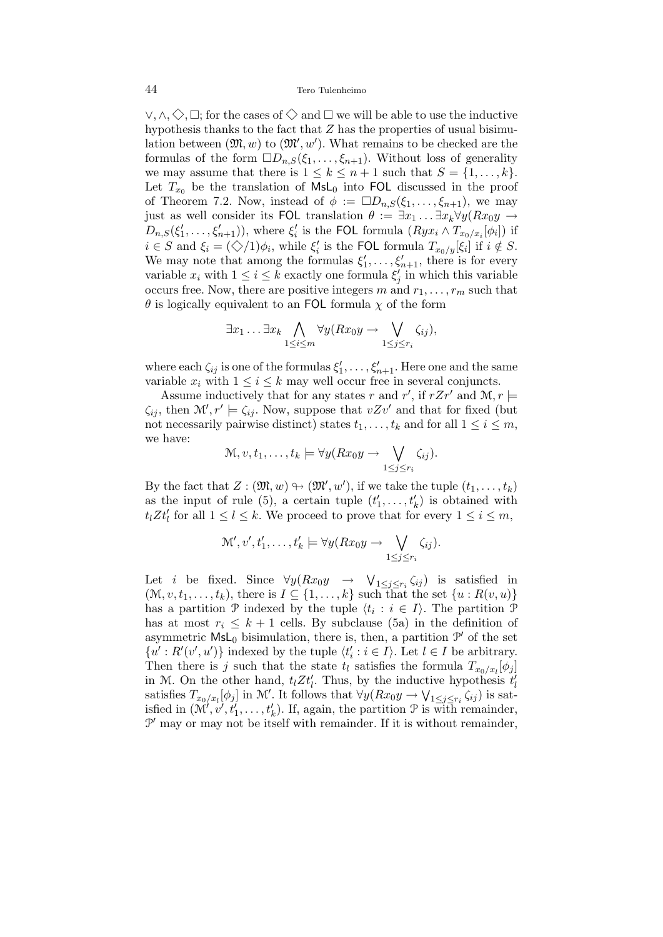$\vee, \wedge, \Diamond, \Box$ ; for the cases of  $\Diamond$  and  $\Box$  we will be able to use the inductive hypothesis thanks to the fact that  $Z$  has the properties of usual bisimulation between  $(\mathfrak{M}, w)$  to  $(\mathfrak{M}', w')$ . What remains to be checked are the formulas of the form  $\Box D_{n,S}(\xi_1,\ldots,\xi_{n+1})$ . Without loss of generality we may assume that there is  $1 \leq k \leq n+1$  such that  $S = \{1, \ldots, k\}.$ Let  $T_{x_0}$  be the translation of  $\mathsf{MsL}_0$  into FOL discussed in the proof of Theorem 7.2. Now, instead of  $\phi := \Box D_{n,S}(\xi_1,\ldots,\xi_{n+1}),$  we may just as well consider its FOL translation  $\theta := \exists x_1 \dots \exists x_k \forall y (Rx_0y \rightarrow$  $D_{n,S}(\xi'_1,\ldots,\xi'_{n+1})$ , where  $\xi'_i$  is the FOL formula  $(Ryx_i \wedge T_{x_0/x_i}[\phi_i])$  if  $i \in S$  and  $\xi_i = (\diamondsuit/1)\phi_i$ , while  $\xi'_i$  is the FOL formula  $T_{x_0/y}[\xi_i]$  if  $i \notin S$ . We may note that among the formulas  $\xi'_1, \ldots, \xi'_{n+1}$ , there is for every variable  $x_i$  with  $1 \leq i \leq k$  exactly one formula  $\xi'_j$  in which this variable occurs free. Now, there are positive integers m and  $r_1, \ldots, r_m$  such that  $\theta$  is logically equivalent to an FOL formula  $\chi$  of the form

$$
\exists x_1 \ldots \exists x_k \bigwedge_{1 \leq i \leq m} \forall y (Rx_0y \to \bigvee_{1 \leq j \leq r_i} \zeta_{ij}),
$$

where each  $\zeta_{ij}$  is one of the formulas  $\xi'_1, \ldots, \xi'_{n+1}$ . Here one and the same variable  $x_i$  with  $1 \leq i \leq k$  may well occur free in several conjuncts.

Assume inductively that for any states r and r', if  $rZr'$  and  $\mathcal{M}, r \models$  $\zeta_{ij}$ , then  $\mathcal{M}'$ ,  $r' \models \zeta_{ij}$ . Now, suppose that  $vZv'$  and that for fixed (but not necessarily pairwise distinct) states  $t_1, \ldots, t_k$  and for all  $1 \leq i \leq m$ , we have:

$$
\mathcal{M}, v, t_1, \ldots, t_k \models \forall y (Rx_0y \rightarrow \bigvee_{1 \leq j \leq r_i} \zeta_{ij}).
$$

By the fact that  $Z : (\mathfrak{M}, w) \to (\mathfrak{M}', w')$ , if we take the tuple  $(t_1, \ldots, t_k)$ as the input of rule (5), a certain tuple  $(t'_1, \ldots, t'_k)$  is obtained with  $t_l Z t'_l$  for all  $1 \leq l \leq k$ . We proceed to prove that for every  $1 \leq i \leq m$ ,

$$
\mathcal{M}', v', t'_1, \ldots, t'_k \models \forall y (Rx_0y \rightarrow \bigvee_{1 \leq j \leq r_i} \zeta_{ij}).
$$

Let *i* be fixed. Since  $\forall y (Rx_0y \rightarrow \forall_{1 \leq j \leq r_i} \zeta_{ij})$  is satisfied in  $(\mathcal{M}, v, t_1, \ldots, t_k)$ , there is  $I \subseteq \{1, \ldots, k\}$  such that the set  $\{u : R(v, u)\}$ has a partition  $\mathcal P$  indexed by the tuple  $\langle t_i : i \in I \rangle$ . The partition  $\mathcal P$ has at most  $r_i \leq k+1$  cells. By subclause (5a) in the definition of asymmetric  $\textsf{MsL}_0$  bisimulation, there is, then, a partition  $\mathcal{P}'$  of the set  $\{u': R'(v', u')\}$  indexed by the tuple  $\langle t'_i : i \in I \rangle$ . Let  $l \in I$  be arbitrary. Then there is j such that the state  $t_l$  satisfies the formula  $T_{x_0/x_l}[\phi_j]$ in M. On the other hand,  $t_l Z t'_l$ . Thus, by the inductive hypothesis  $t'_l$ satisfies  $T_{x_0/x_l}[\phi_j]$  in M'. It follows that  $\forall y(Rx_0y \to \bigvee_{1 \leq j \leq r_i} \zeta_{ij})$  is satiisfied in  $(\mathcal{M}', v', t'_1, \ldots, t'_k)$ . If, again, the partition  $\mathcal P$  is with remainder,  $\mathcal{P}'$  may or may not be itself with remainder. If it is without remainder,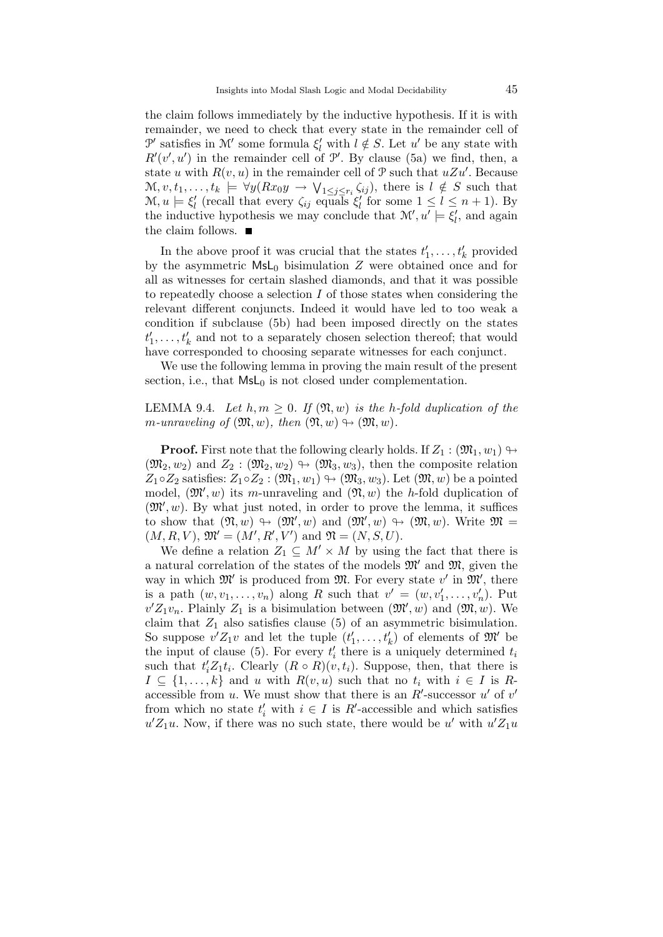the claim follows immediately by the inductive hypothesis. If it is with remainder, we need to check that every state in the remainder cell of  $\mathcal{P}'$  satisfies in  $\mathcal{M}'$  some formula  $\xi'_{l}$  with  $l \notin S$ . Let  $u'$  be any state with  $R'(v', u')$  in the remainder cell of  $\mathcal{P}'$ . By clause (5a) we find, then, a state u with  $R(v, u)$  in the remainder cell of  $\mathcal{P}$  such that  $uZu'$ . Because  $\mathcal{M}, v, t_1, \ldots, t_k \models \forall y (Rx_0y \rightarrow \bigvee_{1 \leq j \leq r_i} \zeta_{ij}),$  there is  $l \notin S$  such that  $\mathcal{M}, u \models \xi_l'$  (recall that every  $\zeta_{ij}$  equals  $\xi_l'$  for some  $1 \leq l \leq n+1$ ). By the inductive hypothesis we may conclude that  $\mathcal{M}'$ ,  $u' \models \xi'_{l}$ , and again the claim follows.

In the above proof it was crucial that the states  $t'_1, \ldots, t'_k$  provided by the asymmetric  $MsL_0$  bisimulation Z were obtained once and for all as witnesses for certain slashed diamonds, and that it was possible to repeatedly choose a selection I of those states when considering the relevant different conjuncts. Indeed it would have led to too weak a condition if subclause (5b) had been imposed directly on the states  $t'_1, \ldots, t'_k$  and not to a separately chosen selection thereof; that would have corresponded to choosing separate witnesses for each conjunct.

We use the following lemma in proving the main result of the present section, i.e., that  $MsL<sub>0</sub>$  is not closed under complementation.

## LEMMA 9.4. Let  $h, m \geq 0$ . If  $(\mathfrak{N}, w)$  is the h-fold duplication of the m-unraveling of  $(\mathfrak{M}, w)$ , then  $(\mathfrak{N}, w) \rightarrow (\mathfrak{M}, w)$ .

**Proof.** First note that the following clearly holds. If  $Z_1$  :  $(\mathfrak{M}_1, w_1) \rightarrow$  $(\mathfrak{M}_2, w_2)$  and  $Z_2 : (\mathfrak{M}_2, w_2) \rightarrow (\mathfrak{M}_3, w_3)$ , then the composite relation  $Z_1 \circ Z_2$  satisfies:  $Z_1 \circ Z_2 : (\mathfrak{M}_1, w_1) \leftrightarrow (\mathfrak{M}_3, w_3)$ . Let  $(\mathfrak{M}, w)$  be a pointed model,  $(\mathfrak{M}', w)$  its m-unraveling and  $(\mathfrak{N}, w)$  the h-fold duplication of  $(\mathfrak{M}', w)$ . By what just noted, in order to prove the lemma, it suffices to show that  $(\mathfrak{N}, w) \rightarrow (\mathfrak{M}', w)$  and  $(\mathfrak{M}', w) \rightarrow (\mathfrak{M}, w)$ . Write  $\mathfrak{M} =$  $(M, R, V), \mathfrak{M}' = (M', R', V') \text{ and } \mathfrak{N} = (N, S, U).$ 

We define a relation  $Z_1 \subseteq M' \times M$  by using the fact that there is a natural correlation of the states of the models  $\mathfrak{M}'$  and  $\mathfrak{M}$ , given the way in which  $\mathfrak{M}'$  is produced from  $\mathfrak{M}$ . For every state v' in  $\mathfrak{M}'$ , there is a path  $(w, v_1, \ldots, v_n)$  along R such that  $v' = (w, v'_1, \ldots, v'_n)$ . Put  $v'Z_1v_n$ . Plainly  $Z_1$  is a bisimulation between  $(\mathfrak{M}', w)$  and  $(\mathfrak{M}, w)$ . We claim that  $Z_1$  also satisfies clause (5) of an asymmetric bisimulation. So suppose  $v'Z_1v$  and let the tuple  $(t'_1,\ldots,t'_k)$  of elements of  $\mathfrak{M}'$  be the input of clause (5). For every  $t_i'$  there is a uniquely determined  $t_i$ such that  $t_i'Z_1t_i$ . Clearly  $(R \circ R)(v, t_i)$ . Suppose, then, that there is  $I \subseteq \{1, \ldots, k\}$  and u with  $R(v, u)$  such that no  $t_i$  with  $i \in I$  is Raccessible from u. We must show that there is an  $R'$ -successor u' of v' from which no state  $t'_{i}$  with  $i \in I$  is  $R'$ -accessible and which satisfies  $u'Z_1u$ . Now, if there was no such state, there would be u' with  $u'Z_1u$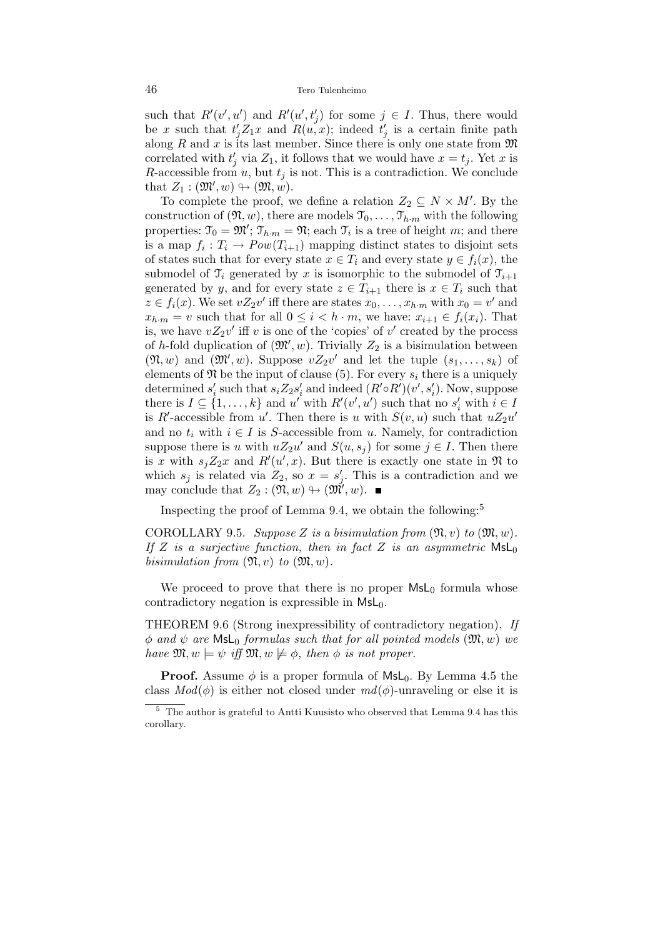such that  $R'(v', u')$  and  $R'(u', t'_j)$  for some  $j \in I$ . Thus, there would be x such that  $t'_j Z_1 x$  and  $R(u, x)$ ; indeed  $t'_j$  is a certain finite path along R and x is its last member. Since there is only one state from  $\mathfrak{M}$ correlated with  $t'_j$  via  $Z_1$ , it follows that we would have  $x = t_j$ . Yet x is R-accessible from  $u$ , but  $t_i$  is not. This is a contradiction. We conclude that  $Z_1 : (\mathfrak{M}', w) \rightarrow (\mathfrak{M}, w)$ .

To complete the proof, we define a relation  $Z_2 \subseteq N \times M'$ . By the construction of  $(\mathfrak{N}, w)$ , there are models  $\mathfrak{I}_0, \ldots, \mathfrak{I}_{h \cdot m}$  with the following properties:  $\mathfrak{T}_0 = \mathfrak{M}'$ ;  $\mathfrak{T}_{h \cdot m} = \mathfrak{N}$ ; each  $\mathfrak{T}_i$  is a tree of height m; and there is a map  $f_i: T_i \to Pow(T_{i+1})$  mapping distinct states to disjoint sets of states such that for every state  $x \in T_i$  and every state  $y \in f_i(x)$ , the submodel of  $\mathfrak{T}_i$  generated by x is isomorphic to the submodel of  $\mathfrak{T}_{i+1}$ generated by y, and for every state  $z \in T_{i+1}$  there is  $x \in T_i$  such that  $z \in f_i(x)$ . We set  $vZ_2v'$  iff there are states  $x_0, \ldots, x_{h \cdot m}$  with  $x_0 = v'$  and  $x_{h\cdot m} = v$  such that for all  $0 \leq i \leq h\cdot m$ , we have:  $x_{i+1} \in f_i(x_i)$ . That is, we have  $vZ_2v'$  iff v is one of the 'copies' of v' created by the process of h-fold duplication of  $(\mathfrak{M}', w)$ . Trivially  $Z_2$  is a bisimulation between  $(\mathfrak{N}, w)$  and  $(\mathfrak{M}', w)$ . Suppose  $vZ_2v'$  and let the tuple  $(s_1, \ldots, s_k)$  of elements of  $\mathfrak N$  be the input of clause (5). For every  $s_i$  there is a uniquely determined  $s_i'$  such that  $s_i Z_2 s_i'$  and indeed  $(R' \circ R')(v', s_i')$ . Now, suppose there is  $I \subseteq \{1, ..., k\}$  and u' with  $R'(v', u')$  such that no  $s'_i$  with  $i \in I$ is R'-accessible from u'. Then there is u with  $S(v, u)$  such that  $uZ_2u'$ and no  $t_i$  with  $i \in I$  is S-accessible from u. Namely, for contradiction suppose there is u with  $uZ_2u'$  and  $S(u, s_j)$  for some  $j \in I$ . Then there is x with  $s_j Z_2 x$  and  $R'(u',x)$ . But there is exactly one state in  $\mathfrak{N}$  to which  $s_j$  is related via  $Z_2$ , so  $x = s'_j$ . This is a contradiction and we may conclude that  $Z_2 : (\mathfrak{N}, w) \to (\mathfrak{M}', w)$ .

Inspecting the proof of Lemma 9.4, we obtain the following:<sup>5</sup>

COROLLARY 9.5. Suppose Z is a bisimulation from  $(\mathfrak{N}, v)$  to  $(\mathfrak{M}, w)$ . If Z is a surjective function, then in fact Z is an asymmetric  $\textsf{MsL}_0$ bisimulation from  $(\mathfrak{N}, v)$  to  $(\mathfrak{M}, w)$ .

We proceed to prove that there is no proper  $MsL<sub>0</sub>$  formula whose contradictory negation is expressible in  $MsL<sub>0</sub>$ .

THEOREM 9.6 (Strong inexpressibility of contradictory negation). If  $\phi$  and  $\psi$  are MsL<sub>0</sub> formulas such that for all pointed models  $(\mathfrak{M}, w)$  we have  $\mathfrak{M}, w \models \psi$  iff  $\mathfrak{M}, w \not\models \phi$ , then  $\phi$  is not proper.

**Proof.** Assume  $\phi$  is a proper formula of MsL<sub>0</sub>. By Lemma 4.5 the class  $Mod(\phi)$  is either not closed under  $md(\phi)$ -unraveling or else it is

 $^5\,$  The author is grateful to Antti Kuusisto who observed that Lemma 9.4 has this corollary.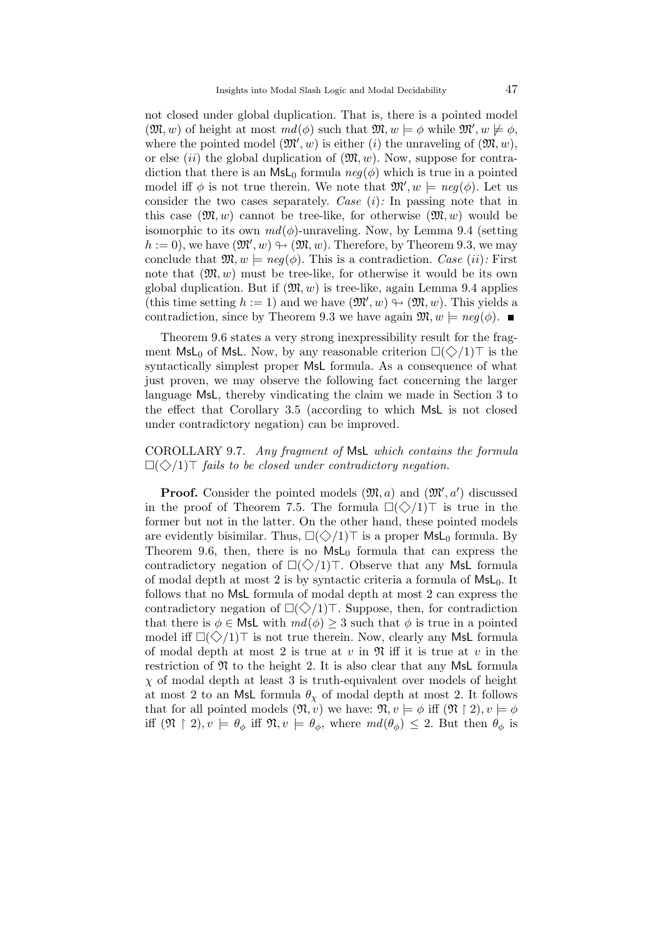not closed under global duplication. That is, there is a pointed model  $(\mathfrak{M}, w)$  of height at most  $md(\phi)$  such that  $\mathfrak{M}, w \models \phi$  while  $\mathfrak{M}', w \not\models \phi$ , where the pointed model  $(\mathfrak{M}', w)$  is either (i) the unraveling of  $(\mathfrak{M}, w)$ , or else (ii) the global duplication of  $(\mathfrak{M}, w)$ . Now, suppose for contradiction that there is an  $\mathsf{MsL}_0$  formula  $neg(\phi)$  which is true in a pointed model iff  $\phi$  is not true therein. We note that  $\mathfrak{M}'$ ,  $w \models neg(\phi)$ . Let us consider the two cases separately. Case  $(i)$ : In passing note that in this case  $(\mathfrak{M}, w)$  cannot be tree-like, for otherwise  $(\mathfrak{M}, w)$  would be isomorphic to its own  $md(\phi)$ -unraveling. Now, by Lemma 9.4 (setting  $h := 0$ , we have  $(\mathfrak{M}', w) \oplus (\mathfrak{M}, w)$ . Therefore, by Theorem 9.3, we may conclude that  $\mathfrak{M}, w \models \text{neg}(\phi)$ . This is a contradiction. Case (ii): First note that  $(\mathfrak{M}, w)$  must be tree-like, for otherwise it would be its own global duplication. But if  $(\mathfrak{M}, w)$  is tree-like, again Lemma 9.4 applies (this time setting  $h := 1$ ) and we have  $(\mathfrak{M}', w) \oplus (\mathfrak{M}, w)$ . This yields a contradiction, since by Theorem 9.3 we have again  $\mathfrak{M}, w \models \text{neg}(\phi)$ .

Theorem 9.6 states a very strong inexpressibility result for the fragment  $\mathsf{MsL}_0$  of  $\mathsf{MsL}$ . Now, by any reasonable criterion  $\square(\diamondsuit/1)\top$  is the syntactically simplest proper MsL formula. As a consequence of what just proven, we may observe the following fact concerning the larger language MsL, thereby vindicating the claim we made in Section 3 to the effect that Corollary 3.5 (according to which MsL is not closed under contradictory negation) can be improved.

## COROLLARY 9.7. Any fragment of MsL which contains the formula  $\Box(\Diamond/1)$  fails to be closed under contradictory negation.

**Proof.** Consider the pointed models  $(\mathfrak{M}, a)$  and  $(\mathfrak{M}', a')$  discussed in the proof of Theorem 7.5. The formula  $\square(\diamondsuit/1)\top$  is true in the former but not in the latter. On the other hand, these pointed models are evidently bisimilar. Thus,  $\Box(\Diamond/1)$  is a proper MsL<sub>0</sub> formula. By Theorem 9.6, then, there is no  $MsL<sub>0</sub>$  formula that can express the contradictory negation of  $\square(\diamondsuit/1)$ . Observe that any MsL formula of modal depth at most 2 is by syntactic criteria a formula of  $MsL_0$ . It follows that no MsL formula of modal depth at most 2 can express the contradictory negation of  $\square(\diamondsuit/1)\top$ . Suppose, then, for contradiction that there is  $\phi \in \mathsf{Msl}$  with  $md(\phi) \geq 3$  such that  $\phi$  is true in a pointed model iff  $\Box(\Diamond/1)$  is not true therein. Now, clearly any MsL formula of modal depth at most 2 is true at v in  $\mathfrak{N}$  iff it is true at v in the restriction of  $\mathfrak N$  to the height 2. It is also clear that any MsL formula  $\chi$  of modal depth at least 3 is truth-equivalent over models of height at most 2 to an MsL formula  $\theta_{\chi}$  of modal depth at most 2. It follows that for all pointed models  $(\mathfrak{N}, v)$  we have:  $\mathfrak{N}, v \models \phi$  iff  $(\mathfrak{N} \restriction 2), v \models \phi$ iff  $(\mathfrak{N} \restriction 2), v \models \theta_{\phi}$  iff  $\mathfrak{N}, v \models \theta_{\phi}$ , where  $md(\theta_{\phi}) \leq 2$ . But then  $\theta_{\phi}$  is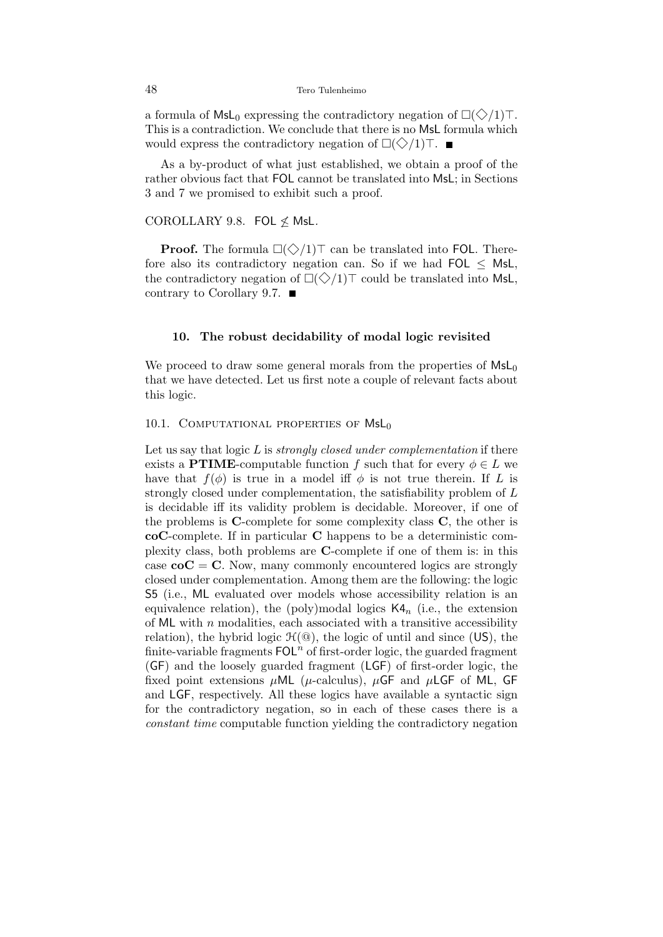a formula of  $MsL_0$  expressing the contradictory negation of  $\square(\diamondsuit/1)\top$ . This is a contradiction. We conclude that there is no MsL formula which would express the contradictory negation of  $\Box(\Diamond/1)$ .

As a by-product of what just established, we obtain a proof of the rather obvious fact that FOL cannot be translated into MsL; in Sections 3 and 7 we promised to exhibit such a proof.

#### COROLLARY 9.8. FOL  $\nleq$  MsL.

**Proof.** The formula  $\Box(\Diamond/1)$ <sup>T</sup> can be translated into FOL. Therefore also its contradictory negation can. So if we had  $FOL < MsL$ , the contradictory negation of  $\square(\diamondsuit/1)\top$  could be translated into MsL, contrary to Corollary 9.7.

#### 10. The robust decidability of modal logic revisited

We proceed to draw some general morals from the properties of  $MsL_0$ that we have detected. Let us first note a couple of relevant facts about this logic.

#### 10.1. COMPUTATIONAL PROPERTIES OF  $Msl_0$

Let us say that logic  $L$  is *strongly closed under complementation* if there exists a **PTIME**-computable function f such that for every  $\phi \in L$  we have that  $f(\phi)$  is true in a model iff  $\phi$  is not true therein. If L is strongly closed under complementation, the satisfiability problem of L is decidable iff its validity problem is decidable. Moreover, if one of the problems is  $C$ -complete for some complexity class  $C$ , the other is coC-complete. If in particular C happens to be a deterministic complexity class, both problems are C-complete if one of them is: in this case  $\mathbf{coC} = \mathbf{C}$ . Now, many commonly encountered logics are strongly closed under complementation. Among them are the following: the logic S5 (i.e., ML evaluated over models whose accessibility relation is an equivalence relation), the (poly)modal logics  $\mathsf{K4}_n$  (i.e., the extension of ML with  $n$  modalities, each associated with a transitive accessibility relation), the hybrid logic  $\mathcal{H}(\mathcal{Q})$ , the logic of until and since (US), the finite-variable fragments  $\textsf{FOL}^n$  of first-order logic, the guarded fragment (GF) and the loosely guarded fragment (LGF) of first-order logic, the fixed point extensions  $\mu$ ML ( $\mu$ -calculus),  $\mu$ GF and  $\mu$ LGF of ML, GF and LGF, respectively. All these logics have available a syntactic sign for the contradictory negation, so in each of these cases there is a constant time computable function yielding the contradictory negation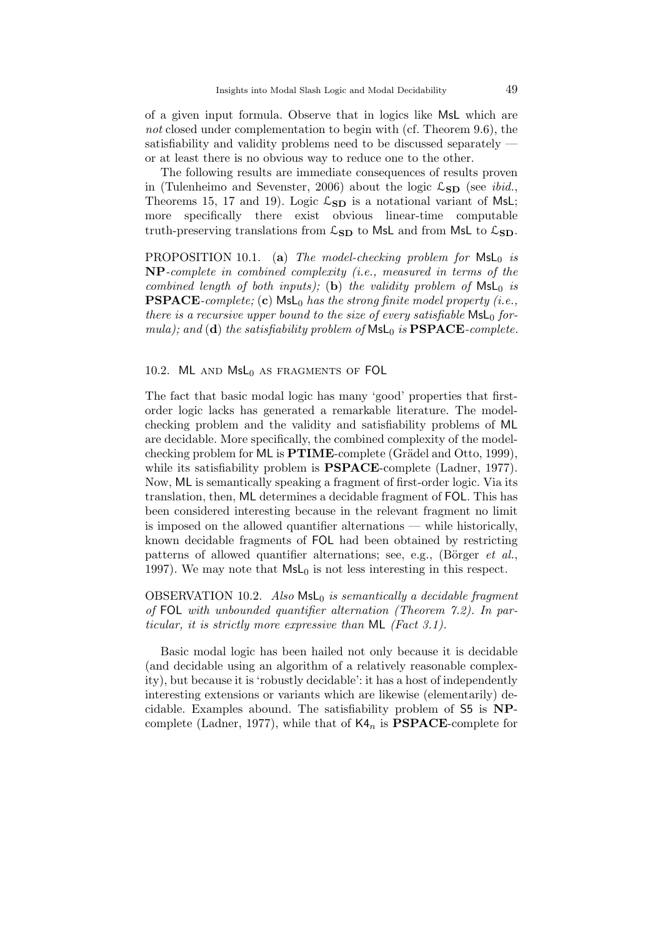of a given input formula. Observe that in logics like MsL which are not closed under complementation to begin with (cf. Theorem 9.6), the satisfiability and validity problems need to be discussed separately or at least there is no obvious way to reduce one to the other.

The following results are immediate consequences of results proven in (Tulenheimo and Sevenster, 2006) about the logic  $\mathcal{L}_{SD}$  (see *ibid.*, Theorems 15, 17 and 19). Logic  $\mathcal{L}_{SD}$  is a notational variant of MsL; more specifically there exist obvious linear-time computable truth-preserving translations from  $\mathcal{L}_{SD}$  to MsL and from MsL to  $\mathcal{L}_{SD}$ .

PROPOSITION 10.1. (a) The model-checking problem for  $Msl_0$  is NP-complete in combined complexity (i.e., measured in terms of the combined length of both inputs); (b) the validity problem of  $MsL_0$  is **PSPACE**-complete; (c)  $\textsf{MsL}_0$  has the strong finite model property (i.e., there is a recursive upper bound to the size of every satisfiable  $\mathsf{Msl}_0$  formula); and (d) the satisfiability problem of  $\mathsf{Msl}_0$  is  $\mathbf{PSPACE}\text{-complete}$ .

10.2.  $ML$  and  $MsL_0$  as fragments of FOL

The fact that basic modal logic has many 'good' properties that firstorder logic lacks has generated a remarkable literature. The modelchecking problem and the validity and satisfiability problems of ML are decidable. More specifically, the combined complexity of the modelchecking problem for  $ML$  is  $PTIME$ -complete (Grädel and Otto, 1999), while its satisfiability problem is **PSPACE**-complete (Ladner, 1977). Now, ML is semantically speaking a fragment of first-order logic. Via its translation, then, ML determines a decidable fragment of FOL. This has been considered interesting because in the relevant fragment no limit is imposed on the allowed quantifier alternations — while historically, known decidable fragments of FOL had been obtained by restricting patterns of allowed quantifier alternations; see, e.g., (Börger  $et \ al.$ ) 1997). We may note that  $MSL<sub>0</sub>$  is not less interesting in this respect.

OBSERVATION 10.2. Also  $Msl_0$  is semantically a decidable fragment of FOL with unbounded quantifier alternation (Theorem 7.2). In particular, it is strictly more expressive than ML (Fact 3.1).

Basic modal logic has been hailed not only because it is decidable (and decidable using an algorithm of a relatively reasonable complexity), but because it is 'robustly decidable': it has a host of independently interesting extensions or variants which are likewise (elementarily) decidable. Examples abound. The satisfiability problem of S5 is NPcomplete (Ladner, 1977), while that of  $K4_n$  is **PSPACE**-complete for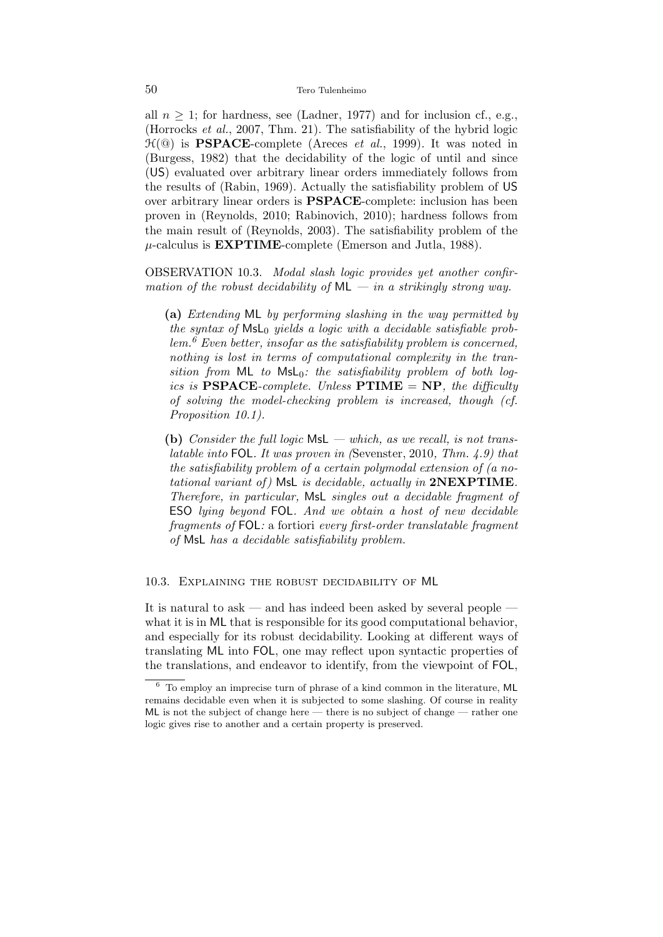all  $n \geq 1$ ; for hardness, see (Ladner, 1977) and for inclusion cf., e.g., (Horrocks et al., 2007, Thm. 21). The satisfiability of the hybrid logic  $\mathcal{H}(\mathbb{Q})$  is **PSPACE**-complete (Areces *et al.*, 1999). It was noted in (Burgess, 1982) that the decidability of the logic of until and since (US) evaluated over arbitrary linear orders immediately follows from the results of (Rabin, 1969). Actually the satisfiability problem of US over arbitrary linear orders is PSPACE-complete: inclusion has been proven in (Reynolds, 2010; Rabinovich, 2010); hardness follows from the main result of (Reynolds, 2003). The satisfiability problem of the  $\mu$ -calculus is **EXPTIME**-complete (Emerson and Jutla, 1988).

OBSERVATION 10.3. Modal slash logic provides yet another confirmation of the robust decidability of  $ML - in$  a strikingly strong way.

(a) Extending ML by performing slashing in the way permitted by the syntax of  $Msl_0$  yields a logic with a decidable satisfiable prob $lem.6$  Even better, insofar as the satisfiability problem is concerned, nothing is lost in terms of computational complexity in the transition from  $ML$  to  $MsL<sub>0</sub>$ : the satisfiability problem of both logics is  $PSPACE-complete. Unless PTIME = NP, the difficulty$ of solving the model-checking problem is increased, though (cf. Proposition 10.1).

(b) Consider the full logic  $MsL$  — which, as we recall, is not translatable into FOL. It was proven in (Sevenster, 2010, Thm. 4.9) that the satisfiability problem of a certain polymodal extension of (a notational variant of)  $MSL$  is decidable, actually in  $2NEXPTIME$ . Therefore, in particular, MsL singles out a decidable fragment of ESO lying beyond FOL. And we obtain a host of new decidable fragments of FOL: a fortiori every first-order translatable fragment of MsL has a decidable satisfiability problem.

#### 10.3. Explaining the robust decidability of ML

It is natural to ask — and has indeed been asked by several people what it is in ML that is responsible for its good computational behavior, and especially for its robust decidability. Looking at different ways of translating ML into FOL, one may reflect upon syntactic properties of the translations, and endeavor to identify, from the viewpoint of FOL,

<sup>6</sup> To employ an imprecise turn of phrase of a kind common in the literature, ML remains decidable even when it is subjected to some slashing. Of course in reality ML is not the subject of change here — there is no subject of change — rather one logic gives rise to another and a certain property is preserved.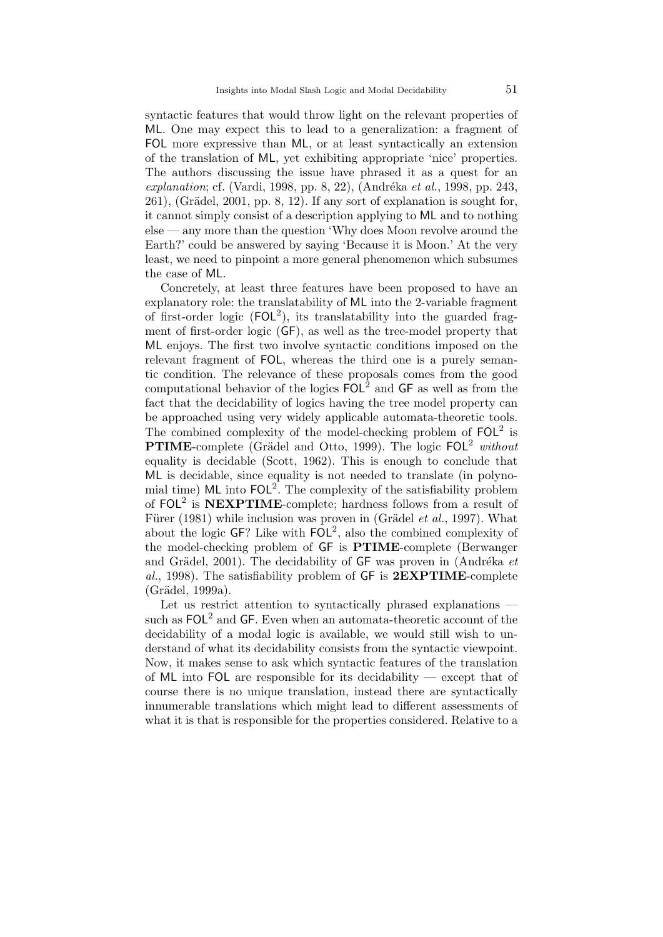syntactic features that would throw light on the relevant properties of ML. One may expect this to lead to a generalization: a fragment of FOL more expressive than ML, or at least syntactically an extension of the translation of ML, yet exhibiting appropriate 'nice' properties. The authors discussing the issue have phrased it as a quest for an  $explanation$ ; cf. (Vardi, 1998, pp. 8, 22), (Andréka et al., 1998, pp. 243,  $261$ ), (Grädel,  $2001$ , pp. 8, 12). If any sort of explanation is sought for, it cannot simply consist of a description applying to ML and to nothing else — any more than the question 'Why does Moon revolve around the Earth?' could be answered by saying 'Because it is Moon.' At the very least, we need to pinpoint a more general phenomenon which subsumes the case of ML.

Concretely, at least three features have been proposed to have an explanatory role: the translatability of ML into the 2-variable fragment of first-order logic  $(FOL^2)$ , its translatability into the guarded fragment of first-order logic (GF), as well as the tree-model property that ML enjoys. The first two involve syntactic conditions imposed on the relevant fragment of FOL, whereas the third one is a purely semantic condition. The relevance of these proposals comes from the good computational behavior of the logics  $FOL<sup>2</sup>$  and GF as well as from the fact that the decidability of logics having the tree model property can be approached using very widely applicable automata-theoretic tools. The combined complexity of the model-checking problem of  $FOL<sup>2</sup>$  is **PTIME-complete** (Grädel and Otto, 1999). The logic  $FOL<sup>2</sup> without$ equality is decidable (Scott, 1962). This is enough to conclude that ML is decidable, since equality is not needed to translate (in polynomial time)  $ML$  into  $FOL<sup>2</sup>$ . The complexity of the satisfiability problem of  $FOL<sup>2</sup>$  is NEXPTIME-complete; hardness follows from a result of Fürer (1981) while inclusion was proven in (Grädel *et al.*, 1997). What about the logic  $GF$ ? Like with  $FOL^2$ , also the combined complexity of the model-checking problem of GF is PTIME-complete (Berwanger and Grädel, 2001). The decidability of  $GF$  was proven in (Andréka et al., 1998). The satisfiability problem of  $GF$  is  $2EXPTIME-complete$  $(Grädel, 1999a)$ .

Let us restrict attention to syntactically phrased explanations such as  $\text{FOL}^2$  and GF. Even when an automata-theoretic account of the decidability of a modal logic is available, we would still wish to understand of what its decidability consists from the syntactic viewpoint. Now, it makes sense to ask which syntactic features of the translation of ML into FOL are responsible for its decidability  $-$  except that of course there is no unique translation, instead there are syntactically innumerable translations which might lead to different assessments of what it is that is responsible for the properties considered. Relative to a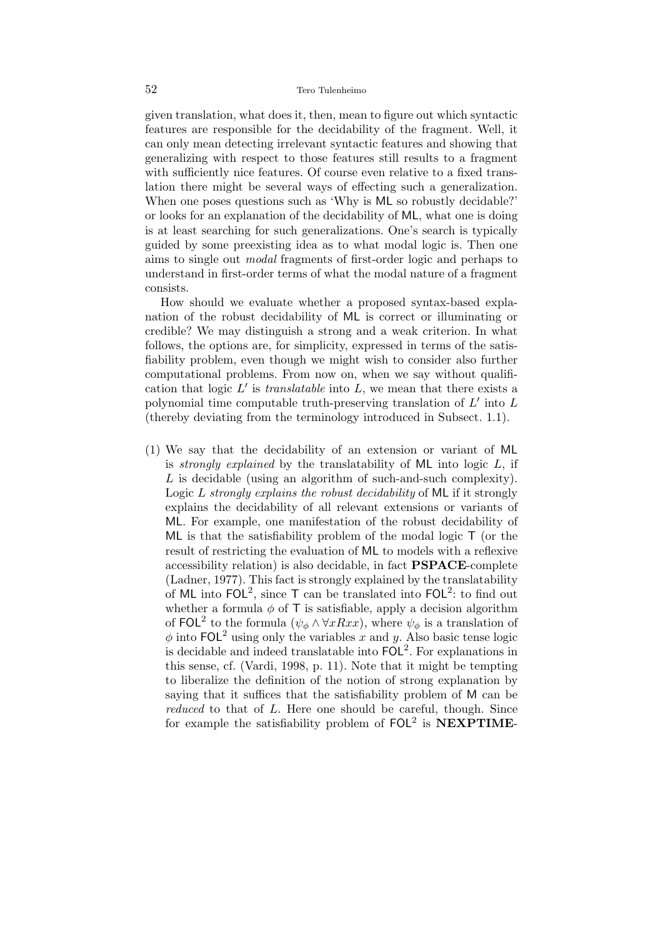given translation, what does it, then, mean to figure out which syntactic features are responsible for the decidability of the fragment. Well, it can only mean detecting irrelevant syntactic features and showing that generalizing with respect to those features still results to a fragment with sufficiently nice features. Of course even relative to a fixed translation there might be several ways of effecting such a generalization. When one poses questions such as 'Why is ML so robustly decidable?' or looks for an explanation of the decidability of ML, what one is doing is at least searching for such generalizations. One's search is typically guided by some preexisting idea as to what modal logic is. Then one aims to single out modal fragments of first-order logic and perhaps to understand in first-order terms of what the modal nature of a fragment consists.

How should we evaluate whether a proposed syntax-based explanation of the robust decidability of ML is correct or illuminating or credible? We may distinguish a strong and a weak criterion. In what follows, the options are, for simplicity, expressed in terms of the satisfiability problem, even though we might wish to consider also further computational problems. From now on, when we say without qualification that logic  $L'$  is *translatable* into  $L$ , we mean that there exists a polynomial time computable truth-preserving translation of  $L'$  into  $L$ (thereby deviating from the terminology introduced in Subsect. 1.1).

(1) We say that the decidability of an extension or variant of ML is *strongly explained* by the translatability of  $ML$  into logic  $L$ , if L is decidable (using an algorithm of such-and-such complexity). Logic  $L$  strongly explains the robust decidability of  $ML$  if it strongly explains the decidability of all relevant extensions or variants of ML. For example, one manifestation of the robust decidability of ML is that the satisfiability problem of the modal logic T (or the result of restricting the evaluation of ML to models with a reflexive accessibility relation) is also decidable, in fact PSPACE-complete (Ladner, 1977). This fact is strongly explained by the translatability of ML into  $FOL^2$ , since T can be translated into  $FOL^2$ : to find out whether a formula  $\phi$  of T is satisfiable, apply a decision algorithm of FOL<sup>2</sup> to the formula ( $\psi_{\phi} \wedge \forall x Rxx$ ), where  $\psi_{\phi}$  is a translation of  $\phi$  into FOL<sup>2</sup> using only the variables x and y. Also basic tense logic is decidable and indeed translatable into  $FOL<sup>2</sup>$ . For explanations in this sense, cf. (Vardi, 1998, p. 11). Note that it might be tempting to liberalize the definition of the notion of strong explanation by saying that it suffices that the satisfiability problem of M can be reduced to that of L. Here one should be careful, though. Since for example the satisfiability problem of  $FOL<sup>2</sup>$  is  $NEXPTIME-$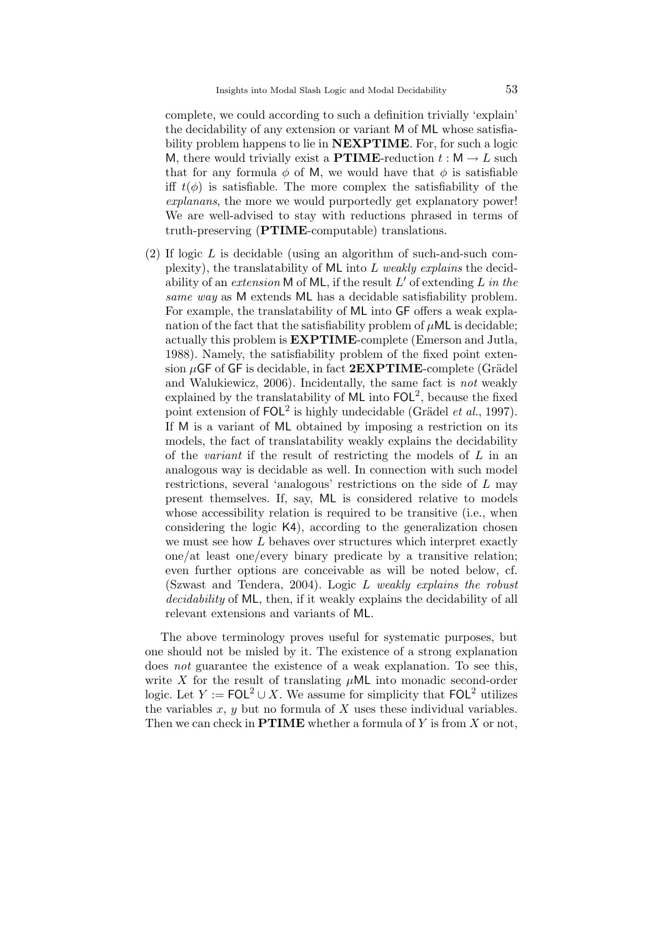complete, we could according to such a definition trivially 'explain' the decidability of any extension or variant M of ML whose satisfiability problem happens to lie in **NEXPTIME**. For, for such a logic M, there would trivially exist a **PTIME**-reduction  $t : M \to L$  such that for any formula  $\phi$  of M, we would have that  $\phi$  is satisfiable iff  $t(\phi)$  is satisfiable. The more complex the satisfiability of the explanans, the more we would purportedly get explanatory power! We are well-advised to stay with reductions phrased in terms of truth-preserving (PTIME-computable) translations.

(2) If logic  $L$  is decidable (using an algorithm of such-and-such complexity), the translatability of ML into L weakly explains the decidability of an extension  $M$  of  $ML$ , if the result  $L'$  of extending  $L$  in the same way as M extends ML has a decidable satisfiability problem. For example, the translatability of ML into GF offers a weak explanation of the fact that the satisfiability problem of  $\mu$ ML is decidable; actually this problem is EXPTIME-complete (Emerson and Jutla, 1988). Namely, the satisfiability problem of the fixed point extension  $\mu$ GF of GF is decidable, in fact  $2$ EXPTIME-complete (Grädel and Walukiewicz, 2006). Incidentally, the same fact is not weakly explained by the translatability of  $ML$  into  $FOL<sup>2</sup>$ , because the fixed point extension of  $FOL<sup>2</sup>$  is highly undecidable (Grädel *et al.*, 1997). If M is a variant of ML obtained by imposing a restriction on its models, the fact of translatability weakly explains the decidability of the variant if the result of restricting the models of L in an analogous way is decidable as well. In connection with such model restrictions, several 'analogous' restrictions on the side of L may present themselves. If, say, ML is considered relative to models whose accessibility relation is required to be transitive (i.e., when considering the logic K4), according to the generalization chosen we must see how L behaves over structures which interpret exactly one/at least one/every binary predicate by a transitive relation; even further options are conceivable as will be noted below, cf. (Szwast and Tendera, 2004). Logic L weakly explains the robust decidability of ML, then, if it weakly explains the decidability of all relevant extensions and variants of ML.

The above terminology proves useful for systematic purposes, but one should not be misled by it. The existence of a strong explanation does not guarantee the existence of a weak explanation. To see this, write X for the result of translating  $\mu$ ML into monadic second-order logic. Let  $Y := \text{FOL}^2 \cup X$ . We assume for simplicity that  $\text{FOL}^2$  utilizes the variables  $x, y$  but no formula of  $X$  uses these individual variables. Then we can check in **PTIME** whether a formula of  $Y$  is from  $X$  or not,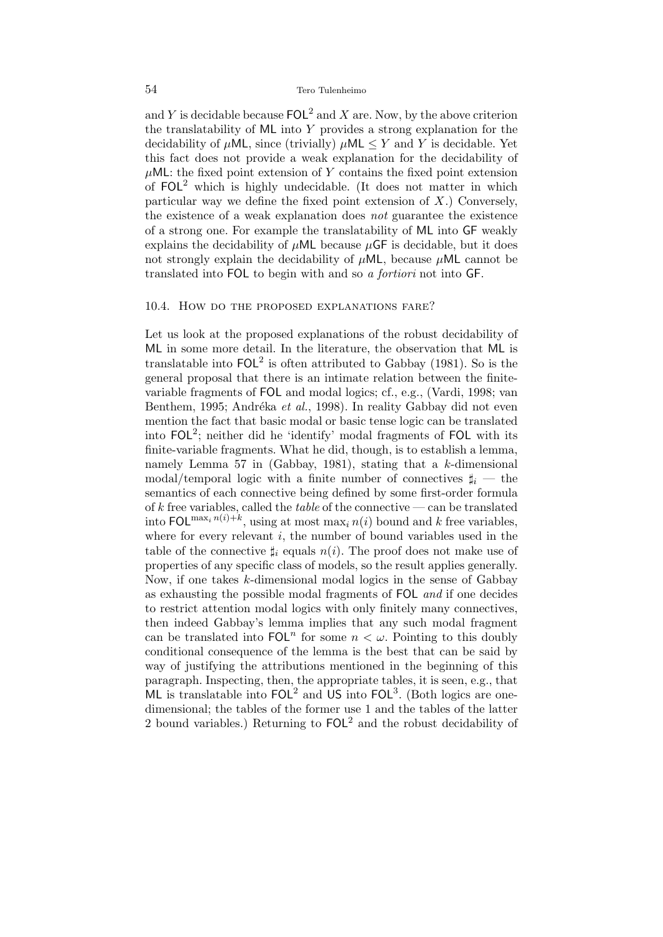and Y is decidable because  $\text{FOL}^2$  and X are. Now, by the above criterion the translatability of ML into Y provides a strong explanation for the decidability of  $\mu$ ML, since (trivially)  $\mu$ ML  $\leq Y$  and Y is decidable. Yet this fact does not provide a weak explanation for the decidability of  $\mu$ ML: the fixed point extension of Y contains the fixed point extension of  $FOL<sup>2</sup>$  which is highly undecidable. (It does not matter in which particular way we define the fixed point extension of  $X$ .) Conversely, the existence of a weak explanation does not guarantee the existence of a strong one. For example the translatability of ML into GF weakly explains the decidability of  $\mu$ ML because  $\mu$ GF is decidable, but it does not strongly explain the decidability of  $\mu$ ML, because  $\mu$ ML cannot be translated into FOL to begin with and so a fortiori not into GF.

#### 10.4. How do the proposed explanations fare?

Let us look at the proposed explanations of the robust decidability of ML in some more detail. In the literature, the observation that ML is translatable into  $FOL<sup>2</sup>$  is often attributed to Gabbay (1981). So is the general proposal that there is an intimate relation between the finitevariable fragments of FOL and modal logics; cf., e.g., (Vardi, 1998; van Benthem, 1995; Andréka et al., 1998). In reality Gabbay did not even mention the fact that basic modal or basic tense logic can be translated into  $FOL<sup>2</sup>$ ; neither did he 'identify' modal fragments of  $FOL$  with its finite-variable fragments. What he did, though, is to establish a lemma, namely Lemma 57 in (Gabbay, 1981), stating that a k-dimensional modal/temporal logic with a finite number of connectives  $\sharp_i$  — the semantics of each connective being defined by some first-order formula of k free variables, called the *table* of the connective — can be translated into FOL<sup>max<sub>i</sub>  $n(i)+k$ , using at most max<sub>i</sub>  $n(i)$  bound and k free variables,</sup> where for every relevant  $i$ , the number of bound variables used in the table of the connective  $\sharp_i$  equals  $n(i)$ . The proof does not make use of properties of any specific class of models, so the result applies generally. Now, if one takes k-dimensional modal logics in the sense of Gabbay as exhausting the possible modal fragments of FOL and if one decides to restrict attention modal logics with only finitely many connectives, then indeed Gabbay's lemma implies that any such modal fragment can be translated into  $\text{FOL}^n$  for some  $n < \omega$ . Pointing to this doubly conditional consequence of the lemma is the best that can be said by way of justifying the attributions mentioned in the beginning of this paragraph. Inspecting, then, the appropriate tables, it is seen, e.g., that ML is translatable into  $FOL<sup>2</sup>$  and US into  $FOL<sup>3</sup>$ . (Both logics are onedimensional; the tables of the former use 1 and the tables of the latter 2 bound variables.) Returning to  $FOL<sup>2</sup>$  and the robust decidability of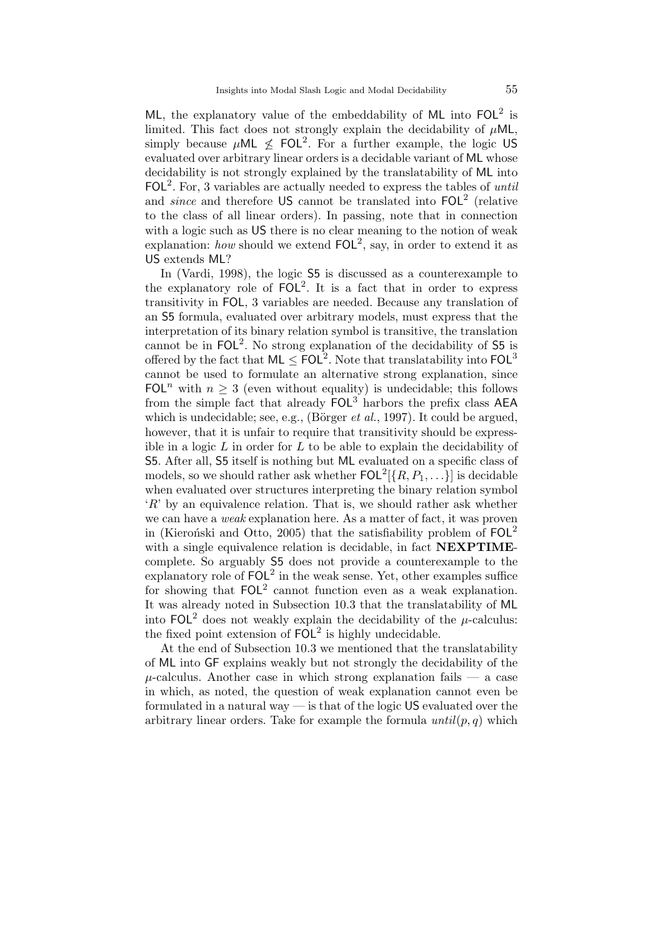ML, the explanatory value of the embeddability of ML into  $FOL<sup>2</sup>$  is limited. This fact does not strongly explain the decidability of  $\mu$ ML, simply because  $\mu$ ML  $\leq$  FOL<sup>2</sup>. For a further example, the logic US evaluated over arbitrary linear orders is a decidable variant of ML whose decidability is not strongly explained by the translatability of ML into  $FOL<sup>2</sup>$ . For, 3 variables are actually needed to express the tables of *until* and *since* and therefore US cannot be translated into  $FOL<sup>2</sup>$  (relative to the class of all linear orders). In passing, note that in connection with a logic such as US there is no clear meaning to the notion of weak explanation: how should we extend  $FOL<sup>2</sup>$ , say, in order to extend it as US extends ML?

In (Vardi, 1998), the logic S5 is discussed as a counterexample to the explanatory role of  $FOL<sup>2</sup>$ . It is a fact that in order to express transitivity in FOL, 3 variables are needed. Because any translation of an S5 formula, evaluated over arbitrary models, must express that the interpretation of its binary relation symbol is transitive, the translation cannot be in  $FOL<sup>2</sup>$ . No strong explanation of the decidability of 55 is offered by the fact that  $ML \leq FOL^2$ . Note that translatability into  $FOL^3$ cannot be used to formulate an alternative strong explanation, since FOL<sup>n</sup> with  $n \geq 3$  (even without equality) is undecidable; this follows from the simple fact that already  $FOL<sup>3</sup>$  harbors the prefix class AEA which is undecidable; see, e.g., (Börger *et al.*, 1997). It could be argued, however, that it is unfair to require that transitivity should be expressible in a logic  $L$  in order for  $L$  to be able to explain the decidability of S5. After all, S5 itself is nothing but ML evaluated on a specific class of models, so we should rather ask whether  $\mathsf{FOL}^2[\{R,P_1,\ldots\}]$  is decidable when evaluated over structures interpreting the binary relation symbol  $R'$  by an equivalence relation. That is, we should rather ask whether we can have a *weak* explanation here. As a matter of fact, it was proven in (Kieronski and Otto, 2005) that the satisfiability problem of  $FOL<sup>2</sup>$ with a single equivalence relation is decidable, in fact **NEXPTIME**complete. So arguably S5 does not provide a counterexample to the explanatory role of  $FOL<sup>2</sup>$  in the weak sense. Yet, other examples suffice for showing that  $FOL<sup>2</sup>$  cannot function even as a weak explanation. It was already noted in Subsection 10.3 that the translatability of ML into  $FOL<sup>2</sup>$  does not weakly explain the decidability of the  $\mu$ -calculus: the fixed point extension of  $FOL<sup>2</sup>$  is highly undecidable.

At the end of Subsection 10.3 we mentioned that the translatability of ML into GF explains weakly but not strongly the decidability of the  $\mu$ -calculus. Another case in which strong explanation fails  $\mu$  a case in which, as noted, the question of weak explanation cannot even be formulated in a natural way — is that of the logic US evaluated over the arbitrary linear orders. Take for example the formula  $until(p, q)$  which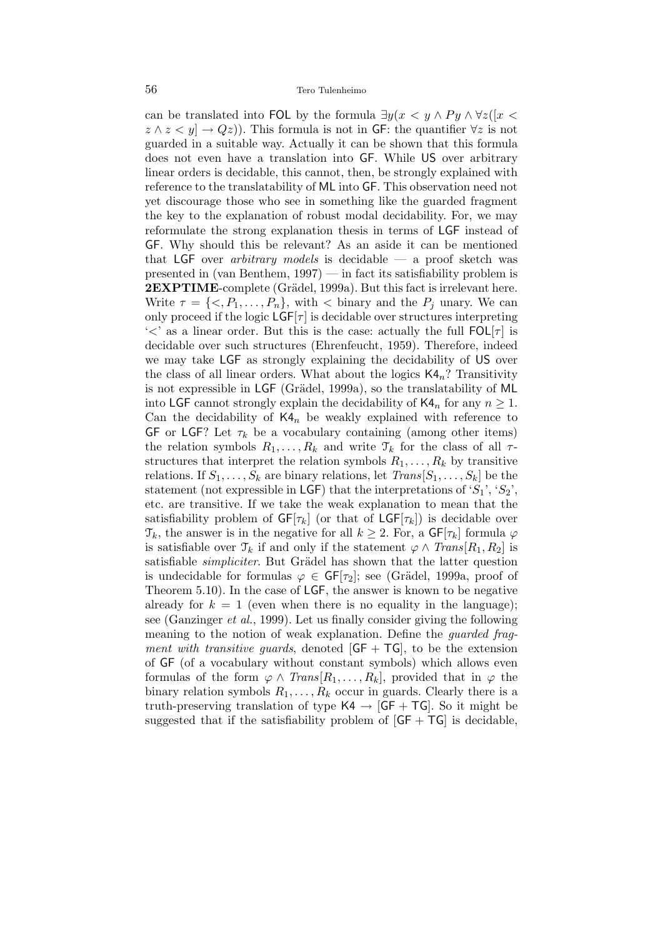can be translated into FOL by the formula  $\exists y(x \lt y \land Py \land \forall z([x \lt y \land \neg \forall y \land \forall z])$  $z \wedge z \langle y | \rightarrow Qz$ ). This formula is not in GF: the quantifier  $\forall z$  is not guarded in a suitable way. Actually it can be shown that this formula does not even have a translation into GF. While US over arbitrary linear orders is decidable, this cannot, then, be strongly explained with reference to the translatability of ML into GF. This observation need not yet discourage those who see in something like the guarded fragment the key to the explanation of robust modal decidability. For, we may reformulate the strong explanation thesis in terms of LGF instead of GF. Why should this be relevant? As an aside it can be mentioned that LGF over *arbitrary models* is decidable — a proof sketch was presented in (van Benthem, 1997) — in fact its satisfiability problem is 2EXPTIME-complete (Grädel, 1999a). But this fact is irrelevant here. Write  $\tau = \{ \langle P_1, \ldots, P_n \}$ , with  $\langle P_n \rangle$  binary and the  $P_j$  unary. We can only proceed if the logic  $\textsf{LGF}[\tau]$  is decidable over structures interpreting ' $\lt'$ ' as a linear order. But this is the case: actually the full  $FOL[\tau]$  is decidable over such structures (Ehrenfeucht, 1959). Therefore, indeed we may take LGF as strongly explaining the decidability of US over the class of all linear orders. What about the logics  $\mathsf{K4}_n$ ? Transitivity is not expressible in LGF (Grädel, 1999a), so the translatability of ML into LGF cannot strongly explain the decidability of  $\mathsf{K4}_n$  for any  $n \geq 1$ . Can the decidability of  $K4_n$  be weakly explained with reference to GF or LGF? Let  $\tau_k$  be a vocabulary containing (among other items) the relation symbols  $R_1, \ldots, R_k$  and write  $\mathcal{T}_k$  for the class of all  $\tau$ structures that interpret the relation symbols  $R_1, \ldots, R_k$  by transitive relations. If  $S_1, \ldots, S_k$  are binary relations, let  $Trans[S_1, \ldots, S_k]$  be the statement (not expressible in LGF) that the interpretations of ' $S_1$ ', ' $S_2$ ', etc. are transitive. If we take the weak explanation to mean that the satisfiability problem of  $GF[\tau_k]$  (or that of  $LGF[\tau_k]$ ) is decidable over  $\mathcal{T}_k$ , the answer is in the negative for all  $k \geq 2$ . For, a  $\mathsf{GF}[\tau_k]$  formula  $\varphi$ is satisfiable over  $\mathcal{T}_k$  if and only if the statement  $\varphi \wedge Trans[R_1, R_2]$  is satisfiable *simpliciter*. But Grädel has shown that the latter question is undecidable for formulas  $\varphi \in \mathsf{GF}[\tau_2]$ ; see (Grädel, 1999a, proof of Theorem 5.10). In the case of LGF, the answer is known to be negative already for  $k = 1$  (even when there is no equality in the language); see (Ganzinger et al., 1999). Let us finally consider giving the following meaning to the notion of weak explanation. Define the guarded fragment with transitive guards, denoted  $[GF + TG]$ , to be the extension of GF (of a vocabulary without constant symbols) which allows even formulas of the form  $\varphi \wedge Trans[R_1, \ldots, R_k],$  provided that in  $\varphi$  the binary relation symbols  $R_1, \ldots, R_k$  occur in guards. Clearly there is a truth-preserving translation of type  $\mathsf{K4} \rightarrow [\mathsf{GF} + \mathsf{TG}]$ . So it might be suggested that if the satisfiability problem of  $[GF + TG]$  is decidable.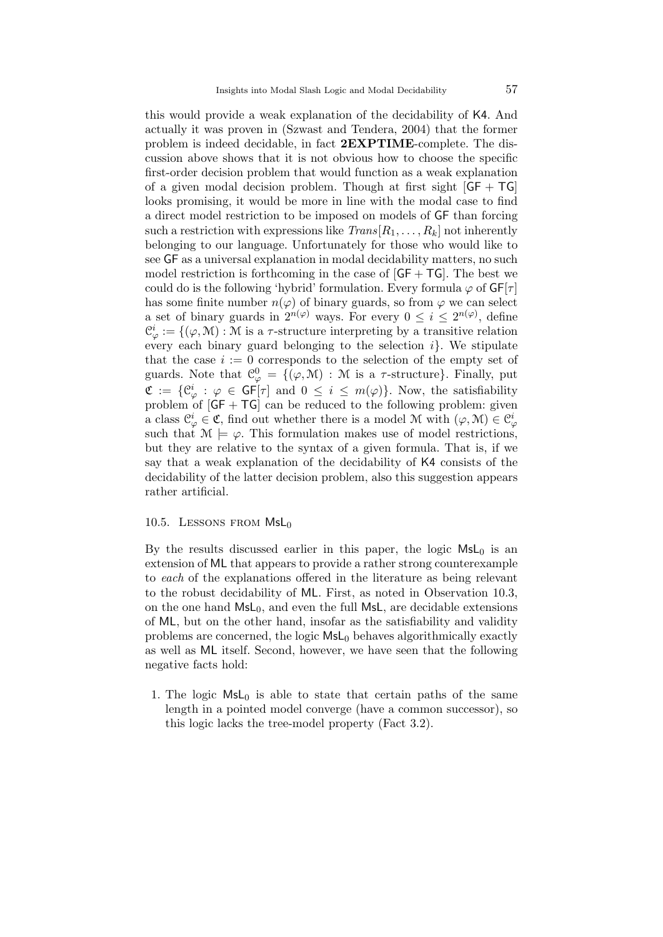this would provide a weak explanation of the decidability of K4. And actually it was proven in (Szwast and Tendera, 2004) that the former problem is indeed decidable, in fact 2EXPTIME-complete. The discussion above shows that it is not obvious how to choose the specific first-order decision problem that would function as a weak explanation of a given modal decision problem. Though at first sight  $[GF + TG]$ looks promising, it would be more in line with the modal case to find a direct model restriction to be imposed on models of GF than forcing such a restriction with expressions like  $Trans[R_1, \ldots, R_k]$  not inherently belonging to our language. Unfortunately for those who would like to see GF as a universal explanation in modal decidability matters, no such model restriction is forthcoming in the case of  $[GF + TG]$ . The best we could do is the following 'hybrid' formulation. Every formula  $\varphi$  of  $GF[\tau]$ has some finite number  $n(\varphi)$  of binary guards, so from  $\varphi$  we can select a set of binary guards in  $2^{n(\varphi)}$  ways. For every  $0 \leq i \leq 2^{n(\varphi)}$ , define  $\mathcal{C}_{\varphi}^{i} := \{(\varphi, \mathcal{M}) : \mathcal{M} \text{ is a } \tau\text{-structure interpreting by a transitive relation}\}$ every each binary guard belonging to the selection  $i$ . We stipulate that the case  $i := 0$  corresponds to the selection of the empty set of guards. Note that  $\mathcal{C}_{\varphi}^0 = \{(\varphi, \mathcal{M}) : \mathcal{M}$  is a  $\tau$ -structure}. Finally, put  $\mathfrak{C} := \{ \mathfrak{C}_{\varphi}^i : \varphi \in \mathsf{GF}[\tau] \text{ and } 0 \leq i \leq m(\varphi) \}.$  Now, the satisfiability problem of  $[GF + TG]$  can be reduced to the following problem: given a class  $\mathcal{C}^i_{\varphi} \in \mathfrak{C}$ , find out whether there is a model M with  $(\varphi, \mathcal{M}) \in \mathcal{C}^i_{\varphi}$ such that  $\mathcal{M} \models \varphi$ . This formulation makes use of model restrictions, but they are relative to the syntax of a given formula. That is, if we say that a weak explanation of the decidability of K4 consists of the decidability of the latter decision problem, also this suggestion appears rather artificial.

## 10.5. LESSONS FROM  $MsL_0$

By the results discussed earlier in this paper, the logic  $MsL_0$  is an extension of ML that appears to provide a rather strong counterexample to each of the explanations offered in the literature as being relevant to the robust decidability of ML. First, as noted in Observation 10.3, on the one hand  $MsL_0$ , and even the full MsL, are decidable extensions of ML, but on the other hand, insofar as the satisfiability and validity problems are concerned, the logic  $MsL<sub>0</sub>$  behaves algorithmically exactly as well as ML itself. Second, however, we have seen that the following negative facts hold:

1. The logic  $MsL_0$  is able to state that certain paths of the same length in a pointed model converge (have a common successor), so this logic lacks the tree-model property (Fact 3.2).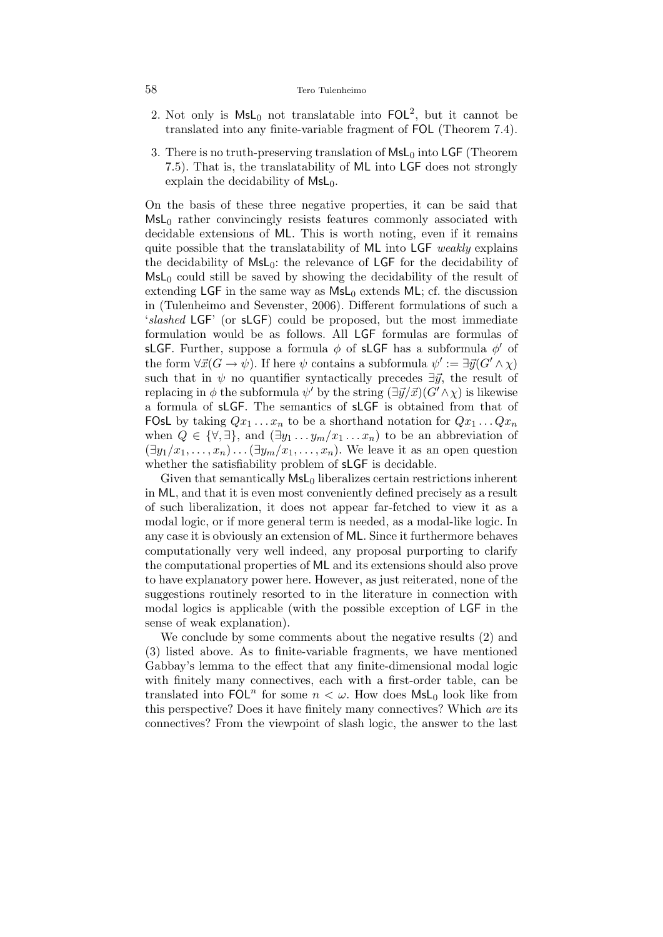#### 58 Tero Tulenheimo

- 2. Not only is  $MsL<sub>0</sub>$  not translatable into  $FOL<sup>2</sup>$ , but it cannot be translated into any finite-variable fragment of FOL (Theorem 7.4).
- 3. There is no truth-preserving translation of  $\mathsf{MsL}_0$  into LGF (Theorem 7.5). That is, the translatability of ML into LGF does not strongly explain the decidability of  $MsL_0$ .

On the basis of these three negative properties, it can be said that  $MsL<sub>0</sub>$  rather convincingly resists features commonly associated with decidable extensions of ML. This is worth noting, even if it remains quite possible that the translatability of ML into LGF weakly explains the decidability of MsL<sub>0</sub>: the relevance of LGF for the decidability of  $MsL<sub>0</sub>$  could still be saved by showing the decidability of the result of extending LGF in the same way as  $MsL<sub>0</sub>$  extends ML; cf. the discussion in (Tulenheimo and Sevenster, 2006). Different formulations of such a 'slashed LGF' (or sLGF) could be proposed, but the most immediate formulation would be as follows. All LGF formulas are formulas of sLGF. Further, suppose a formula  $\phi$  of sLGF has a subformula  $\phi'$  of the form  $\forall \vec{x} (G \rightarrow \psi)$ . If here  $\psi$  contains a subformula  $\psi' := \exists \vec{y} (G' \wedge \chi)$ such that in  $\psi$  no quantifier syntactically precedes  $\exists \vec{y}$ , the result of replacing in  $\phi$  the subformula  $\psi'$  by the string  $(\exists \vec{y}/\vec{x})(G' \wedge \chi)$  is likewise a formula of sLGF. The semantics of sLGF is obtained from that of **FOsL** by taking  $Qx_1 \ldots x_n$  to be a shorthand notation for  $Qx_1 \ldots Qx_n$ when  $Q \in \{\forall, \exists\}$ , and  $(\exists y_1 \ldots y_m/x_1 \ldots x_n)$  to be an abbreviation of  $(\exists y_1/x_1, \ldots, x_n) \ldots (\exists y_m/x_1, \ldots, x_n)$ . We leave it as an open question whether the satisfiability problem of **sLGF** is decidable.

Given that semantically  $MsL<sub>0</sub>$  liberalizes certain restrictions inherent in ML, and that it is even most conveniently defined precisely as a result of such liberalization, it does not appear far-fetched to view it as a modal logic, or if more general term is needed, as a modal-like logic. In any case it is obviously an extension of ML. Since it furthermore behaves computationally very well indeed, any proposal purporting to clarify the computational properties of ML and its extensions should also prove to have explanatory power here. However, as just reiterated, none of the suggestions routinely resorted to in the literature in connection with modal logics is applicable (with the possible exception of LGF in the sense of weak explanation).

We conclude by some comments about the negative results (2) and (3) listed above. As to finite-variable fragments, we have mentioned Gabbay's lemma to the effect that any finite-dimensional modal logic with finitely many connectives, each with a first-order table, can be translated into  $FOL<sup>n</sup>$  for some  $n < \omega$ . How does  $MSL<sub>0</sub>$  look like from this perspective? Does it have finitely many connectives? Which are its connectives? From the viewpoint of slash logic, the answer to the last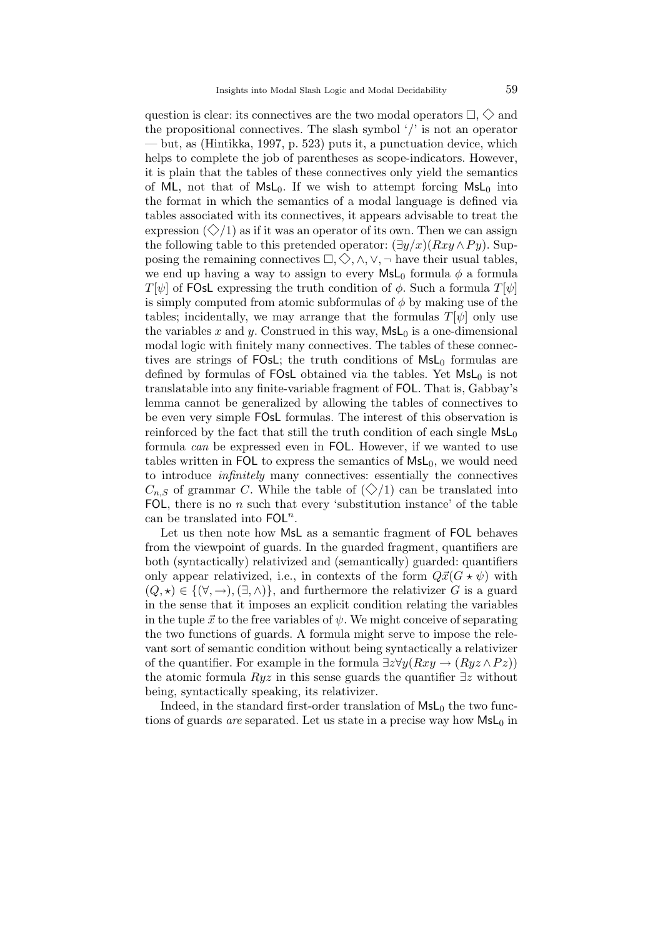question is clear: its connectives are the two modal operators  $\Box, \Diamond$  and the propositional connectives. The slash symbol '/' is not an operator — but, as (Hintikka, 1997, p. 523) puts it, a punctuation device, which helps to complete the job of parentheses as scope-indicators. However, it is plain that the tables of these connectives only yield the semantics of ML, not that of MsL<sub>0</sub>. If we wish to attempt forcing  $MsL<sub>0</sub>$  into the format in which the semantics of a modal language is defined via tables associated with its connectives, it appears advisable to treat the expression  $(\Diamond/1)$  as if it was an operator of its own. Then we can assign the following table to this pretended operator:  $(\exists y/x)(Rxy \wedge Py)$ . Supposing the remaining connectives  $\Box, \Diamond, \wedge, \vee, \neg$  have their usual tables, we end up having a way to assign to every  $\mathsf{Msl}_0$  formula  $\phi$  a formula  $T[\psi]$  of FOsL expressing the truth condition of  $\phi$ . Such a formula  $T[\psi]$ is simply computed from atomic subformulas of  $\phi$  by making use of the tables; incidentally, we may arrange that the formulas  $T[\psi]$  only use the variables x and y. Construed in this way,  $\mathsf{MsL}_0$  is a one-dimensional modal logic with finitely many connectives. The tables of these connectives are strings of  $FOsL$ ; the truth conditions of  $MsL<sub>0</sub>$  formulas are defined by formulas of FOsL obtained via the tables. Yet  $MsL_0$  is not translatable into any finite-variable fragment of FOL. That is, Gabbay's lemma cannot be generalized by allowing the tables of connectives to be even very simple FOsL formulas. The interest of this observation is reinforced by the fact that still the truth condition of each single  $MsL_0$ formula can be expressed even in FOL. However, if we wanted to use tables written in FOL to express the semantics of  $\mathsf{MsL}_0$ , we would need to introduce infinitely many connectives: essentially the connectives  $C_{n,S}$  of grammar C. While the table of  $(\diamondsuit/1)$  can be translated into FOL, there is no  $n$  such that every 'substitution instance' of the table can be translated into  $FOL<sup>n</sup>$ .

Let us then note how MsL as a semantic fragment of FOL behaves from the viewpoint of guards. In the guarded fragment, quantifiers are both (syntactically) relativized and (semantically) guarded: quantifiers only appear relativized, i.e., in contexts of the form  $Q\vec{x}(G\star\psi)$  with  $(Q, \star) \in \{ (\forall, \rightarrow), (\exists, \wedge) \}$ , and furthermore the relativizer G is a guard in the sense that it imposes an explicit condition relating the variables in the tuple  $\vec{x}$  to the free variables of  $\psi$ . We might conceive of separating the two functions of guards. A formula might serve to impose the relevant sort of semantic condition without being syntactically a relativizer of the quantifier. For example in the formula  $\exists z \forall y (Rxy \rightarrow (Ryz \land Pz))$ the atomic formula  $Ruz$  in this sense guards the quantifier  $\exists z$  without being, syntactically speaking, its relativizer.

Indeed, in the standard first-order translation of  $MsL<sub>0</sub>$  the two functions of guards *are* separated. Let us state in a precise way how  $MsL_0$  in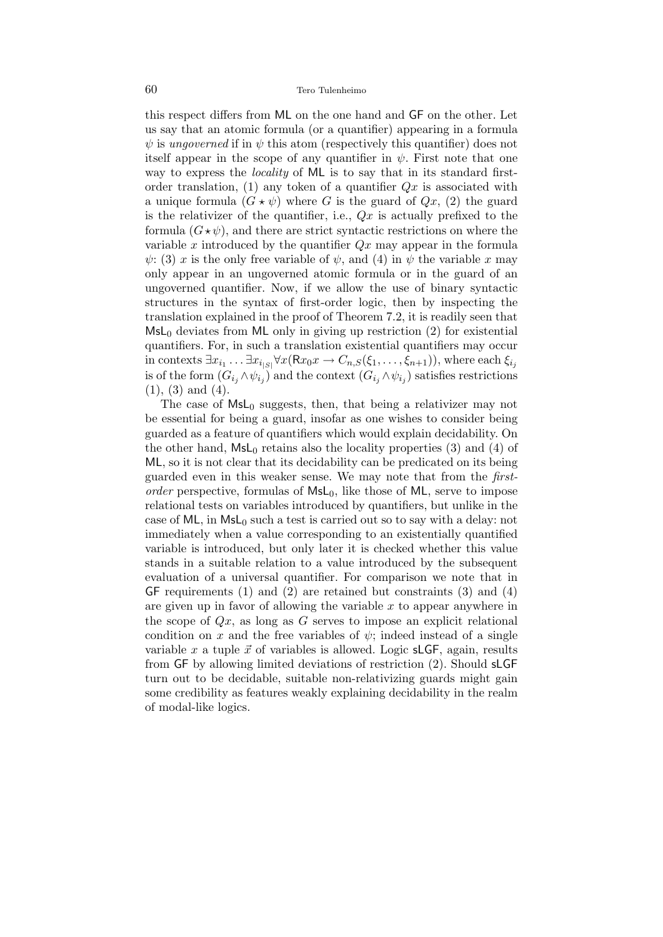this respect differs from ML on the one hand and GF on the other. Let us say that an atomic formula (or a quantifier) appearing in a formula  $\psi$  is ungoverned if in  $\psi$  this atom (respectively this quantifier) does not itself appear in the scope of any quantifier in  $\psi$ . First note that one way to express the *locality* of ML is to say that in its standard firstorder translation, (1) any token of a quantifier  $Qx$  is associated with a unique formula  $(G * \psi)$  where G is the guard of  $Qx$ , (2) the guard is the relativizer of the quantifier, i.e.,  $Qx$  is actually prefixed to the formula  $(G \star \psi)$ , and there are strict syntactic restrictions on where the variable x introduced by the quantifier  $Qx$  may appear in the formula  $\psi$ : (3) x is the only free variable of  $\psi$ , and (4) in  $\psi$  the variable x may only appear in an ungoverned atomic formula or in the guard of an ungoverned quantifier. Now, if we allow the use of binary syntactic structures in the syntax of first-order logic, then by inspecting the translation explained in the proof of Theorem 7.2, it is readily seen that  $MsL<sub>0</sub>$  deviates from ML only in giving up restriction (2) for existential quantifiers. For, in such a translation existential quantifiers may occur in contexts  $\exists x_{i_1} \ldots \exists x_{i_{|S|}} \forall x (\mathsf{R} x_0 x \to C_{n,S}(\xi_1,\ldots,\xi_{n+1}))$ , where each  $\xi_{i_j}$ is of the form  $(G_{i_j} \wedge \psi_{i_j})$  and the context  $(G_{i_j} \wedge \psi_{i_j})$  satisfies restrictions (1), (3) and (4).

The case of  $MsL_0$  suggests, then, that being a relativizer may not be essential for being a guard, insofar as one wishes to consider being guarded as a feature of quantifiers which would explain decidability. On the other hand,  $MsL_0$  retains also the locality properties (3) and (4) of ML, so it is not clear that its decidability can be predicated on its being guarded even in this weaker sense. We may note that from the firstorder perspective, formulas of  $MsL_0$ , like those of ML, serve to impose relational tests on variables introduced by quantifiers, but unlike in the case of ML, in  $MsL_0$  such a test is carried out so to say with a delay: not immediately when a value corresponding to an existentially quantified variable is introduced, but only later it is checked whether this value stands in a suitable relation to a value introduced by the subsequent evaluation of a universal quantifier. For comparison we note that in GF requirements (1) and (2) are retained but constraints (3) and (4) are given up in favor of allowing the variable  $x$  to appear anywhere in the scope of  $Qx$ , as long as G serves to impose an explicit relational condition on x and the free variables of  $\psi$ ; indeed instead of a single variable x a tuple  $\vec{x}$  of variables is allowed. Logic sLGF, again, results from GF by allowing limited deviations of restriction (2). Should sLGF turn out to be decidable, suitable non-relativizing guards might gain some credibility as features weakly explaining decidability in the realm of modal-like logics.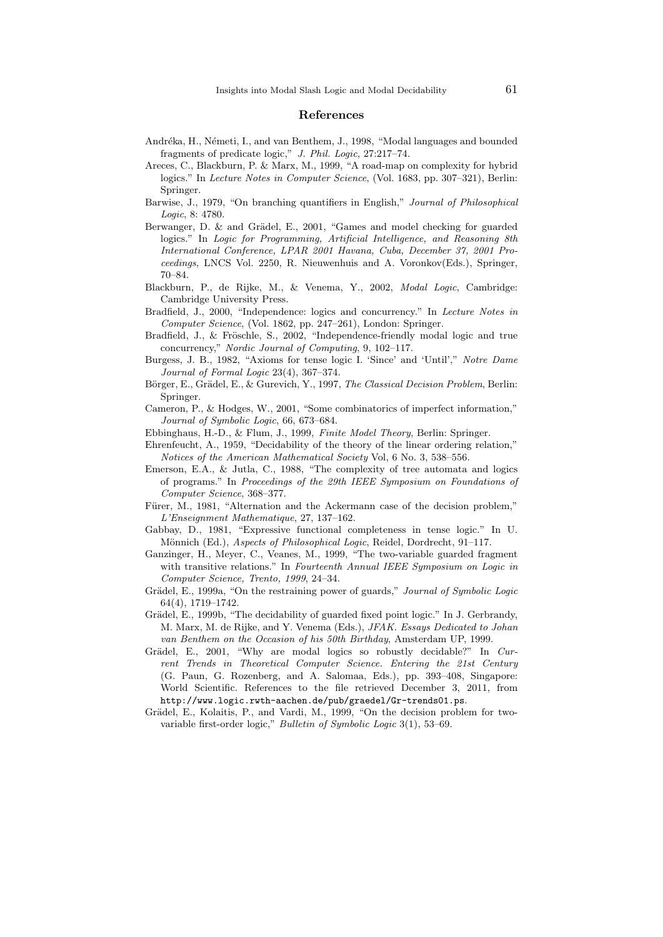#### References

- Andréka, H., Németi, I., and van Benthem, J., 1998, "Modal languages and bounded fragments of predicate logic," J. Phil. Logic, 27:217–74.
- Areces, C., Blackburn, P. & Marx, M., 1999, "A road-map on complexity for hybrid logics." In Lecture Notes in Computer Science, (Vol. 1683, pp. 307–321), Berlin: Springer.
- Barwise, J., 1979, "On branching quantifiers in English," Journal of Philosophical Logic, 8: 4780.
- Berwanger, D. & and Grädel, E., 2001, "Games and model checking for guarded logics." In Logic for Programming, Artificial Intelligence, and Reasoning 8th International Conference, LPAR 2001 Havana, Cuba, December 37, 2001 Proceedings, LNCS Vol. 2250, R. Nieuwenhuis and A. Voronkov(Eds.), Springer, 70–84.
- Blackburn, P., de Rijke, M., & Venema, Y., 2002, Modal Logic, Cambridge: Cambridge University Press.
- Bradfield, J., 2000, "Independence: logics and concurrency." In Lecture Notes in Computer Science, (Vol. 1862, pp. 247–261), London: Springer.
- Bradfield, J., & Fröschle, S., 2002, "Independence-friendly modal logic and true concurrency," Nordic Journal of Computing, 9, 102–117.
- Burgess, J. B., 1982, "Axioms for tense logic I. 'Since' and 'Until'," Notre Dame Journal of Formal Logic 23(4), 367–374.
- Börger, E., Grädel, E., & Gurevich, Y., 1997, The Classical Decision Problem, Berlin: Springer.
- Cameron, P., & Hodges, W., 2001, "Some combinatorics of imperfect information," Journal of Symbolic Logic, 66, 673–684.
- Ebbinghaus, H.-D., & Flum, J., 1999, Finite Model Theory, Berlin: Springer.
- Ehrenfeucht, A., 1959, "Decidability of the theory of the linear ordering relation," Notices of the American Mathematical Society Vol, 6 No. 3, 538–556.
- Emerson, E.A., & Jutla, C., 1988, "The complexity of tree automata and logics of programs." In Proceedings of the 29th IEEE Symposium on Foundations of Computer Science, 368–377.
- Fürer, M., 1981, "Alternation and the Ackermann case of the decision problem," L'Enseignment Mathematique, 27, 137–162.
- Gabbay, D., 1981, "Expressive functional completeness in tense logic." In U. Mönnich (Ed.), Aspects of Philosophical Logic, Reidel, Dordrecht, 91-117.
- Ganzinger, H., Meyer, C., Veanes, M., 1999, "The two-variable guarded fragment with transitive relations." In Fourteenth Annual IEEE Symposium on Logic in Computer Science, Trento, 1999, 24–34.
- Grädel, E., 1999a, "On the restraining power of guards," Journal of Symbolic Logic 64(4), 1719–1742.
- Grädel, E., 1999b, "The decidability of guarded fixed point logic." In J. Gerbrandy, M. Marx, M. de Rijke, and Y. Venema (Eds.), JFAK. Essays Dedicated to Johan van Benthem on the Occasion of his 50th Birthday, Amsterdam UP, 1999.
- Grädel, E., 2001, "Why are modal logics so robustly decidable?" In Current Trends in Theoretical Computer Science. Entering the 21st Century (G. Paun, G. Rozenberg, and A. Salomaa, Eds.), pp. 393–408, Singapore: World Scientific. References to the file retrieved December 3, 2011, from http://www.logic.rwth-aachen.de/pub/graedel/Gr-trends01.ps.
- Grädel, E., Kolaitis, P., and Vardi, M., 1999, "On the decision problem for twovariable first-order logic," Bulletin of Symbolic Logic 3(1), 53–69.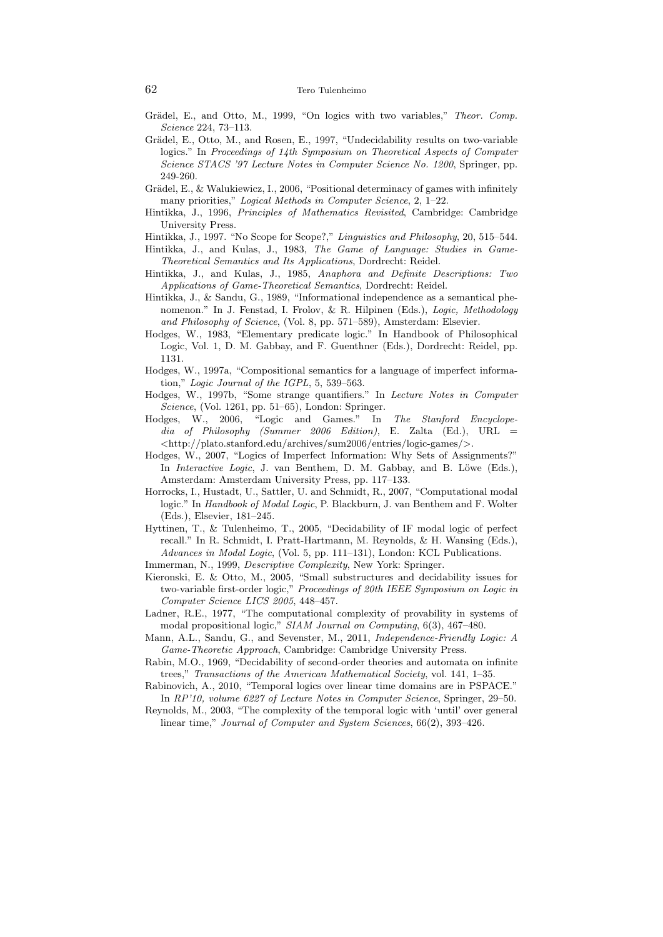#### 62 Tero Tulenheimo

- Grädel, E., and Otto, M., 1999, "On logics with two variables," Theor. Comp. Science 224, 73–113.
- Grädel, E., Otto, M., and Rosen, E., 1997, "Undecidability results on two-variable logics." In Proceedings of 14th Symposium on Theoretical Aspects of Computer Science STACS '97 Lecture Notes in Computer Science No. 1200, Springer, pp. 249-260.
- Grädel, E., & Walukiewicz, I., 2006, "Positional determinacy of games with infinitely many priorities," Logical Methods in Computer Science, 2, 1–22.
- Hintikka, J., 1996, Principles of Mathematics Revisited, Cambridge: Cambridge University Press.

Hintikka, J., 1997. "No Scope for Scope?," Linguistics and Philosophy, 20, 515–544.

- Hintikka, J., and Kulas, J., 1983, The Game of Language: Studies in Game-Theoretical Semantics and Its Applications, Dordrecht: Reidel.
- Hintikka, J., and Kulas, J., 1985, Anaphora and Definite Descriptions: Two Applications of Game-Theoretical Semantics, Dordrecht: Reidel.
- Hintikka, J., & Sandu, G., 1989, "Informational independence as a semantical phenomenon." In J. Fenstad, I. Frolov, & R. Hilpinen (Eds.), Logic, Methodology and Philosophy of Science, (Vol. 8, pp. 571–589), Amsterdam: Elsevier.
- Hodges, W., 1983, "Elementary predicate logic." In Handbook of Philosophical Logic, Vol. 1, D. M. Gabbay, and F. Guenthner (Eds.), Dordrecht: Reidel, pp. 1131.
- Hodges, W., 1997a, "Compositional semantics for a language of imperfect information," Logic Journal of the IGPL, 5, 539–563.
- Hodges, W., 1997b, "Some strange quantifiers." In Lecture Notes in Computer Science, (Vol. 1261, pp. 51–65), London: Springer.
- Hodges, W., 2006, "Logic and Games." In The Stanford Encyclopedia of Philosophy (Summer 2006 Edition), E. Zalta (Ed.), URL  $=$ <http://plato.stanford.edu/archives/sum2006/entries/logic-games/>.
- Hodges, W., 2007, "Logics of Imperfect Information: Why Sets of Assignments?" In Interactive Logic, J. van Benthem, D. M. Gabbay, and B. Löwe (Eds.), Amsterdam: Amsterdam University Press, pp. 117–133.
- Horrocks, I., Hustadt, U., Sattler, U. and Schmidt, R., 2007, "Computational modal logic." In Handbook of Modal Logic, P. Blackburn, J. van Benthem and F. Wolter (Eds.), Elsevier, 181–245.
- Hyttinen, T., & Tulenheimo, T., 2005, "Decidability of IF modal logic of perfect recall." In R. Schmidt, I. Pratt-Hartmann, M. Reynolds, & H. Wansing (Eds.), Advances in Modal Logic, (Vol. 5, pp. 111–131), London: KCL Publications.
- Immerman, N., 1999, *Descriptive Complexity*, New York: Springer.
- Kieronski, E. & Otto, M., 2005, "Small substructures and decidability issues for two-variable first-order logic," Proceedings of 20th IEEE Symposium on Logic in Computer Science LICS 2005, 448–457.
- Ladner, R.E., 1977, "The computational complexity of provability in systems of modal propositional logic," SIAM Journal on Computing, 6(3), 467–480.
- Mann, A.L., Sandu, G., and Sevenster, M., 2011, Independence-Friendly Logic: A Game-Theoretic Approach, Cambridge: Cambridge University Press.
- Rabin, M.O., 1969, "Decidability of second-order theories and automata on infinite trees," Transactions of the American Mathematical Society, vol. 141, 1–35.
- Rabinovich, A., 2010, "Temporal logics over linear time domains are in PSPACE." In RP'10, volume 6227 of Lecture Notes in Computer Science, Springer, 29–50.
- Reynolds, M., 2003, "The complexity of the temporal logic with 'until' over general linear time," Journal of Computer and System Sciences, 66(2), 393–426.